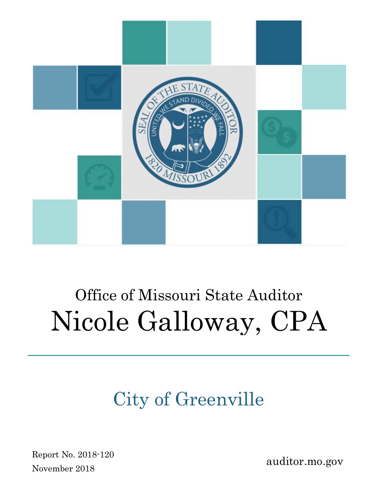

# Office of Missouri State Auditor Nicole Galloway, CPA

# City of Greenville

Report No. 2018-120 November 2018

auditor.mo.gov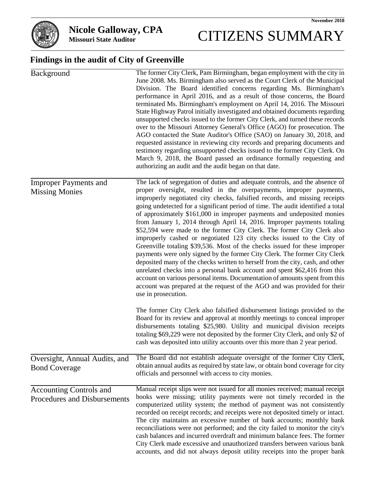

# **Missouri State Auditor** CITIZENS SUMMARY

# **Findings in the audit of City of Greenville**

| Background                                                     | The former City Clerk, Pam Birmingham, began employment with the city in<br>June 2008. Ms. Birmingham also served as the Court Clerk of the Municipal<br>Division. The Board identified concerns regarding Ms. Birmingham's<br>performance in April 2016, and as a result of those concerns, the Board<br>terminated Ms. Birmingham's employment on April 14, 2016. The Missouri<br>State Highway Patrol initially investigated and obtained documents regarding<br>unsupported checks issued to the former City Clerk, and turned these records<br>over to the Missouri Attorney General's Office (AGO) for prosecution. The<br>AGO contacted the State Auditor's Office (SAO) on January 30, 2018, and<br>requested assistance in reviewing city records and preparing documents and<br>testimony regarding unsupported checks issued to the former City Clerk. On<br>March 9, 2018, the Board passed an ordinance formally requesting and<br>authorizing an audit and the audit began on that date.                                                                                                                                    |
|----------------------------------------------------------------|-------------------------------------------------------------------------------------------------------------------------------------------------------------------------------------------------------------------------------------------------------------------------------------------------------------------------------------------------------------------------------------------------------------------------------------------------------------------------------------------------------------------------------------------------------------------------------------------------------------------------------------------------------------------------------------------------------------------------------------------------------------------------------------------------------------------------------------------------------------------------------------------------------------------------------------------------------------------------------------------------------------------------------------------------------------------------------------------------------------------------------------------|
| <b>Improper Payments and</b><br><b>Missing Monies</b>          | The lack of segregation of duties and adequate controls, and the absence of<br>proper oversight, resulted in the overpayments, improper payments,<br>improperly negotiated city checks, falsified records, and missing receipts<br>going undetected for a significant period of time. The audit identified a total<br>of approximately \$161,000 in improper payments and undeposited monies<br>from January 1, 2014 through April 14, 2016. Improper payments totaling<br>\$52,594 were made to the former City Clerk. The former City Clerk also<br>improperly cashed or negotiated 123 city checks issued to the City of<br>Greenville totaling \$39,536. Most of the checks issued for these improper<br>payments were only signed by the former City Clerk. The former City Clerk<br>deposited many of the checks written to herself from the city, cash, and other<br>unrelated checks into a personal bank account and spent \$62,416 from this<br>account on various personal items. Documentation of amounts spent from this<br>account was prepared at the request of the AGO and was provided for their<br>use in prosecution. |
|                                                                | The former City Clerk also falsified disbursement listings provided to the<br>Board for its review and approval at monthly meetings to conceal improper<br>disbursements totaling \$25,980. Utility and municipal division receipts<br>totaling \$69,229 were not deposited by the former City Clerk, and only \$2 of<br>cash was deposited into utility accounts over this more than 2 year period.                                                                                                                                                                                                                                                                                                                                                                                                                                                                                                                                                                                                                                                                                                                                      |
| Oversight, Annual Audits, and<br><b>Bond Coverage</b>          | The Board did not establish adequate oversight of the former City Clerk,<br>obtain annual audits as required by state law, or obtain bond coverage for city<br>officials and personnel with access to city monies.                                                                                                                                                                                                                                                                                                                                                                                                                                                                                                                                                                                                                                                                                                                                                                                                                                                                                                                        |
| <b>Accounting Controls and</b><br>Procedures and Disbursements | Manual receipt slips were not issued for all monies received; manual receipt<br>books were missing; utility payments were not timely recorded in the<br>computerized utility system; the method of payment was not consistently<br>recorded on receipt records; and receipts were not deposited timely or intact.<br>The city maintains an excessive number of bank accounts; monthly bank<br>reconciliations were not performed; and the city failed to monitor the city's<br>cash balances and incurred overdraft and minimum balance fees. The former<br>City Clerk made excessive and unauthorized transfers between various bank<br>accounts, and did not always deposit utility receipts into the proper bank                                                                                                                                                                                                                                                                                                                                                                                                                       |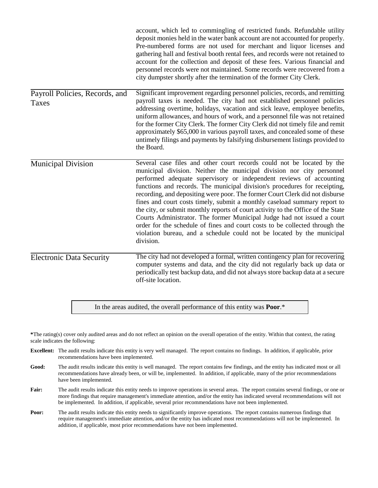|                                         | account, which led to commingling of restricted funds. Refundable utility<br>deposit monies held in the water bank account are not accounted for properly.<br>Pre-numbered forms are not used for merchant and liquor licenses and<br>gathering hall and festival booth rental fees, and records were not retained to<br>account for the collection and deposit of these fees. Various financial and<br>personnel records were not maintained. Some records were recovered from a<br>city dumpster shortly after the termination of the former City Clerk.                                                                                                                                                                                                                                             |
|-----------------------------------------|--------------------------------------------------------------------------------------------------------------------------------------------------------------------------------------------------------------------------------------------------------------------------------------------------------------------------------------------------------------------------------------------------------------------------------------------------------------------------------------------------------------------------------------------------------------------------------------------------------------------------------------------------------------------------------------------------------------------------------------------------------------------------------------------------------|
| Payroll Policies, Records, and<br>Taxes | Significant improvement regarding personnel policies, records, and remitting<br>payroll taxes is needed. The city had not established personnel policies<br>addressing overtime, holidays, vacation and sick leave, employee benefits,<br>uniform allowances, and hours of work, and a personnel file was not retained<br>for the former City Clerk. The former City Clerk did not timely file and remit<br>approximately \$65,000 in various payroll taxes, and concealed some of these<br>untimely filings and payments by falsifying disbursement listings provided to<br>the Board.                                                                                                                                                                                                                |
| <b>Municipal Division</b>               | Several case files and other court records could not be located by the<br>municipal division. Neither the municipal division nor city personnel<br>performed adequate supervisory or independent reviews of accounting<br>functions and records. The municipal division's procedures for receipting,<br>recording, and depositing were poor. The former Court Clerk did not disburse<br>fines and court costs timely, submit a monthly caseload summary report to<br>the city, or submit monthly reports of court activity to the Office of the State<br>Courts Administrator. The former Municipal Judge had not issued a court<br>order for the schedule of fines and court costs to be collected through the<br>violation bureau, and a schedule could not be located by the municipal<br>division. |
| <b>Electronic Data Security</b>         | The city had not developed a formal, written contingency plan for recovering<br>computer systems and data, and the city did not regularly back up data or<br>periodically test backup data, and did not always store backup data at a secure<br>off-site location.                                                                                                                                                                                                                                                                                                                                                                                                                                                                                                                                     |

In the areas audited, the overall performance of this entity was **Poor**.\*

**\***The rating(s) cover only audited areas and do not reflect an opinion on the overall operation of the entity. Within that context, the rating scale indicates the following:

- **Excellent:** The audit results indicate this entity is very well managed. The report contains no findings. In addition, if applicable, prior recommendations have been implemented.
- **Good:** The audit results indicate this entity is well managed. The report contains few findings, and the entity has indicated most or all recommendations have already been, or will be, implemented. In addition, if applicable, many of the prior recommendations have been implemented.
- Fair: The audit results indicate this entity needs to improve operations in several areas. The report contains several findings, or one or more findings that require management's immediate attention, and/or the entity has indicated several recommendations will not be implemented. In addition, if applicable, several prior recommendations have not been implemented.
- **Poor:** The audit results indicate this entity needs to significantly improve operations. The report contains numerous findings that require management's immediate attention, and/or the entity has indicated most recommendations will not be implemented. In addition, if applicable, most prior recommendations have not been implemented.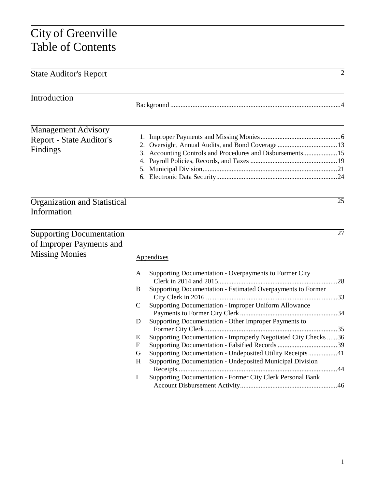# City of Greenville Table of Contents

|                                                                                                                                                                                                                                                                                                                                                  | $\overline{2}$                                                                                                                                                                                                                                            |
|--------------------------------------------------------------------------------------------------------------------------------------------------------------------------------------------------------------------------------------------------------------------------------------------------------------------------------------------------|-----------------------------------------------------------------------------------------------------------------------------------------------------------------------------------------------------------------------------------------------------------|
|                                                                                                                                                                                                                                                                                                                                                  |                                                                                                                                                                                                                                                           |
|                                                                                                                                                                                                                                                                                                                                                  |                                                                                                                                                                                                                                                           |
|                                                                                                                                                                                                                                                                                                                                                  | $\overline{25}$                                                                                                                                                                                                                                           |
| Appendixes                                                                                                                                                                                                                                                                                                                                       | 27                                                                                                                                                                                                                                                        |
| Supporting Documentation - Overpayments to Former City<br>A<br>B<br>Supporting Documentation - Improper Uniform Allowance<br>C<br>Supporting Documentation - Other Improper Payments to<br>D<br>Е<br>F<br>G<br>Supporting Documentation - Undeposited Municipal Division<br>H<br>Supporting Documentation - Former City Clerk Personal Bank<br>I |                                                                                                                                                                                                                                                           |
|                                                                                                                                                                                                                                                                                                                                                  | 3. Accounting Controls and Procedures and Disbursements 15<br>Supporting Documentation - Estimated Overpayments to Former<br>Supporting Documentation - Improperly Negotiated City Checks 36<br>Supporting Documentation - Undeposited Utility Receipts41 |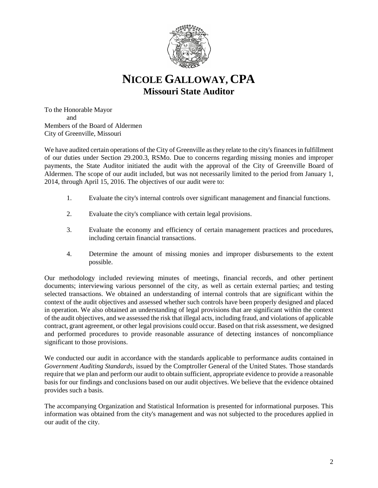

# **NICOLE GALLOWAY, CPA Missouri State Auditor**

To the Honorable Mayor and Members of the Board of Aldermen City of Greenville, Missouri

We have audited certain operations of the City of Greenville as they relate to the city's finances in fulfillment of our duties under Section 29.200.3, RSMo. Due to concerns regarding missing monies and improper payments, the State Auditor initiated the audit with the approval of the City of Greenville Board of Aldermen. The scope of our audit included, but was not necessarily limited to the period from January 1, 2014, through April 15, 2016. The objectives of our audit were to:

- 1. Evaluate the city's internal controls over significant management and financial functions.
- 2. Evaluate the city's compliance with certain legal provisions.
- 3. Evaluate the economy and efficiency of certain management practices and procedures, including certain financial transactions.
- 4. Determine the amount of missing monies and improper disbursements to the extent possible.

Our methodology included reviewing minutes of meetings, financial records, and other pertinent documents; interviewing various personnel of the city, as well as certain external parties; and testing selected transactions. We obtained an understanding of internal controls that are significant within the context of the audit objectives and assessed whether such controls have been properly designed and placed in operation. We also obtained an understanding of legal provisions that are significant within the context of the audit objectives, and we assessed the risk that illegal acts, including fraud, and violations of applicable contract, grant agreement, or other legal provisions could occur. Based on that risk assessment, we designed and performed procedures to provide reasonable assurance of detecting instances of noncompliance significant to those provisions.

We conducted our audit in accordance with the standards applicable to performance audits contained in *Government Auditing Standards*, issued by the Comptroller General of the United States. Those standards require that we plan and perform our audit to obtain sufficient, appropriate evidence to provide a reasonable basis for our findings and conclusions based on our audit objectives. We believe that the evidence obtained provides such a basis.

The accompanying Organization and Statistical Information is presented for informational purposes. This information was obtained from the city's management and was not subjected to the procedures applied in our audit of the city.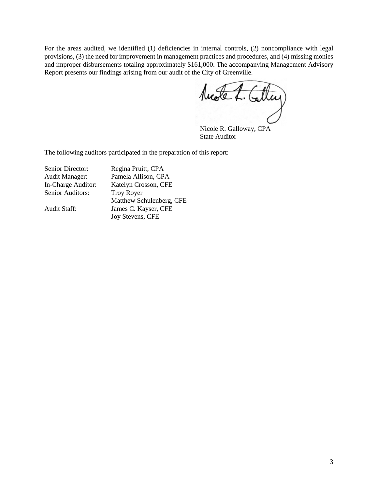For the areas audited, we identified (1) deficiencies in internal controls, (2) noncompliance with legal provisions, (3) the need for improvement in management practices and procedures, and (4) missing monies and improper disbursements totaling approximately \$161,000. The accompanying Management Advisory

Report presents our findings arising from our audit of the City of Greenville.<br> **Autobe 4.** Calley

Nicole R. Galloway, CPA State Auditor

The following auditors participated in the preparation of this report:

| Senior Director:      | Regina Pruitt, CPA       |
|-----------------------|--------------------------|
| <b>Audit Manager:</b> | Pamela Allison, CPA      |
| In-Charge Auditor:    | Katelyn Crosson, CFE     |
| Senior Auditors:      | <b>Troy Royer</b>        |
|                       | Matthew Schulenberg, CFE |
| Audit Staff:          | James C. Kayser, CFE     |
|                       | Joy Stevens, CFE         |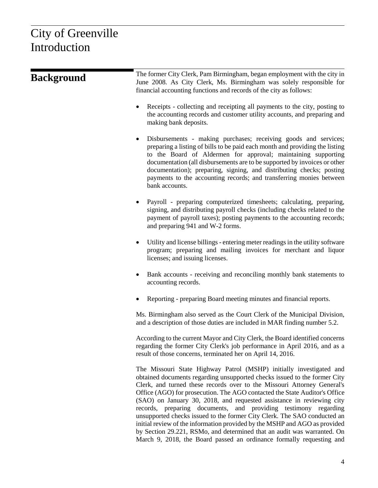# City of Greenville Introduction

| <b>Background</b> | The former City Clerk, Pam Birmingham, began employment with the city in<br>June 2008. As City Clerk, Ms. Birmingham was solely responsible for<br>financial accounting functions and records of the city as follows:                                                                                                                                                                                                                                                                                                                                                                                                                                                                      |  |  |  |
|-------------------|--------------------------------------------------------------------------------------------------------------------------------------------------------------------------------------------------------------------------------------------------------------------------------------------------------------------------------------------------------------------------------------------------------------------------------------------------------------------------------------------------------------------------------------------------------------------------------------------------------------------------------------------------------------------------------------------|--|--|--|
|                   | Receipts - collecting and receipting all payments to the city, posting to<br>$\bullet$<br>the accounting records and customer utility accounts, and preparing and<br>making bank deposits.                                                                                                                                                                                                                                                                                                                                                                                                                                                                                                 |  |  |  |
|                   | Disbursements - making purchases; receiving goods and services;<br>$\bullet$<br>preparing a listing of bills to be paid each month and providing the listing<br>to the Board of Aldermen for approval; maintaining supporting<br>documentation (all disbursements are to be supported by invoices or other<br>documentation); preparing, signing, and distributing checks; posting<br>payments to the accounting records; and transferring monies between<br>bank accounts.                                                                                                                                                                                                                |  |  |  |
|                   | Payroll - preparing computerized timesheets; calculating, preparing,<br>$\bullet$<br>signing, and distributing payroll checks (including checks related to the<br>payment of payroll taxes); posting payments to the accounting records;<br>and preparing 941 and W-2 forms.                                                                                                                                                                                                                                                                                                                                                                                                               |  |  |  |
|                   | Utility and license billings - entering meter readings in the utility software<br>$\bullet$<br>program; preparing and mailing invoices for merchant and liquor<br>licenses; and issuing licenses.                                                                                                                                                                                                                                                                                                                                                                                                                                                                                          |  |  |  |
|                   | Bank accounts - receiving and reconciling monthly bank statements to<br>$\bullet$<br>accounting records.                                                                                                                                                                                                                                                                                                                                                                                                                                                                                                                                                                                   |  |  |  |
|                   | Reporting - preparing Board meeting minutes and financial reports.                                                                                                                                                                                                                                                                                                                                                                                                                                                                                                                                                                                                                         |  |  |  |
|                   | Ms. Birmingham also served as the Court Clerk of the Municipal Division,<br>and a description of those duties are included in MAR finding number 5.2.                                                                                                                                                                                                                                                                                                                                                                                                                                                                                                                                      |  |  |  |
|                   | According to the current Mayor and City Clerk, the Board identified concerns<br>regarding the former City Clerk's job performance in April 2016, and as a<br>result of those concerns, terminated her on April 14, 2016.                                                                                                                                                                                                                                                                                                                                                                                                                                                                   |  |  |  |
|                   | The Missouri State Highway Patrol (MSHP) initially investigated and<br>obtained documents regarding unsupported checks issued to the former City<br>Clerk, and turned these records over to the Missouri Attorney General's<br>Office (AGO) for prosecution. The AGO contacted the State Auditor's Office<br>(SAO) on January 30, 2018, and requested assistance in reviewing city<br>records, preparing documents, and providing testimony regarding<br>unsupported checks issued to the former City Clerk. The SAO conducted an<br>initial review of the information provided by the MSHP and AGO as provided<br>by Section 29.221, RSMo, and determined that an audit was warranted. On |  |  |  |

March 9, 2018, the Board passed an ordinance formally requesting and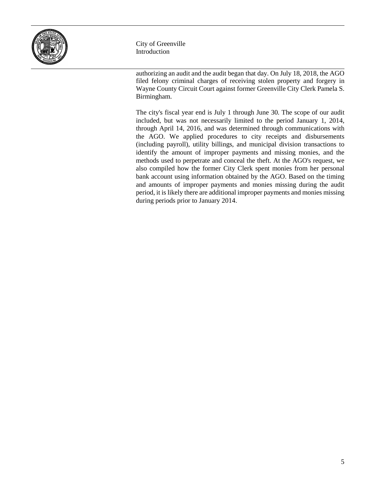

City of Greenville Introduction

authorizing an audit and the audit began that day. On July 18, 2018, the AGO filed felony criminal charges of receiving stolen property and forgery in Wayne County Circuit Court against former Greenville City Clerk Pamela S. Birmingham.

The city's fiscal year end is July 1 through June 30. The scope of our audit included, but was not necessarily limited to the period January 1, 2014, through April 14, 2016, and was determined through communications with the AGO. We applied procedures to city receipts and disbursements (including payroll), utility billings, and municipal division transactions to identify the amount of improper payments and missing monies, and the methods used to perpetrate and conceal the theft. At the AGO's request, we also compiled how the former City Clerk spent monies from her personal bank account using information obtained by the AGO. Based on the timing and amounts of improper payments and monies missing during the audit period, it is likely there are additional improper payments and monies missing during periods prior to January 2014.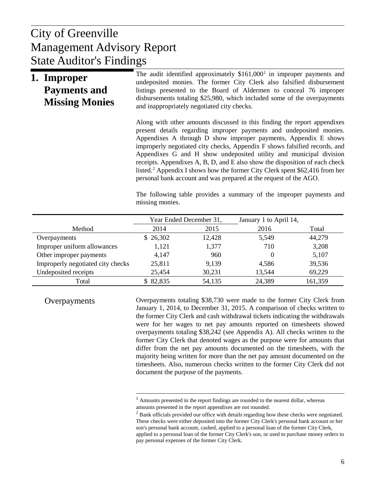# $U$  Donort Management Advisory Report City of Greenville State Auditor's Findings

| 1. Improper<br><b>Payments and</b><br><b>Missing Monies</b> | The audit identified approximately $$161,0001$ in improper payments and<br>undeposited monies. The former City Clerk also falsified disbursement<br>listings presented to the Board of Aldermen to conceal 76 improper<br>disbursements totaling \$25,980, which included some of the overpayments<br>and inappropriately negotiated city checks.                                                                                                                                                                                                                                                                     |
|-------------------------------------------------------------|-----------------------------------------------------------------------------------------------------------------------------------------------------------------------------------------------------------------------------------------------------------------------------------------------------------------------------------------------------------------------------------------------------------------------------------------------------------------------------------------------------------------------------------------------------------------------------------------------------------------------|
|                                                             | Along with other amounts discussed in this finding the report appendixes<br>present details regarding improper payments and undeposited monies.<br>Appendixes A through D show improper payments, Appendix E shows<br>improperly negotiated city checks, Appendix F shows falsified records, and<br>Appendixes G and H show undeposited utility and municipal division<br>receipts. Appendixes A, B, D, and E also show the disposition of each check<br>listed. <sup>2</sup> Appendix I shows how the former City Clerk spent \$62,416 from her<br>personal bank account and was prepared at the request of the AGO. |
|                                                             | The following table provides a summary of the improper payments and                                                                                                                                                                                                                                                                                                                                                                                                                                                                                                                                                   |

|                                   | Year Ended December 31, |        | January 1 to April 14, |         |
|-----------------------------------|-------------------------|--------|------------------------|---------|
| Method                            | 2014                    | 2015   | 2016                   | Total   |
| Overpayments                      | \$26,302                | 12,428 | 5,549                  | 44,279  |
| Improper uniform allowances       | 1,121                   | 1,377  | 710                    | 3,208   |
| Other improper payments           | 4,147                   | 960    |                        | 5,107   |
| Improperly negotiated city checks | 25,811                  | 9,139  | 4,586                  | 39,536  |
| Undeposited receipts              | 25,454                  | 30,231 | 13,544                 | 69,229  |
| Total                             | \$82,835                | 54,135 | 24,389                 | 161,359 |

missing monies.

<span id="page-8-1"></span><span id="page-8-0"></span>Overpayments

Overpayments totaling \$38,730 were made to the former City Clerk from January 1, 2014, to December 31, 2015. A comparison of checks written to the former City Clerk and cash withdrawal tickets indicating the withdrawals were for her wages to net pay amounts reported on timesheets showed overpayments totaling \$38,242 (see Appendix A). All checks written to the former City Clerk that denoted wages as the purpose were for amounts that differ from the net pay amounts documented on the timesheets, with the majority being written for more than the net pay amount documented on the timesheets. Also, numerous checks written to the former City Clerk did not document the purpose of the payments.

 $<sup>1</sup>$  Amounts presented in the report findings are rounded to the nearest dollar, whereas</sup> amounts presented in the report appendixes are not rounded.

 $2$  Bank officials provided our office with details regarding how these checks were negotiated. These checks were either deposited into the former City Clerk's personal bank account or her son's personal bank account, cashed, applied to a personal loan of the former City Clerk, applied to a personal loan of the former City Clerk's son, or used to purchase money orders to pay personal expenses of the former City Clerk.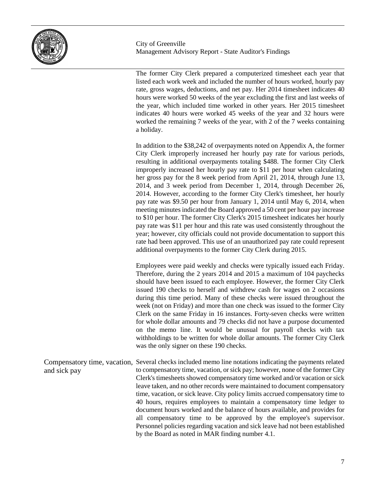

The former City Clerk prepared a computerized timesheet each year that listed each work week and included the number of hours worked, hourly pay rate, gross wages, deductions, and net pay. Her 2014 timesheet indicates 40 hours were worked 50 weeks of the year excluding the first and last weeks of the year, which included time worked in other years. Her 2015 timesheet indicates 40 hours were worked 45 weeks of the year and 32 hours were worked the remaining 7 weeks of the year, with 2 of the 7 weeks containing a holiday.

In addition to the \$38,242 of overpayments noted on Appendix A, the former City Clerk improperly increased her hourly pay rate for various periods, resulting in additional overpayments totaling \$488. The former City Clerk improperly increased her hourly pay rate to \$11 per hour when calculating her gross pay for the 8 week period from April 21, 2014, through June 13, 2014, and 3 week period from December 1, 2014, through December 26, 2014. However, according to the former City Clerk's timesheet, her hourly pay rate was \$9.50 per hour from January 1, 2014 until May 6, 2014, when meeting minutes indicated the Board approved a 50 cent per hour pay increase to \$10 per hour. The former City Clerk's 2015 timesheet indicates her hourly pay rate was \$11 per hour and this rate was used consistently throughout the year; however, city officials could not provide documentation to support this rate had been approved. This use of an unauthorized pay rate could represent additional overpayments to the former City Clerk during 2015.

Employees were paid weekly and checks were typically issued each Friday. Therefore, during the 2 years 2014 and 2015 a maximum of 104 paychecks should have been issued to each employee. However, the former City Clerk issued 190 checks to herself and withdrew cash for wages on 2 occasions during this time period. Many of these checks were issued throughout the week (not on Friday) and more than one check was issued to the former City Clerk on the same Friday in 16 instances. Forty-seven checks were written for whole dollar amounts and 79 checks did not have a purpose documented on the memo line. It would be unusual for payroll checks with tax withholdings to be written for whole dollar amounts. The former City Clerk was the only signer on these 190 checks.

Compensatory time, vacation, Several checks included memo line notations indicating the payments related to compensatory time, vacation, or sick pay; however, none of the former City Clerk's timesheets showed compensatory time worked and/or vacation or sick leave taken, and no other records were maintained to document compensatory time, vacation, or sick leave. City policy limits accrued compensatory time to 40 hours, requires employees to maintain a compensatory time ledger to document hours worked and the balance of hours available, and provides for all compensatory time to be approved by the employee's supervisor. Personnel policies regarding vacation and sick leave had not been established by the Board as noted in MAR finding number 4.1. and sick pay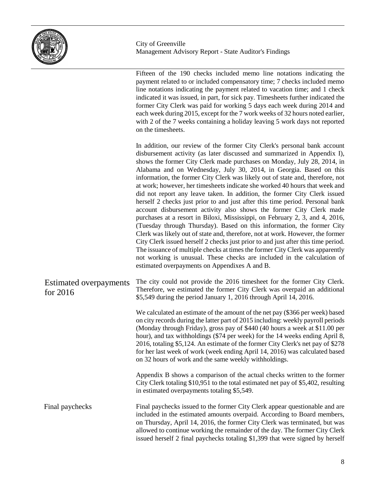

Fifteen of the 190 checks included memo line notations indicating the payment related to or included compensatory time; 7 checks included memo line notations indicating the payment related to vacation time; and 1 check indicated it was issued, in part, for sick pay. Timesheets further indicated the former City Clerk was paid for working 5 days each week during 2014 and each week during 2015, except for the 7 work weeks of 32 hours noted earlier, with 2 of the 7 weeks containing a holiday leaving 5 work days not reported on the timesheets. In addition, our review of the former City Clerk's personal bank account disbursement activity (as later discussed and summarized in Appendix I), shows the former City Clerk made purchases on Monday, July 28, 2014, in Alabama and on Wednesday, July 30, 2014, in Georgia. Based on this information, the former City Clerk was likely out of state and, therefore, not at work; however, her timesheets indicate she worked 40 hours that week and did not report any leave taken. In addition, the former City Clerk issued herself 2 checks just prior to and just after this time period. Personal bank account disbursement activity also shows the former City Clerk made

purchases at a resort in Biloxi, Mississippi, on February 2, 3, and 4, 2016, (Tuesday through Thursday). Based on this information, the former City Clerk was likely out of state and, therefore, not at work. However, the former City Clerk issued herself 2 checks just prior to and just after this time period. The issuance of multiple checks at times the former City Clerk was apparently not working is unusual. These checks are included in the calculation of estimated overpayments on Appendixes A and B.

The city could not provide the 2016 timesheet for the former City Clerk. Therefore, we estimated the former City Clerk was overpaid an additional \$5,549 during the period January 1, 2016 through April 14, 2016. Estimated overpayments for 2016

> We calculated an estimate of the amount of the net pay (\$366 per week) based on city records during the latter part of 2015 including: weekly payroll periods (Monday through Friday), gross pay of \$440 (40 hours a week at \$11.00 per hour), and tax withholdings (\$74 per week) for the 14 weeks ending April 8, 2016, totaling \$5,124. An estimate of the former City Clerk's net pay of \$278 for her last week of work (week ending April 14, 2016) was calculated based on 32 hours of work and the same weekly withholdings.

> Appendix B shows a comparison of the actual checks written to the former City Clerk totaling \$10,951 to the total estimated net pay of \$5,402, resulting in estimated overpayments totaling \$5,549.

Final paychecks issued to the former City Clerk appear questionable and are included in the estimated amounts overpaid. According to Board members, on Thursday, April 14, 2016, the former City Clerk was terminated, but was allowed to continue working the remainder of the day. The former City Clerk issued herself 2 final paychecks totaling \$1,399 that were signed by herself Final paychecks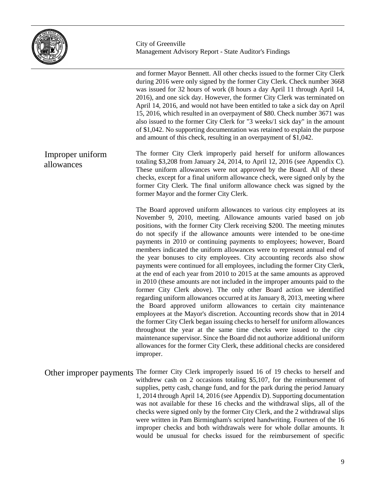

and former Mayor Bennett. All other checks issued to the former City Clerk during 2016 were only signed by the former City Clerk. Check number 3668 was issued for 32 hours of work (8 hours a day April 11 through April 14, 2016), and one sick day. However, the former City Clerk was terminated on April 14, 2016, and would not have been entitled to take a sick day on April 15, 2016, which resulted in an overpayment of \$80. Check number 3671 was also issued to the former City Clerk for "3 weeks/1 sick day" in the amount of \$1,042. No supporting documentation was retained to explain the purpose and amount of this check, resulting in an overpayment of \$1,042.

The former City Clerk improperly paid herself for uniform allowances totaling \$3,208 from January 24, 2014, to April 12, 2016 (see Appendix C). These uniform allowances were not approved by the Board. All of these checks, except for a final uniform allowance check, were signed only by the former City Clerk. The final uniform allowance check was signed by the former Mayor and the former City Clerk. Improper uniform allowances

> The Board approved uniform allowances to various city employees at its November 9, 2010, meeting. Allowance amounts varied based on job positions, with the former City Clerk receiving \$200. The meeting minutes do not specify if the allowance amounts were intended to be one-time payments in 2010 or continuing payments to employees; however, Board members indicated the uniform allowances were to represent annual end of the year bonuses to city employees. City accounting records also show payments were continued for all employees, including the former City Clerk, at the end of each year from 2010 to 2015 at the same amounts as approved in 2010 (these amounts are not included in the improper amounts paid to the former City Clerk above). The only other Board action we identified regarding uniform allowances occurred at its January 8, 2013, meeting where the Board approved uniform allowances to certain city maintenance employees at the Mayor's discretion. Accounting records show that in 2014 the former City Clerk began issuing checks to herself for uniform allowances throughout the year at the same time checks were issued to the city maintenance supervisor. Since the Board did not authorize additional uniform allowances for the former City Clerk, these additional checks are considered improper.

Other improper payments The former City Clerk improperly issued 16 of 19 checks to herself and withdrew cash on 2 occasions totaling \$5,107, for the reimbursement of supplies, petty cash, change fund, and for the park during the period January 1, 2014 through April 14, 2016 (see Appendix D). Supporting documentation was not available for these 16 checks and the withdrawal slips, all of the checks were signed only by the former City Clerk, and the 2 withdrawal slips were written in Pam Birmingham's scripted handwriting. Fourteen of the 16 improper checks and both withdrawals were for whole dollar amounts. It would be unusual for checks issued for the reimbursement of specific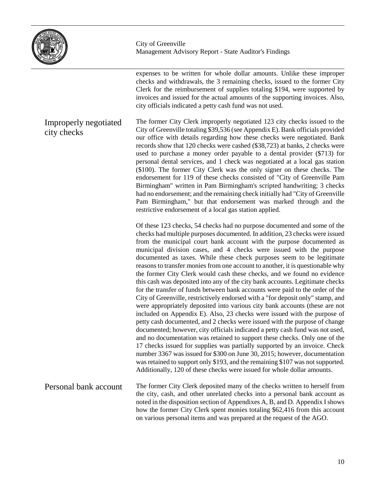

expenses to be written for whole dollar amounts. Unlike these improper checks and withdrawals, the 3 remaining checks, issued to the former City Clerk for the reimbursement of supplies totaling \$194, were supported by invoices and issued for the actual amounts of the supporting invoices. Also, city officials indicated a petty cash fund was not used.

The former City Clerk improperly negotiated 123 city checks issued to the City of Greenville totaling \$39,536 (see Appendix E). Bank officials provided our office with details regarding how these checks were negotiated. Bank records show that 120 checks were cashed (\$38,723) at banks, 2 checks were used to purchase a money order payable to a dental provider (\$713) for personal dental services, and 1 check was negotiated at a local gas station (\$100). The former City Clerk was the only signer on these checks. The endorsement for 119 of these checks consisted of "City of Greenville Pam Birmingham" written in Pam Birmingham's scripted handwriting; 3 checks had no endorsement; and the remaining check initially had "City of Greenville Pam Birmingham," but that endorsement was marked through and the restrictive endorsement of a local gas station applied. Improperly negotiated city checks

> Of these 123 checks, 54 checks had no purpose documented and some of the checks had multiple purposes documented. In addition, 23 checks were issued from the municipal court bank account with the purpose documented as municipal division cases, and 4 checks were issued with the purpose documented as taxes. While these check purposes seem to be legitimate reasons to transfer monies from one account to another, it is questionable why the former City Clerk would cash these checks, and we found no evidence this cash was deposited into any of the city bank accounts. Legitimate checks for the transfer of funds between bank accounts were paid to the order of the City of Greenville, restrictively endorsed with a "for deposit only" stamp, and were appropriately deposited into various city bank accounts (these are not included on Appendix E). Also, 23 checks were issued with the purpose of petty cash documented, and 2 checks were issued with the purpose of change documented; however, city officials indicated a petty cash fund was not used, and no documentation was retained to support these checks. Only one of the 17 checks issued for supplies was partially supported by an invoice. Check number 3367 was issued for \$300 on June 30, 2015; however, documentation was retained to support only \$193, and the remaining \$107 was not supported. Additionally, 120 of these checks were issued for whole dollar amounts.

The former City Clerk deposited many of the checks written to herself from the city, cash, and other unrelated checks into a personal bank account as noted in the disposition section of Appendixes A, B, and D. Appendix I shows how the former City Clerk spent monies totaling \$62,416 from this account on various personal items and was prepared at the request of the AGO. Personal bank account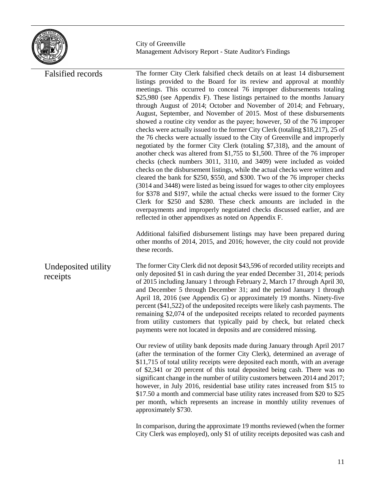

| <b>Falsified records</b>        | The former City Clerk falsified check details on at least 14 disbursement<br>listings provided to the Board for its review and approval at monthly<br>meetings. This occurred to conceal 76 improper disbursements totaling<br>\$25,980 (see Appendix F). These listings pertained to the months January<br>through August of 2014; October and November of 2014; and February,<br>August, September, and November of 2015. Most of these disbursements<br>showed a routine city vendor as the payee; however, 50 of the 76 improper<br>checks were actually issued to the former City Clerk (totaling \$18,217), 25 of<br>the 76 checks were actually issued to the City of Greenville and improperly<br>negotiated by the former City Clerk (totaling \$7,318), and the amount of<br>another check was altered from \$1,755 to \$1,500. Three of the 76 improper<br>checks (check numbers 3011, 3110, and 3409) were included as voided<br>checks on the disbursement listings, while the actual checks were written and<br>cleared the bank for \$250, \$550, and \$300. Two of the 76 improper checks<br>(3014 and 3448) were listed as being issued for wages to other city employees<br>for \$378 and \$197, while the actual checks were issued to the former City<br>Clerk for \$250 and \$280. These check amounts are included in the<br>overpayments and improperly negotiated checks discussed earlier, and are<br>reflected in other appendixes as noted on Appendix F.<br>Additional falsified disbursement listings may have been prepared during<br>other months of 2014, 2015, and 2016; however, the city could not provide<br>these records. |
|---------------------------------|-----------------------------------------------------------------------------------------------------------------------------------------------------------------------------------------------------------------------------------------------------------------------------------------------------------------------------------------------------------------------------------------------------------------------------------------------------------------------------------------------------------------------------------------------------------------------------------------------------------------------------------------------------------------------------------------------------------------------------------------------------------------------------------------------------------------------------------------------------------------------------------------------------------------------------------------------------------------------------------------------------------------------------------------------------------------------------------------------------------------------------------------------------------------------------------------------------------------------------------------------------------------------------------------------------------------------------------------------------------------------------------------------------------------------------------------------------------------------------------------------------------------------------------------------------------------------------------------------------------------------------------------------------------------|
| Undeposited utility<br>receipts | The former City Clerk did not deposit \$43,596 of recorded utility receipts and<br>only deposited \$1 in cash during the year ended December 31, 2014; periods<br>of 2015 including January 1 through February 2, March 17 through April 30,<br>and December 5 through December 31; and the period January 1 through<br>April 18, 2016 (see Appendix G) or approximately 19 months. Ninety-five<br>percent (\$41,522) of the undeposited receipts were likely cash payments. The<br>remaining \$2,074 of the undeposited receipts related to recorded payments<br>from utility customers that typically paid by check, but related check<br>payments were not located in deposits and are considered missing.                                                                                                                                                                                                                                                                                                                                                                                                                                                                                                                                                                                                                                                                                                                                                                                                                                                                                                                                                   |
|                                 | Our review of utility bank deposits made during January through April 2017<br>(after the termination of the former City Clerk), determined an average of<br>\$11,715 of total utility receipts were deposited each month, with an average<br>of \$2,341 or 20 percent of this total deposited being cash. There was no<br>significant change in the number of utility customers between 2014 and 2017;<br>however, in July 2016, residential base utility rates increased from \$15 to<br>\$17.50 a month and commercial base utility rates increased from \$20 to \$25<br>per month, which represents an increase in monthly utility revenues of<br>approximately \$730.                                                                                                                                                                                                                                                                                                                                                                                                                                                                                                                                                                                                                                                                                                                                                                                                                                                                                                                                                                                       |
|                                 | In comparison, during the approximate 19 months reviewed (when the former<br>City Clerk was employed), only \$1 of utility receipts deposited was cash and                                                                                                                                                                                                                                                                                                                                                                                                                                                                                                                                                                                                                                                                                                                                                                                                                                                                                                                                                                                                                                                                                                                                                                                                                                                                                                                                                                                                                                                                                                      |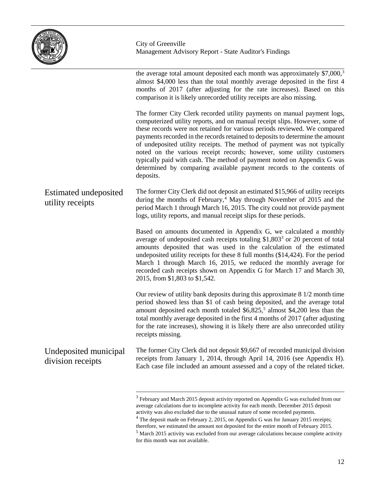

|                                            | the average total amount deposited each month was approximately \$7,000, <sup>3</sup><br>almost \$4,000 less than the total monthly average deposited in the first 4<br>months of 2017 (after adjusting for the rate increases). Based on this<br>comparison it is likely unrecorded utility receipts are also missing.                                                                                                                                                                                                                                                                                                                   |
|--------------------------------------------|-------------------------------------------------------------------------------------------------------------------------------------------------------------------------------------------------------------------------------------------------------------------------------------------------------------------------------------------------------------------------------------------------------------------------------------------------------------------------------------------------------------------------------------------------------------------------------------------------------------------------------------------|
|                                            | The former City Clerk recorded utility payments on manual payment logs,<br>computerized utility reports, and on manual receipt slips. However, some of<br>these records were not retained for various periods reviewed. We compared<br>payments recorded in the records retained to deposits to determine the amount<br>of undeposited utility receipts. The method of payment was not typically<br>noted on the various receipt records; however, some utility customers<br>typically paid with cash. The method of payment noted on Appendix G was<br>determined by comparing available payment records to the contents of<br>deposits. |
| Estimated undeposited<br>utility receipts  | The former City Clerk did not deposit an estimated \$15,966 of utility receipts<br>during the months of February, <sup>4</sup> May through November of 2015 and the<br>period March 1 through March 16, 2015. The city could not provide payment<br>logs, utility reports, and manual receipt slips for these periods.                                                                                                                                                                                                                                                                                                                    |
|                                            | Based on amounts documented in Appendix G, we calculated a monthly<br>average of undeposited cash receipts totaling \$1,803 <sup>3</sup> or 20 percent of total<br>amounts deposited that was used in the calculation of the estimated<br>undeposited utility receipts for these 8 full months (\$14,424). For the period<br>March 1 through March 16, 2015, we reduced the monthly average for<br>recorded cash receipts shown on Appendix G for March 17 and March 30,<br>2015, from \$1,803 to \$1,542.                                                                                                                                |
|                                            | Our review of utility bank deposits during this approximate 8 1/2 month time<br>period showed less than \$1 of cash being deposited, and the average total<br>amount deposited each month totaled \$6,825, <sup>5</sup> almost \$4,200 less than the<br>total monthly average deposited in the first 4 months of 2017 (after adjusting<br>for the rate increases), showing it is likely there are also unrecorded utility<br>receipts missing.                                                                                                                                                                                            |
| Undeposited municipal<br>division receipts | The former City Clerk did not deposit \$9,667 of recorded municipal division<br>receipts from January 1, 2014, through April 14, 2016 (see Appendix H).<br>Each case file included an amount assessed and a copy of the related ticket.                                                                                                                                                                                                                                                                                                                                                                                                   |
|                                            |                                                                                                                                                                                                                                                                                                                                                                                                                                                                                                                                                                                                                                           |

<span id="page-14-0"></span> $^3$  February and March 2015 deposit activity reported on Appendix G was excluded from our average calculations due to incomplete activity for each month. December 2015 deposit activity was also excluded due to the unusual nature of some recorded payments.

<span id="page-14-1"></span><sup>&</sup>lt;sup>4</sup> The deposit made on February 2, 2015, on Appendix G was for January 2015 receipts; therefore, we estimated the amount not deposited for the entire month of February 2015.

<span id="page-14-2"></span> $<sup>5</sup>$  March 2015 activity was excluded from our average calculations because complete activity</sup> for this month was not available.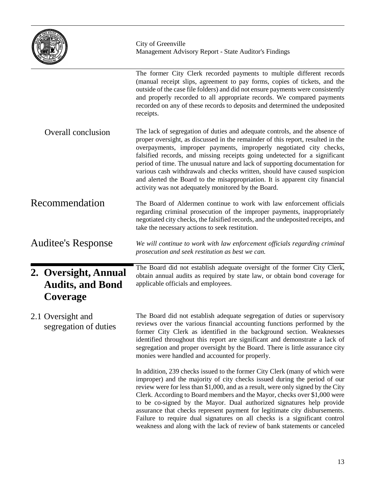|                                                             | City of Greenville<br>Management Advisory Report - State Auditor's Findings                                                                                                                                                                                                                                                                                                                                                                                                                                                                                                                                                                |
|-------------------------------------------------------------|--------------------------------------------------------------------------------------------------------------------------------------------------------------------------------------------------------------------------------------------------------------------------------------------------------------------------------------------------------------------------------------------------------------------------------------------------------------------------------------------------------------------------------------------------------------------------------------------------------------------------------------------|
|                                                             | The former City Clerk recorded payments to multiple different records<br>(manual receipt slips, agreement to pay forms, copies of tickets, and the<br>outside of the case file folders) and did not ensure payments were consistently<br>and properly recorded to all appropriate records. We compared payments<br>recorded on any of these records to deposits and determined the undeposited<br>receipts.                                                                                                                                                                                                                                |
| Overall conclusion                                          | The lack of segregation of duties and adequate controls, and the absence of<br>proper oversight, as discussed in the remainder of this report, resulted in the<br>overpayments, improper payments, improperly negotiated city checks,<br>falsified records, and missing receipts going undetected for a significant<br>period of time. The unusual nature and lack of supporting documentation for<br>various cash withdrawals and checks written, should have caused suspicion<br>and alerted the Board to the misappropriation. It is apparent city financial<br>activity was not adequately monitored by the Board.                     |
| Recommendation                                              | The Board of Aldermen continue to work with law enforcement officials<br>regarding criminal prosecution of the improper payments, inappropriately<br>negotiated city checks, the falsified records, and the undeposited receipts, and<br>take the necessary actions to seek restitution.                                                                                                                                                                                                                                                                                                                                                   |
| <b>Auditee's Response</b>                                   | We will continue to work with law enforcement officials regarding criminal<br>prosecution and seek restitution as best we can.                                                                                                                                                                                                                                                                                                                                                                                                                                                                                                             |
| 2. Oversight, Annual<br><b>Audits, and Bond</b><br>Coverage | The Board did not establish adequate oversight of the former City Clerk,<br>obtain annual audits as required by state law, or obtain bond coverage for<br>applicable officials and employees.                                                                                                                                                                                                                                                                                                                                                                                                                                              |
| 2.1 Oversight and<br>segregation of duties                  | The Board did not establish adequate segregation of duties or supervisory<br>reviews over the various financial accounting functions performed by the<br>former City Clerk as identified in the background section. Weaknesses<br>identified throughout this report are significant and demonstrate a lack of<br>segregation and proper oversight by the Board. There is little assurance city<br>monies were handled and accounted for properly.                                                                                                                                                                                          |
|                                                             | In addition, 239 checks issued to the former City Clerk (many of which were<br>improper) and the majority of city checks issued during the period of our<br>review were for less than \$1,000, and as a result, were only signed by the City<br>Clerk. According to Board members and the Mayor, checks over \$1,000 were<br>to be co-signed by the Mayor. Dual authorized signatures help provide<br>assurance that checks represent payment for legitimate city disbursements.<br>Failure to require dual signatures on all checks is a significant control<br>weakness and along with the lack of review of bank statements or canceled |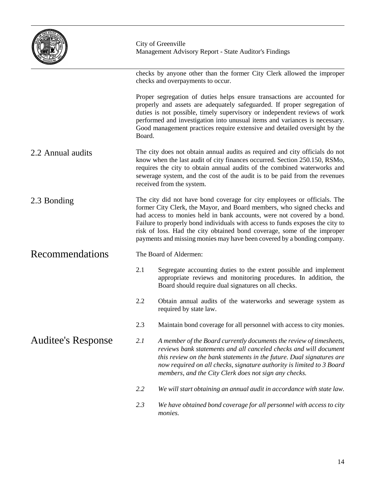|                           | City of Greenville<br>Management Advisory Report - State Auditor's Findings                                                                                                                                                                                                                                                                                                                                                                                          |                                                                                                                                                                                                                                                                                                                                                                                              |  |  |
|---------------------------|----------------------------------------------------------------------------------------------------------------------------------------------------------------------------------------------------------------------------------------------------------------------------------------------------------------------------------------------------------------------------------------------------------------------------------------------------------------------|----------------------------------------------------------------------------------------------------------------------------------------------------------------------------------------------------------------------------------------------------------------------------------------------------------------------------------------------------------------------------------------------|--|--|
|                           |                                                                                                                                                                                                                                                                                                                                                                                                                                                                      | checks by anyone other than the former City Clerk allowed the improper<br>checks and overpayments to occur.                                                                                                                                                                                                                                                                                  |  |  |
|                           | Board.                                                                                                                                                                                                                                                                                                                                                                                                                                                               | Proper segregation of duties helps ensure transactions are accounted for<br>properly and assets are adequately safeguarded. If proper segregation of<br>duties is not possible, timely supervisory or independent reviews of work<br>performed and investigation into unusual items and variances is necessary.<br>Good management practices require extensive and detailed oversight by the |  |  |
| 2.2 Annual audits         | The city does not obtain annual audits as required and city officials do not<br>know when the last audit of city finances occurred. Section 250.150, RSMo,<br>requires the city to obtain annual audits of the combined waterworks and<br>sewerage system, and the cost of the audit is to be paid from the revenues<br>received from the system.                                                                                                                    |                                                                                                                                                                                                                                                                                                                                                                                              |  |  |
| 2.3 Bonding               | The city did not have bond coverage for city employees or officials. The<br>former City Clerk, the Mayor, and Board members, who signed checks and<br>had access to monies held in bank accounts, were not covered by a bond.<br>Failure to properly bond individuals with access to funds exposes the city to<br>risk of loss. Had the city obtained bond coverage, some of the improper<br>payments and missing monies may have been covered by a bonding company. |                                                                                                                                                                                                                                                                                                                                                                                              |  |  |
| Recommendations           | The Board of Aldermen:                                                                                                                                                                                                                                                                                                                                                                                                                                               |                                                                                                                                                                                                                                                                                                                                                                                              |  |  |
|                           | 2.1                                                                                                                                                                                                                                                                                                                                                                                                                                                                  | Segregate accounting duties to the extent possible and implement<br>appropriate reviews and monitoring procedures. In addition, the<br>Board should require dual signatures on all checks.                                                                                                                                                                                                   |  |  |
|                           | 2.2                                                                                                                                                                                                                                                                                                                                                                                                                                                                  | Obtain annual audits of the waterworks and sewerage system as<br>required by state law.                                                                                                                                                                                                                                                                                                      |  |  |
|                           | 2.3                                                                                                                                                                                                                                                                                                                                                                                                                                                                  | Maintain bond coverage for all personnel with access to city monies.                                                                                                                                                                                                                                                                                                                         |  |  |
| <b>Auditee's Response</b> | 2.1<br>A member of the Board currently documents the review of timesheets,<br>reviews bank statements and all canceled checks and will document<br>this review on the bank statements in the future. Dual signatures are<br>now required on all checks, signature authority is limited to 3 Board<br>members, and the City Clerk does not sign any checks.                                                                                                           |                                                                                                                                                                                                                                                                                                                                                                                              |  |  |
|                           | 2.2                                                                                                                                                                                                                                                                                                                                                                                                                                                                  | We will start obtaining an annual audit in accordance with state law.                                                                                                                                                                                                                                                                                                                        |  |  |
|                           | 2.3                                                                                                                                                                                                                                                                                                                                                                                                                                                                  | We have obtained bond coverage for all personnel with access to city<br>monies.                                                                                                                                                                                                                                                                                                              |  |  |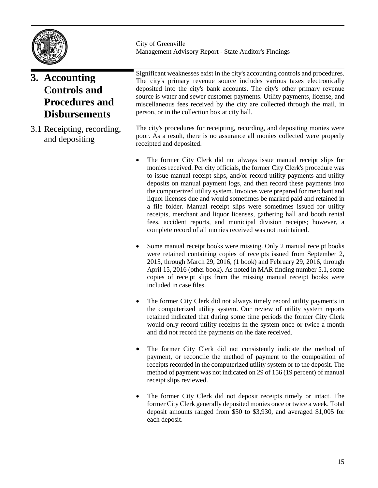

# **3. Accounting Controls and Procedures and Disbursements**

3.1 Receipting, recording, and depositing

City of Greenville Management Advisory Report - State Auditor's Findings

Significant weaknesses exist in the city's accounting controls and procedures. The city's primary revenue source includes various taxes electronically deposited into the city's bank accounts. The city's other primary revenue source is water and sewer customer payments. Utility payments, license, and miscellaneous fees received by the city are collected through the mail, in person, or in the collection box at city hall.

The city's procedures for receipting, recording, and depositing monies were poor. As a result, there is no assurance all monies collected were properly receipted and deposited.

- The former City Clerk did not always issue manual receipt slips for monies received. Per city officials, the former City Clerk's procedure was to issue manual receipt slips, and/or record utility payments and utility deposits on manual payment logs, and then record these payments into the computerized utility system. Invoices were prepared for merchant and liquor licenses due and would sometimes be marked paid and retained in a file folder. Manual receipt slips were sometimes issued for utility receipts, merchant and liquor licenses, gathering hall and booth rental fees, accident reports, and municipal division receipts; however, a complete record of all monies received was not maintained.
- Some manual receipt books were missing. Only 2 manual receipt books were retained containing copies of receipts issued from September 2, 2015, through March 29, 2016, (1 book) and February 29, 2016, through April 15, 2016 (other book). As noted in MAR finding number 5.1, some copies of receipt slips from the missing manual receipt books were included in case files.
- The former City Clerk did not always timely record utility payments in the computerized utility system. Our review of utility system reports retained indicated that during some time periods the former City Clerk would only record utility receipts in the system once or twice a month and did not record the payments on the date received.
- The former City Clerk did not consistently indicate the method of payment, or reconcile the method of payment to the composition of receipts recorded in the computerized utility system or to the deposit. The method of payment was not indicated on 29 of 156 (19 percent) of manual receipt slips reviewed.
- The former City Clerk did not deposit receipts timely or intact. The former City Clerk generally deposited monies once or twice a week. Total deposit amounts ranged from \$50 to \$3,930, and averaged \$1,005 for each deposit.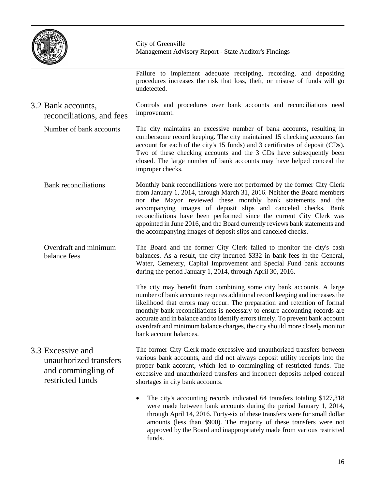

Failure to implement adequate receipting, recording, and depositing procedures increases the risk that loss, theft, or misuse of funds will go undetected.

- Controls and procedures over bank accounts and reconciliations need improvement. 3.2 Bank accounts, reconciliations, and fees
- The city maintains an excessive number of bank accounts, resulting in cumbersome record keeping. The city maintained 15 checking accounts (an account for each of the city's 15 funds) and 3 certificates of deposit (CDs). Two of these checking accounts and the 3 CDs have subsequently been closed. The large number of bank accounts may have helped conceal the improper checks. Number of bank accounts
	- Monthly bank reconciliations were not performed by the former City Clerk from January 1, 2014, through March 31, 2016. Neither the Board members nor the Mayor reviewed these monthly bank statements and the accompanying images of deposit slips and canceled checks. Bank reconciliations have been performed since the current City Clerk was appointed in June 2016, and the Board currently reviews bank statements and the accompanying images of deposit slips and canceled checks. Bank reconciliations
	- The Board and the former City Clerk failed to monitor the city's cash balances. As a result, the city incurred \$332 in bank fees in the General, Water, Cemetery, Capital Improvement and Special Fund bank accounts during the period January 1, 2014, through April 30, 2016. Overdraft and minimum balance fees

The city may benefit from combining some city bank accounts. A large number of bank accounts requires additional record keeping and increases the likelihood that errors may occur. The preparation and retention of formal monthly bank reconciliations is necessary to ensure accounting records are accurate and in balance and to identify errors timely. To prevent bank account overdraft and minimum balance charges, the city should more closely monitor bank account balances.

- The former City Clerk made excessive and unauthorized transfers between various bank accounts, and did not always deposit utility receipts into the proper bank account, which led to commingling of restricted funds. The excessive and unauthorized transfers and incorrect deposits helped conceal shortages in city bank accounts. 3.3 Excessive and unauthorized transfers and commingling of restricted funds
	- The city's accounting records indicated 64 transfers totaling \$127,318 were made between bank accounts during the period January 1, 2014, through April 14, 2016. Forty-six of these transfers were for small dollar amounts (less than \$900). The majority of these transfers were not approved by the Board and inappropriately made from various restricted funds.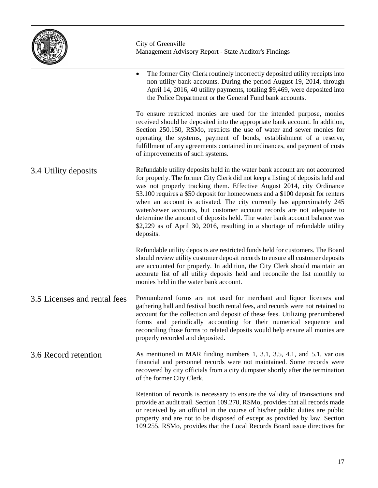|                              | City of Greenville<br>Management Advisory Report - State Auditor's Findings                                                                                                                                                                                                                                                                                                                                                                                                                                                                                                                                                                            |
|------------------------------|--------------------------------------------------------------------------------------------------------------------------------------------------------------------------------------------------------------------------------------------------------------------------------------------------------------------------------------------------------------------------------------------------------------------------------------------------------------------------------------------------------------------------------------------------------------------------------------------------------------------------------------------------------|
|                              | The former City Clerk routinely incorrectly deposited utility receipts into<br>$\bullet$<br>non-utility bank accounts. During the period August 19, 2014, through<br>April 14, 2016, 40 utility payments, totaling \$9,469, were deposited into<br>the Police Department or the General Fund bank accounts.                                                                                                                                                                                                                                                                                                                                            |
|                              | To ensure restricted monies are used for the intended purpose, monies<br>received should be deposited into the appropriate bank account. In addition,<br>Section 250.150, RSMo, restricts the use of water and sewer monies for<br>operating the systems, payment of bonds, establishment of a reserve,<br>fulfillment of any agreements contained in ordinances, and payment of costs<br>of improvements of such systems.                                                                                                                                                                                                                             |
| 3.4 Utility deposits         | Refundable utility deposits held in the water bank account are not accounted<br>for properly. The former City Clerk did not keep a listing of deposits held and<br>was not properly tracking them. Effective August 2014, city Ordinance<br>53.100 requires a \$50 deposit for homeowners and a \$100 deposit for renters<br>when an account is activated. The city currently has approximately 245<br>water/sewer accounts, but customer account records are not adequate to<br>determine the amount of deposits held. The water bank account balance was<br>\$2,229 as of April 30, 2016, resulting in a shortage of refundable utility<br>deposits. |
|                              | Refundable utility deposits are restricted funds held for customers. The Board<br>should review utility customer deposit records to ensure all customer deposits<br>are accounted for properly. In addition, the City Clerk should maintain an<br>accurate list of all utility deposits held and reconcile the list monthly to<br>monies held in the water bank account.                                                                                                                                                                                                                                                                               |
| 3.5 Licenses and rental fees | Prenumbered forms are not used for merchant and liquor licenses and<br>gathering hall and festival booth rental fees, and records were not retained to<br>account for the collection and deposit of these fees. Utilizing prenumbered<br>forms and periodically accounting for their numerical sequence and<br>reconciling those forms to related deposits would help ensure all monies are<br>properly recorded and deposited.                                                                                                                                                                                                                        |
| 3.6 Record retention         | As mentioned in MAR finding numbers 1, 3.1, 3.5, 4.1, and 5.1, various<br>financial and personnel records were not maintained. Some records were<br>recovered by city officials from a city dumpster shortly after the termination<br>of the former City Clerk.                                                                                                                                                                                                                                                                                                                                                                                        |
|                              | Retention of records is necessary to ensure the validity of transactions and<br>provide an audit trail. Section 109.270, RSMo, provides that all records made<br>or received by an official in the course of his/her public duties are public<br>property and are not to be disposed of except as provided by law. Section                                                                                                                                                                                                                                                                                                                             |

109.255, RSMo, provides that the Local Records Board issue directives for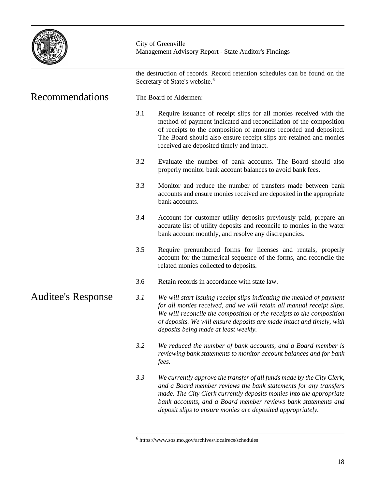

|                           |                        | the destruction of records. Record retention schedules can be found on the<br>Secretary of State's website. <sup>6</sup>                                                                                                                                                                                                                          |  |  |  |  |
|---------------------------|------------------------|---------------------------------------------------------------------------------------------------------------------------------------------------------------------------------------------------------------------------------------------------------------------------------------------------------------------------------------------------|--|--|--|--|
| <b>Recommendations</b>    | The Board of Aldermen: |                                                                                                                                                                                                                                                                                                                                                   |  |  |  |  |
|                           | 3.1                    | Require issuance of receipt slips for all monies received with the<br>method of payment indicated and reconciliation of the composition<br>of receipts to the composition of amounts recorded and deposited.<br>The Board should also ensure receipt slips are retained and monies<br>received are deposited timely and intact.                   |  |  |  |  |
|                           | 3.2                    | Evaluate the number of bank accounts. The Board should also<br>properly monitor bank account balances to avoid bank fees.                                                                                                                                                                                                                         |  |  |  |  |
|                           | 3.3                    | Monitor and reduce the number of transfers made between bank<br>accounts and ensure monies received are deposited in the appropriate<br>bank accounts.                                                                                                                                                                                            |  |  |  |  |
|                           | 3.4                    | Account for customer utility deposits previously paid, prepare an<br>accurate list of utility deposits and reconcile to monies in the water<br>bank account monthly, and resolve any discrepancies.                                                                                                                                               |  |  |  |  |
|                           | 3.5                    | Require prenumbered forms for licenses and rentals, properly<br>account for the numerical sequence of the forms, and reconcile the<br>related monies collected to deposits.                                                                                                                                                                       |  |  |  |  |
|                           | 3.6                    | Retain records in accordance with state law.                                                                                                                                                                                                                                                                                                      |  |  |  |  |
| <b>Auditee's Response</b> | 3.1                    | We will start issuing receipt slips indicating the method of payment<br>for all monies received, and we will retain all manual receipt slips.<br>We will reconcile the composition of the receipts to the composition<br>of deposits. We will ensure deposits are made intact and timely, with<br>deposits being made at least weekly.            |  |  |  |  |
|                           | 3.2                    | We reduced the number of bank accounts, and a Board member is<br>reviewing bank statements to monitor account balances and for bank<br>fees.                                                                                                                                                                                                      |  |  |  |  |
|                           | 3.3                    | We currently approve the transfer of all funds made by the City Clerk,<br>and a Board member reviews the bank statements for any transfers<br>made. The City Clerk currently deposits monies into the appropriate<br>bank accounts, and a Board member reviews bank statements and<br>deposit slips to ensure monies are deposited appropriately. |  |  |  |  |

<span id="page-20-0"></span> $^6$ https://www.sos.mo.gov/archives/localrecs/schedules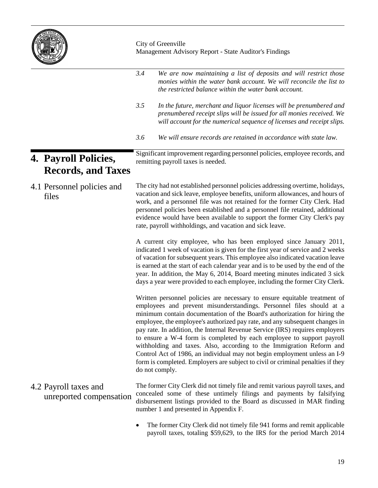

|                                                   | 3.4 | We are now maintaining a list of deposits and will restrict those<br>monies within the water bank account. We will reconcile the list to<br>the restricted balance within the water bank account.                                                                                                                                                                                                                                                                                                                                                                                                                                                                                                                                |
|---------------------------------------------------|-----|----------------------------------------------------------------------------------------------------------------------------------------------------------------------------------------------------------------------------------------------------------------------------------------------------------------------------------------------------------------------------------------------------------------------------------------------------------------------------------------------------------------------------------------------------------------------------------------------------------------------------------------------------------------------------------------------------------------------------------|
|                                                   | 3.5 | In the future, merchant and liquor licenses will be prenumbered and<br>prenumbered receipt slips will be issued for all monies received. We<br>will account for the numerical sequence of licenses and receipt slips.                                                                                                                                                                                                                                                                                                                                                                                                                                                                                                            |
|                                                   | 3.6 | We will ensure records are retained in accordance with state law.                                                                                                                                                                                                                                                                                                                                                                                                                                                                                                                                                                                                                                                                |
| 4. Payroll Policies,<br><b>Records, and Taxes</b> |     | Significant improvement regarding personnel policies, employee records, and<br>remitting payroll taxes is needed.                                                                                                                                                                                                                                                                                                                                                                                                                                                                                                                                                                                                                |
| 4.1 Personnel policies and<br>files               |     | The city had not established personnel policies addressing overtime, holidays,<br>vacation and sick leave, employee benefits, uniform allowances, and hours of<br>work, and a personnel file was not retained for the former City Clerk. Had<br>personnel policies been established and a personnel file retained, additional<br>evidence would have been available to support the former City Clerk's pay<br>rate, payroll withholdings, and vacation and sick leave.                                                                                                                                                                                                                                                           |
|                                                   |     | A current city employee, who has been employed since January 2011,<br>indicated 1 week of vacation is given for the first year of service and 2 weeks<br>of vacation for subsequent years. This employee also indicated vacation leave<br>is earned at the start of each calendar year and is to be used by the end of the<br>year. In addition, the May 6, 2014, Board meeting minutes indicated 3 sick<br>days a year were provided to each employee, including the former City Clerk.                                                                                                                                                                                                                                         |
|                                                   |     | Written personnel policies are necessary to ensure equitable treatment of<br>employees and prevent misunderstandings. Personnel files should at a<br>minimum contain documentation of the Board's authorization for hiring the<br>employee, the employee's authorized pay rate, and any subsequent changes in<br>pay rate. In addition, the Internal Revenue Service (IRS) requires employers<br>to ensure a W-4 form is completed by each employee to support payroll<br>withholding and taxes. Also, according to the Immigration Reform and<br>Control Act of 1986, an individual may not begin employment unless an I-9<br>form is completed. Employers are subject to civil or criminal penalties if they<br>do not comply. |
| 4.2 Payroll taxes and<br>unreported compensation  |     | The former City Clerk did not timely file and remit various payroll taxes, and<br>concealed some of these untimely filings and payments by falsifying<br>disbursement listings provided to the Board as discussed in MAR finding<br>number 1 and presented in Appendix F.                                                                                                                                                                                                                                                                                                                                                                                                                                                        |
|                                                   |     | The former City Clerk did not timely file 941 forms and remit applicable                                                                                                                                                                                                                                                                                                                                                                                                                                                                                                                                                                                                                                                         |

• The former City Clerk did not timely file 941 forms and remit applicable payroll taxes, totaling \$59,629, to the IRS for the period March 2014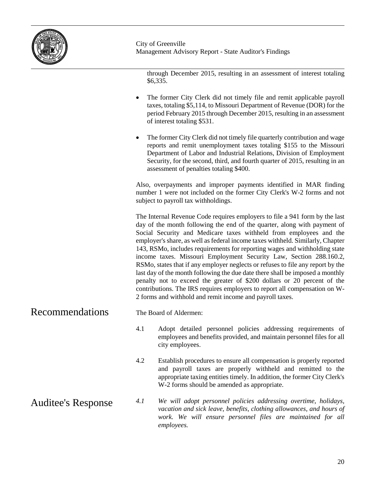

through December 2015, resulting in an assessment of interest totaling \$6,335.

- The former City Clerk did not timely file and remit applicable payroll taxes, totaling \$5,114, to Missouri Department of Revenue (DOR) for the period February 2015 through December 2015, resulting in an assessment of interest totaling \$531.
- The former City Clerk did not timely file quarterly contribution and wage reports and remit unemployment taxes totaling \$155 to the Missouri Department of Labor and Industrial Relations, Division of Employment Security, for the second, third, and fourth quarter of 2015, resulting in an assessment of penalties totaling \$400.

Also, overpayments and improper payments identified in MAR finding number 1 were not included on the former City Clerk's W-2 forms and not subject to payroll tax withholdings.

The Internal Revenue Code requires employers to file a 941 form by the last day of the month following the end of the quarter, along with payment of Social Security and Medicare taxes withheld from employees and the employer's share, as well as federal income taxes withheld. Similarly, Chapter 143, RSMo, includes requirements for reporting wages and withholding state income taxes. Missouri Employment Security Law, Section 288.160.2, RSMo, states that if any employer neglects or refuses to file any report by the last day of the month following the due date there shall be imposed a monthly penalty not to exceed the greater of \$200 dollars or 20 percent of the contributions. The IRS requires employers to report all compensation on W-2 forms and withhold and remit income and payroll taxes.

The Board of Aldermen: Recommendations

- 4.1 Adopt detailed personnel policies addressing requirements of employees and benefits provided, and maintain personnel files for all city employees.
- 4.2 Establish procedures to ensure all compensation is properly reported and payroll taxes are properly withheld and remitted to the appropriate taxing entities timely. In addition, the former City Clerk's W-2 forms should be amended as appropriate.
- *4.1 We will adopt personnel policies addressing overtime, holidays, vacation and sick leave, benefits, clothing allowances, and hours of*  work. We will ensure personnel files are maintained for all *employees.* Auditee's Response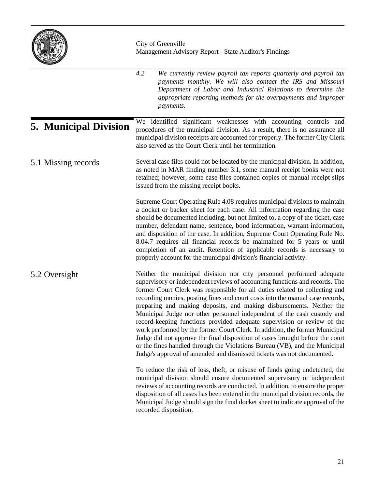

|                              | 4.2<br>We currently review payroll tax reports quarterly and payroll tax<br>payments monthly. We will also contact the IRS and Missouri<br>Department of Labor and Industrial Relations to determine the<br>appropriate reporting methods for the overpayments and improper<br>payments.                                                                                                                                                                                                                                                                                                                                                                                                                                                                                                                                                                                 |
|------------------------------|--------------------------------------------------------------------------------------------------------------------------------------------------------------------------------------------------------------------------------------------------------------------------------------------------------------------------------------------------------------------------------------------------------------------------------------------------------------------------------------------------------------------------------------------------------------------------------------------------------------------------------------------------------------------------------------------------------------------------------------------------------------------------------------------------------------------------------------------------------------------------|
| <b>5. Municipal Division</b> | We identified significant weaknesses with accounting controls and<br>procedures of the municipal division. As a result, there is no assurance all<br>municipal division receipts are accounted for properly. The former City Clerk<br>also served as the Court Clerk until her termination.                                                                                                                                                                                                                                                                                                                                                                                                                                                                                                                                                                              |
| 5.1 Missing records          | Several case files could not be located by the municipal division. In addition,<br>as noted in MAR finding number 3.1, some manual receipt books were not<br>retained; however, some case files contained copies of manual receipt slips<br>issued from the missing receipt books.                                                                                                                                                                                                                                                                                                                                                                                                                                                                                                                                                                                       |
|                              | Supreme Court Operating Rule 4.08 requires municipal divisions to maintain<br>a docket or backer sheet for each case. All information regarding the case<br>should be documented including, but not limited to, a copy of the ticket, case<br>number, defendant name, sentence, bond information, warrant information,<br>and disposition of the case. In addition, Supreme Court Operating Rule No.<br>8.04.7 requires all financial records be maintained for 5 years or until<br>completion of an audit. Retention of applicable records is necessary to<br>properly account for the municipal division's financial activity.                                                                                                                                                                                                                                         |
| 5.2 Oversight                | Neither the municipal division nor city personnel performed adequate<br>supervisory or independent reviews of accounting functions and records. The<br>former Court Clerk was responsible for all duties related to collecting and<br>recording monies, posting fines and court costs into the manual case records,<br>preparing and making deposits, and making disbursements. Neither the<br>Municipal Judge nor other personnel independent of the cash custody and<br>record-keeping functions provided adequate supervision or review of the<br>work performed by the former Court Clerk. In addition, the former Municipal<br>Judge did not approve the final disposition of cases brought before the court<br>or the fines handled through the Violations Bureau (VB), and the Municipal<br>Judge's approval of amended and dismissed tickets was not documented. |
|                              | To reduce the risk of loss, theft, or misuse of funds going undetected, the<br>municipal division should ensure documented supervisory or independent<br>reviews of accounting records are conducted. In addition, to ensure the proper<br>disposition of all cases has been entered in the municipal division records, the<br>Municipal Judge should sign the final docket sheet to indicate approval of the<br>recorded disposition.                                                                                                                                                                                                                                                                                                                                                                                                                                   |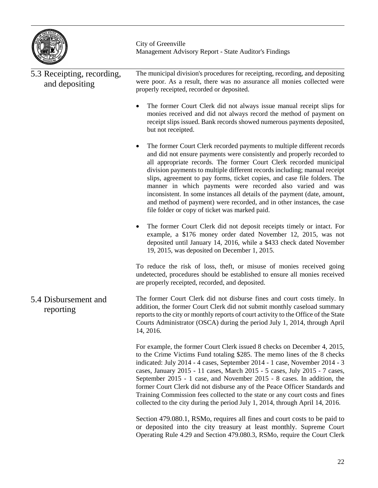

| 5.3 Receipting, recording,<br>and depositing | The municipal division's procedures for receipting, recording, and depositing<br>were poor. As a result, there was no assurance all monies collected were<br>properly receipted, recorded or deposited.                                                                                                                                                                                                                                                                                                                                                                                                                                                             |
|----------------------------------------------|---------------------------------------------------------------------------------------------------------------------------------------------------------------------------------------------------------------------------------------------------------------------------------------------------------------------------------------------------------------------------------------------------------------------------------------------------------------------------------------------------------------------------------------------------------------------------------------------------------------------------------------------------------------------|
|                                              | The former Court Clerk did not always issue manual receipt slips for<br>monies received and did not always record the method of payment on<br>receipt slips issued. Bank records showed numerous payments deposited,<br>but not receipted.                                                                                                                                                                                                                                                                                                                                                                                                                          |
|                                              | The former Court Clerk recorded payments to multiple different records<br>$\bullet$<br>and did not ensure payments were consistently and properly recorded to<br>all appropriate records. The former Court Clerk recorded municipal<br>division payments to multiple different records including; manual receipt<br>slips, agreement to pay forms, ticket copies, and case file folders. The<br>manner in which payments were recorded also varied and was<br>inconsistent. In some instances all details of the payment (date, amount,<br>and method of payment) were recorded, and in other instances, the case<br>file folder or copy of ticket was marked paid. |
|                                              | The former Court Clerk did not deposit receipts timely or intact. For<br>$\bullet$<br>example, a \$176 money order dated November 12, 2015, was not<br>deposited until January 14, 2016, while a \$433 check dated November<br>19, 2015, was deposited on December 1, 2015.                                                                                                                                                                                                                                                                                                                                                                                         |
|                                              | To reduce the risk of loss, theft, or misuse of monies received going<br>undetected, procedures should be established to ensure all monies received<br>are properly receipted, recorded, and deposited.                                                                                                                                                                                                                                                                                                                                                                                                                                                             |
| 5.4 Disbursement and<br>reporting            | The former Court Clerk did not disburse fines and court costs timely. In<br>addition, the former Court Clerk did not submit monthly caseload summary<br>reports to the city or monthly reports of court activity to the Office of the State<br>Courts Administrator (OSCA) during the period July 1, 2014, through April<br>14, 2016.                                                                                                                                                                                                                                                                                                                               |
|                                              | For example, the former Court Clerk issued 8 checks on December 4, 2015,<br>to the Crime Victims Fund totaling \$285. The memo lines of the 8 checks<br>indicated: July 2014 - 4 cases, September 2014 - 1 case, November 2014 - 3<br>cases, January 2015 - 11 cases, March 2015 - 5 cases, July 2015 - 7 cases,<br>September 2015 - 1 case, and November 2015 - 8 cases. In addition, the<br>former Court Clerk did not disburse any of the Peace Officer Standards and<br>Training Commission fees collected to the state or any court costs and fines<br>collected to the city during the period July 1, 2014, through April 14, 2016.                           |
|                                              | Section 479.080.1, RSMo, requires all fines and court costs to be paid to<br>or deposited into the city treasury at least monthly. Supreme Court<br>Operating Rule 4.29 and Section 479.080.3, RSMo, require the Court Clerk                                                                                                                                                                                                                                                                                                                                                                                                                                        |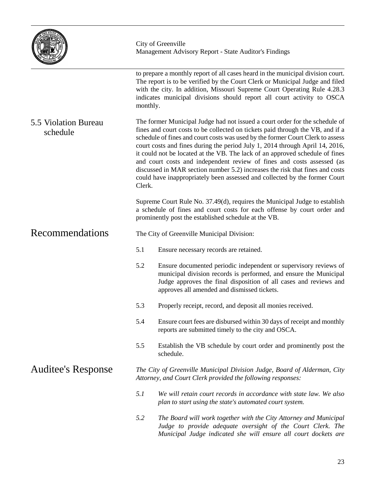|                                  |          | City of Greenville<br>Management Advisory Report - State Auditor's Findings                                                                                                                                                                                                                                                                                                                                                                                                                                                                                                                                                                             |
|----------------------------------|----------|---------------------------------------------------------------------------------------------------------------------------------------------------------------------------------------------------------------------------------------------------------------------------------------------------------------------------------------------------------------------------------------------------------------------------------------------------------------------------------------------------------------------------------------------------------------------------------------------------------------------------------------------------------|
|                                  | monthly. | to prepare a monthly report of all cases heard in the municipal division court.<br>The report is to be verified by the Court Clerk or Municipal Judge and filed<br>with the city. In addition, Missouri Supreme Court Operating Rule 4.28.3<br>indicates municipal divisions should report all court activity to OSCA                                                                                                                                                                                                                                                                                                                                   |
| 5.5 Violation Bureau<br>schedule | Clerk.   | The former Municipal Judge had not issued a court order for the schedule of<br>fines and court costs to be collected on tickets paid through the VB, and if a<br>schedule of fines and court costs was used by the former Court Clerk to assess<br>court costs and fines during the period July 1, 2014 through April 14, 2016,<br>it could not be located at the VB. The lack of an approved schedule of fines<br>and court costs and independent review of fines and costs assessed (as<br>discussed in MAR section number 5.2) increases the risk that fines and costs<br>could have inappropriately been assessed and collected by the former Court |
|                                  |          | Supreme Court Rule No. 37.49(d), requires the Municipal Judge to establish<br>a schedule of fines and court costs for each offense by court order and<br>prominently post the established schedule at the VB.                                                                                                                                                                                                                                                                                                                                                                                                                                           |
| Recommendations                  |          | The City of Greenville Municipal Division:                                                                                                                                                                                                                                                                                                                                                                                                                                                                                                                                                                                                              |
|                                  | 5.1      | Ensure necessary records are retained.                                                                                                                                                                                                                                                                                                                                                                                                                                                                                                                                                                                                                  |
|                                  | 5.2      | Ensure documented periodic independent or supervisory reviews of<br>municipal division records is performed, and ensure the Municipal<br>Judge approves the final disposition of all cases and reviews and<br>approves all amended and dismissed tickets.                                                                                                                                                                                                                                                                                                                                                                                               |
|                                  | 5.3      | Properly receipt, record, and deposit all monies received.                                                                                                                                                                                                                                                                                                                                                                                                                                                                                                                                                                                              |
|                                  | 5.4      | Ensure court fees are disbursed within 30 days of receipt and monthly<br>reports are submitted timely to the city and OSCA.                                                                                                                                                                                                                                                                                                                                                                                                                                                                                                                             |
|                                  | 5.5      | Establish the VB schedule by court order and prominently post the<br>schedule.                                                                                                                                                                                                                                                                                                                                                                                                                                                                                                                                                                          |
| <b>Auditee's Response</b>        |          | The City of Greenville Municipal Division Judge, Board of Alderman, City<br>Attorney, and Court Clerk provided the following responses:                                                                                                                                                                                                                                                                                                                                                                                                                                                                                                                 |
|                                  | 5.1      | We will retain court records in accordance with state law. We also<br>plan to start using the state's automated court system.                                                                                                                                                                                                                                                                                                                                                                                                                                                                                                                           |
|                                  | 5.2      | The Board will work together with the City Attorney and Municipal<br>Judge to provide adequate oversight of the Court Clerk. The<br>Municipal Judge indicated she will ensure all court dockets are                                                                                                                                                                                                                                                                                                                                                                                                                                                     |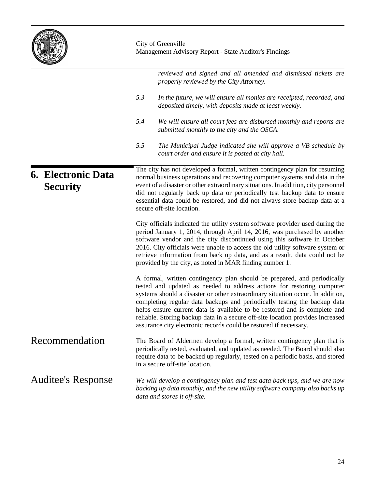|                                              | City of Greenville<br>Management Advisory Report - State Auditor's Findings                                                                                                                                                                                                                                                                                                                                                                                                                                                                         |  |  |  |  |  |  |
|----------------------------------------------|-----------------------------------------------------------------------------------------------------------------------------------------------------------------------------------------------------------------------------------------------------------------------------------------------------------------------------------------------------------------------------------------------------------------------------------------------------------------------------------------------------------------------------------------------------|--|--|--|--|--|--|
|                                              | reviewed and signed and all amended and dismissed tickets are<br>properly reviewed by the City Attorney.                                                                                                                                                                                                                                                                                                                                                                                                                                            |  |  |  |  |  |  |
|                                              | 5.3<br>In the future, we will ensure all monies are receipted, recorded, and<br>deposited timely, with deposits made at least weekly.                                                                                                                                                                                                                                                                                                                                                                                                               |  |  |  |  |  |  |
|                                              | 5.4<br>We will ensure all court fees are disbursed monthly and reports are<br>submitted monthly to the city and the OSCA.                                                                                                                                                                                                                                                                                                                                                                                                                           |  |  |  |  |  |  |
|                                              | 5.5<br>The Municipal Judge indicated she will approve a VB schedule by<br>court order and ensure it is posted at city hall.                                                                                                                                                                                                                                                                                                                                                                                                                         |  |  |  |  |  |  |
| <b>6. Electronic Data</b><br><b>Security</b> | The city has not developed a formal, written contingency plan for resuming<br>normal business operations and recovering computer systems and data in the<br>event of a disaster or other extraordinary situations. In addition, city personnel<br>did not regularly back up data or periodically test backup data to ensure<br>essential data could be restored, and did not always store backup data at a<br>secure off-site location.                                                                                                             |  |  |  |  |  |  |
|                                              | City officials indicated the utility system software provider used during the<br>period January 1, 2014, through April 14, 2016, was purchased by another<br>software vendor and the city discontinued using this software in October<br>2016. City officials were unable to access the old utility software system or<br>retrieve information from back up data, and as a result, data could not be<br>provided by the city, as noted in MAR finding number 1.                                                                                     |  |  |  |  |  |  |
|                                              | A formal, written contingency plan should be prepared, and periodically<br>tested and updated as needed to address actions for restoring computer<br>systems should a disaster or other extraordinary situation occur. In addition,<br>completing regular data backups and periodically testing the backup data<br>helps ensure current data is available to be restored and is complete and<br>reliable. Storing backup data in a secure off-site location provides increased<br>assurance city electronic records could be restored if necessary. |  |  |  |  |  |  |
| Recommendation                               | The Board of Aldermen develop a formal, written contingency plan that is<br>periodically tested, evaluated, and updated as needed. The Board should also<br>require data to be backed up regularly, tested on a periodic basis, and stored<br>in a secure off-site location.                                                                                                                                                                                                                                                                        |  |  |  |  |  |  |
| <b>Auditee's Response</b>                    | We will develop a contingency plan and test data back ups, and we are now<br>backing up data monthly, and the new utility software company also backs up<br>data and stores it off-site.                                                                                                                                                                                                                                                                                                                                                            |  |  |  |  |  |  |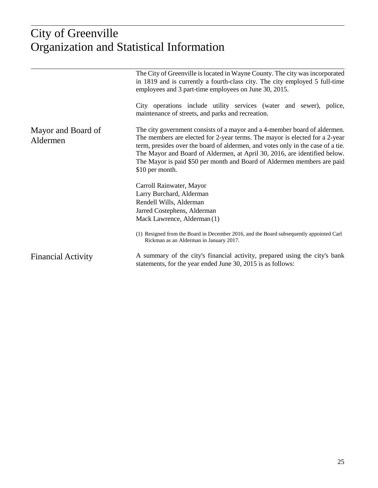# $\frac{1}{2}$ ictical Info Organization and Statistical Information City of Greenville

|                                | The City of Greenville is located in Wayne County. The city was incorporated<br>in 1819 and is currently a fourth-class city. The city employed 5 full-time<br>employees and 3 part-time employees on June 30, 2015.<br>City operations include utility services (water and sewer), police,                                                                                                                            |  |  |  |  |  |
|--------------------------------|------------------------------------------------------------------------------------------------------------------------------------------------------------------------------------------------------------------------------------------------------------------------------------------------------------------------------------------------------------------------------------------------------------------------|--|--|--|--|--|
|                                | maintenance of streets, and parks and recreation.                                                                                                                                                                                                                                                                                                                                                                      |  |  |  |  |  |
| Mayor and Board of<br>Aldermen | The city government consists of a mayor and a 4-member board of aldermen.<br>The members are elected for 2-year terms. The mayor is elected for a 2-year<br>term, presides over the board of aldermen, and votes only in the case of a tie.<br>The Mayor and Board of Aldermen, at April 30, 2016, are identified below.<br>The Mayor is paid \$50 per month and Board of Aldermen members are paid<br>\$10 per month. |  |  |  |  |  |
|                                | Carroll Rainwater, Mayor                                                                                                                                                                                                                                                                                                                                                                                               |  |  |  |  |  |
|                                | Larry Burchard, Alderman                                                                                                                                                                                                                                                                                                                                                                                               |  |  |  |  |  |
|                                | Rendell Wills, Alderman                                                                                                                                                                                                                                                                                                                                                                                                |  |  |  |  |  |
|                                | Jarred Costephens, Alderman                                                                                                                                                                                                                                                                                                                                                                                            |  |  |  |  |  |
|                                | Mack Lawrence, Alderman (1)                                                                                                                                                                                                                                                                                                                                                                                            |  |  |  |  |  |
|                                | (1) Resigned from the Board in December 2016, and the Board subsequently appointed Carl<br>Rickman as an Alderman in January 2017.                                                                                                                                                                                                                                                                                     |  |  |  |  |  |
| <b>Financial Activity</b>      | A summary of the city's financial activity, prepared using the city's bank<br>statements, for the year ended June 30, 2015 is as follows:                                                                                                                                                                                                                                                                              |  |  |  |  |  |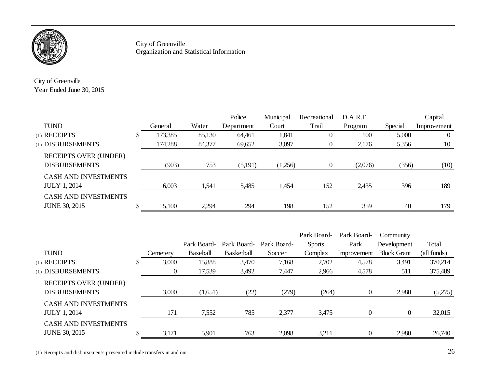

City of Greenville Organization and Statistical Information

City of Greenville Year Ended June 30, 2015

|                              |   |         |        | Police     | Municipal | Recreational | D.A.R.E. |         | Capital        |
|------------------------------|---|---------|--------|------------|-----------|--------------|----------|---------|----------------|
| <b>FUND</b>                  |   | General | Water  | Department | Court     | Trail        | Program  | Special | Improvement    |
| (1) RECEIPTS                 | ◡ | 173,385 | 85,130 | 64,461     | 1,841     | 0            | 100      | 5,000   | $\overline{0}$ |
| (1) DISBURSEMENTS            |   | 174,288 | 84,377 | 69,652     | 3,097     | $\theta$     | 2,176    | 5,356   | 10             |
| <b>RECEIPTS OVER (UNDER)</b> |   |         |        |            |           |              |          |         |                |
| <b>DISBURSEMENTS</b>         |   | (903)   | 753    | (5,191)    | (1,256)   | $\theta$     | (2,076)  | (356)   | (10)           |
| <b>CASH AND INVESTMENTS</b>  |   |         |        |            |           |              |          |         |                |
| <b>JULY 1, 2014</b>          |   | 6,003   | 1,541  | 5,485      | 1,454     | 152          | 2,435    | 396     | 189            |
| <b>CASH AND INVESTMENTS</b>  |   |         |        |            |           |              |          |         |                |
| <b>JUNE 30, 2015</b>         |   | 5,100   | 2,294  | 294        | 198       | 152          | 359      | 40      | 179            |

|                              |   |          |             |                         |        | Park Board-   | Park Board- | Community          |             |
|------------------------------|---|----------|-------------|-------------------------|--------|---------------|-------------|--------------------|-------------|
|                              |   |          | Park Board- | Park Board- Park Board- |        | <b>Sports</b> | Park        | Development        | Total       |
| <b>FUND</b>                  |   | Cemetery | Baseball    | Basketball              | Soccer | Complex       | Improvement | <b>Block Grant</b> | (all funds) |
| (1) RECEIPTS                 | P | 3,000    | 15,888      | 3,470                   | 7,168  | 2,702         | 4,578       | 3,491              | 370,214     |
| (1) DISBURSEMENTS            |   | $\theta$ | 17,539      | 3,492                   | 7,447  | 2,966         | 4,578       | 511                | 375,489     |
| <b>RECEIPTS OVER (UNDER)</b> |   |          |             |                         |        |               |             |                    |             |
| <b>DISBURSEMENTS</b>         |   | 3,000    | (1,651)     | (22)                    | (279)  | (264)         | $\Omega$    | 2,980              | (5,275)     |
| <b>CASH AND INVESTMENTS</b>  |   |          |             |                         |        |               |             |                    |             |
| <b>JULY 1, 2014</b>          |   | 171      | 7,552       | 785                     | 2,377  | 3,475         | $\Omega$    | $\theta$           | 32,015      |
| <b>CASH AND INVESTMENTS</b>  |   |          |             |                         |        |               |             |                    |             |
| <b>JUNE 30, 2015</b>         |   | 3,171    | 5,901       | 763                     | 2,098  | 3,211         | 0           | 2,980              | 26,740      |

(1) Receipts and disbursements presented include transfers in and out.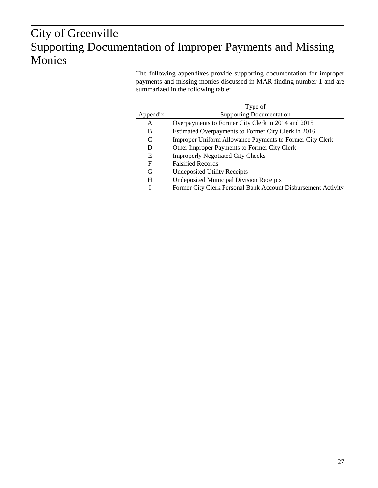# $\sigma$ ion of Supporting Documentation of Improper Payments and Missing City of Greenville Monies

The following appendixes provide supporting documentation for improper payments and missing monies discussed in MAR finding number 1 and are summarized in the following table:

|          | Type of                                                         |
|----------|-----------------------------------------------------------------|
| Appendix | <b>Supporting Documentation</b>                                 |
| A        | Overpayments to Former City Clerk in 2014 and 2015              |
| B        | Estimated Overpayments to Former City Clerk in 2016             |
|          | <b>Improper Uniform Allowance Payments to Former City Clerk</b> |
| D        | Other Improper Payments to Former City Clerk                    |
| Ε        | <b>Improperly Negotiated City Checks</b>                        |
| F        | <b>Falsified Records</b>                                        |
| G        | <b>Undeposited Utility Receipts</b>                             |
| H        | <b>Undeposited Municipal Division Receipts</b>                  |
|          | Former City Clerk Personal Bank Account Disbursement Activity   |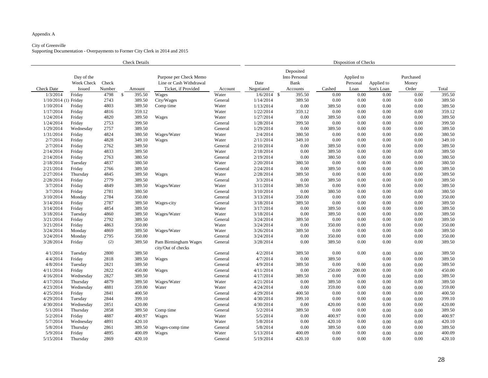# City of Greenville

| <b>Check Details</b>                                                                   |               |        |                         |                                            | Disposition of Checks |                                           |          |                        |            |                    |          |        |
|----------------------------------------------------------------------------------------|---------------|--------|-------------------------|--------------------------------------------|-----------------------|-------------------------------------------|----------|------------------------|------------|--------------------|----------|--------|
| Day of the<br>Purpose per Check Memo<br>Week Check<br>Check<br>Line or Cash Withdrawal |               |        |                         |                                            | Date                  | Deposited<br>Into Personal<br><b>Bank</b> |          | Applied to<br>Personal | Applied to | Purchased<br>Money |          |        |
| <b>Check Date</b>                                                                      | <b>Issued</b> | Number | Amount                  | Ticket, if Provided                        | Account               | Negotiated                                | Accounts | Cashed                 | Loan       | Son's Loan         | Order    | Total  |
| 1/3/2014                                                                               | Friday        | 4798   | 395.50<br>$\mathcal{S}$ | Wages                                      | Water                 | $1/6/2014$ \$                             | 395.50   | 0.00                   | 0.00       | 0.00               | 0.00     | 395.50 |
| 1/10/2014 (1) Friday                                                                   |               | 2743   | 389.50                  | City/Wages                                 | General               | 1/14/2014                                 | 389.50   | 0.00                   | 0.00       | 0.00               | 0.00     | 389.50 |
| 1/10/2014                                                                              | Friday        | 4803   | 389.50                  | Comp time                                  | Water                 | 1/13/2014                                 | 0.00     | 389.50                 | 0.00       | 0.00               | 0.00     | 389.50 |
| 1/17/2014                                                                              | Friday        | 4816   | 359.12                  |                                            | Water                 | 1/22/2014                                 | 359.12   | 0.00                   | 0.00       | 0.00               | 0.00     | 359.12 |
| 1/24/2014                                                                              | Friday        | 4820   | 389.50                  | Wages                                      | Water                 | 1/27/2014                                 | 0.00     | 389.50                 | 0.00       | 0.00               | 0.00     | 389.50 |
| 1/24/2014                                                                              | Friday        | 2753   | 399.50                  |                                            | General               | 1/28/2014                                 | 399.50   | 0.00                   | 0.00       | 0.00               | 0.00     | 399.50 |
| 1/29/2014                                                                              | Wednesday     | 2757   | 389.50                  |                                            | General               | 1/29/2014                                 | 0.00     | 389.50                 | 0.00       | 0.00               | 0.00     | 389.50 |
| 1/31/2014                                                                              | Friday        | 4824   | 380.50                  | Wages/Water                                | Water                 | 2/4/2014                                  | 380.50   | 0.00                   | 0.00       | 0.00               | 0.00     | 380.50 |
| 2/7/2014                                                                               | Friday        | 4828   | 349.10                  | Wages                                      | Water                 | 2/11/2014                                 | 349.10   | 0.00                   | 0.00       | 0.00               | 0.00     | 349.10 |
| 2/7/2014                                                                               | Friday        | 2762   | 389.50                  |                                            | General               | 2/10/2014                                 | 0.00     | 389.50                 | 0.00       | 0.00               | 0.00     | 389.50 |
| 2/14/2014                                                                              | Friday        | 4833   | 389.50                  |                                            | Water                 | 2/18/2014                                 | 0.00     | 389.50                 | 0.00       | 0.00               | 0.00     | 389.50 |
| 2/14/2014                                                                              | Friday        | 2763   | 380.50                  |                                            | General               | 2/19/2014                                 | 0.00     | 380.50                 | 0.00       | 0.00               | 0.00     | 380.50 |
| 2/18/2014                                                                              | Tuesday       | 4837   | 380.50                  |                                            | Water                 | 2/20/2014                                 | 380.50   | 0.00                   | 0.00       | 0.00               | 0.00     | 380.50 |
| 2/21/2014                                                                              | Friday        | 2766   | 389.50                  |                                            | General               | 2/24/2014                                 | 0.00     | 389.50                 | 0.00       | 0.00               | 0.00     | 389.50 |
| 2/27/2014                                                                              | Thursday      | 4845   | 389.50                  | Wages                                      | Water                 | 2/28/2014                                 | 389.50   | 0.00                   | 0.00       | 0.00               | 0.00     | 389.50 |
| 2/28/2014                                                                              | Friday        | 2779   | 389.50                  |                                            | General               | 3/3/2014                                  | 0.00     | 389.50                 | 0.00       | 0.00               | 0.00     | 389.50 |
| 3/7/2014                                                                               | Friday        | 4849   | 389.50                  | Wages/Water                                | Water                 | 3/11/2014                                 | 389.50   | 0.00                   | 0.00       | 0.00               | 0.00     | 389.50 |
| 3/7/2014                                                                               | Friday        | 2781   | 380.50                  |                                            | General               | 3/10/2014                                 | 0.00     | 380.50                 | 0.00       | 0.00               | 0.00     | 380.50 |
| 3/10/2014                                                                              | Monday        | 2784   | 350.00                  |                                            | General               | 3/13/2014                                 | 350.00   | 0.00                   | 0.00       | 0.00               | 0.00     | 350.00 |
| 3/14/2014                                                                              | Friday        | 2787   | 389.50                  | Wages-city                                 | General               | 3/18/2014                                 | 389.50   | 0.00                   | 0.00       | 0.00               | 0.00     | 389.50 |
| 3/14/2014                                                                              | Friday        | 4854   | 389.50                  |                                            | Water                 | 3/17/2014                                 | 0.00     | 389.50                 | 0.00       | 0.00               | 0.00     | 389.50 |
| 3/18/2014                                                                              | Tuesday       | 4860   | 389.50                  | Wages/Water                                | Water                 | 3/18/2014                                 | 0.00     | 389.50                 | 0.00       | 0.00               | 0.00     | 389.50 |
| 3/21/2014                                                                              | Friday        | 2792   | 389.50                  |                                            | General               | 3/24/2014                                 | 389.50   | 0.00                   | 0.00       | 0.00               | 0.00     | 389.50 |
| 3/21/2014                                                                              | Friday        | 4863   | 350.00                  |                                            | Water                 | 3/24/2014                                 | 0.00     | 350.00                 | 0.00       | 0.00               | 0.00     | 350.00 |
| 3/24/2014                                                                              | Monday        | 4869   | 389.50                  | Wages/Water                                | Water                 | 3/26/2014                                 | 389.50   | 0.00                   | 0.00       | 0.00               | 0.00     | 389.50 |
| 3/24/2014                                                                              | Monday        | 2795   | 350.00                  |                                            | General               | 3/24/2014                                 | 0.00     | 350.00                 | $0.00\,$   | $0.00\,$           | $0.00\,$ | 350.00 |
| 3/28/2014                                                                              | Friday        | (2)    | 389.50                  | Pam Birmingham Wages<br>city/Out of checks | General               | 3/28/2014                                 | 0.00     | 389.50                 | 0.00       | 0.00               | 0.00     | 389.50 |
| 4/1/2014                                                                               | Tuesday       | 2800   | 389.50                  |                                            | General               | 4/2/2014                                  | 389.50   | 0.00                   | 0.00       | 0.00               | 0.00     | 389.50 |
| 4/4/2014                                                                               | Friday        | 2818   | 389.50                  | Wages                                      | General               | 4/7/2014                                  | 0.00     | 389.50                 |            | 0.00               | 0.00     | 389.50 |
| 4/8/2014                                                                               | Tuesday       | 2821   | 389.50                  |                                            | General               | 4/9/2014                                  | 389.50   | 0.00                   | 0.00       | 0.00               | 0.00     | 389.50 |
| 4/11/2014                                                                              | Friday        | 2822   | 450.00                  | Wages                                      | General               | 4/11/2014                                 | 0.00     | 250.00                 | 200.00     | 0.00               | 0.00     | 450.00 |
| 4/16/2014                                                                              | Wednesday     | 2827   | 389.50                  |                                            | General               | 4/17/2014                                 | 389.50   | 0.00                   | 0.00       | 0.00               | 0.00     | 389.50 |
| 4/17/2014                                                                              | Thursday      | 4879   | 389.50                  | Wages/Water                                | Water                 | 4/21/2014                                 | 0.00     | 389.50                 | 0.00       | 0.00               | 0.00     | 389.50 |
| 4/23/2014                                                                              | Wednesday     | 4881   | 359.00                  | Water                                      | Water                 | 4/24/2014                                 | 0.00     | 359.00                 | 0.00       | 0.00               | 0.00     | 359.00 |
| 4/25/2014                                                                              | Friday        | 2841   | 400.50                  |                                            | General               | 4/29/2014                                 | 400.50   | 0.00                   | 0.00       | 0.00               | 0.00     | 400.50 |
| 4/29/2014                                                                              | Tuesday       | 2844   | 399.10                  |                                            | General               | 4/30/2014                                 | 399.10   | 0.00                   | 0.00       | 0.00               | 0.00     | 399.10 |
| 4/30/2014                                                                              | Wednesday     | 2851   | 420.00                  |                                            | General               | 4/30/2014                                 | 0.00     | 420.00                 | 0.00       | 0.00               | 0.00     | 420.00 |
| 5/1/2014                                                                               | Thursday      | 2858   | 389.50                  | Comp time                                  | General               | 5/2/2014                                  | 389.50   | 0.00                   | 0.00       | 0.00               | 0.00     | 389.50 |
| 5/2/2014                                                                               | Friday        | 4887   | 400.97                  | Wages                                      | Water                 | 5/5/2014                                  | 0.00     | 400.97                 | 0.00       | 0.00               | 0.00     | 400.97 |
| 5/7/2014                                                                               | Wednesday     | 4891   | 420.10                  |                                            | Water                 | 5/8/2014                                  | 0.00     | 420.10                 | 0.00       | 0.00               | 0.00     | 420.10 |
| 5/8/2014                                                                               | Thursday      | 2861   | 389.50                  | Wages-comp time                            | General               | 5/8/2014                                  | 0.00     | 389.50                 | 0.00       | 0.00               | 0.00     | 389.50 |
| 5/9/2014                                                                               | Friday        | 4895   | 400.09                  | Wages                                      | Water                 | 5/13/2014                                 | 400.09   | 0.00                   | 0.00       | 0.00               | 0.00     | 400.09 |
| 5/15/2014                                                                              | Thursday      | 2869   | 420.10                  |                                            | General               | 5/19/2014                                 | 420.10   | 0.00                   | 0.00       | 0.00               | 0.00     | 420.10 |
|                                                                                        |               |        |                         |                                            |                       |                                           |          |                        |            |                    |          |        |

| ion of Checks |  |
|---------------|--|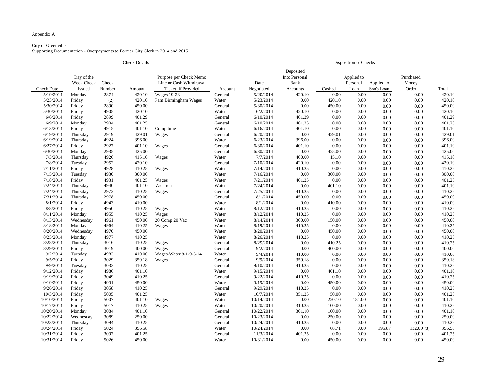# City of Greenville

|                   | <b>Check Details</b>               |                 |        |                                                                          |         |                    | Disposition of Checks                                 |        |                                |                          |                             |        |  |  |
|-------------------|------------------------------------|-----------------|--------|--------------------------------------------------------------------------|---------|--------------------|-------------------------------------------------------|--------|--------------------------------|--------------------------|-----------------------------|--------|--|--|
| <b>Check Date</b> | Day of the<br>Week Check<br>Issued | Check<br>Number | Amount | Purpose per Check Memo<br>Line or Cash Withdrawal<br>Ticket, if Provided | Account | Date<br>Negotiated | Deposited<br>Into Personal<br><b>Bank</b><br>Accounts | Cashed | Applied to<br>Personal<br>Loan | Applied to<br>Son's Loan | Purchased<br>Money<br>Order | Total  |  |  |
| 5/19/2014         | Monday                             | 2874            | 420.10 | <b>Wages 19-23</b>                                                       | General | 5/20/2014          | 420.10                                                | 0.00   | 0.00                           | 0.00                     | 0.00                        | 420.10 |  |  |
| 5/23/2014         | Friday                             | (2)             | 420.10 | Pam Birmingham Wages                                                     | Water   | 5/23/2014          | 0.00                                                  | 420.10 | 0.00                           | 0.00                     | 0.00                        | 420.10 |  |  |
| 5/30/2014         | Friday                             | 2890            | 450.00 |                                                                          | General | 5/30/2014          | 0.00                                                  | 450.00 | 0.00                           | 0.00                     | 0.00                        | 450.00 |  |  |
| 5/30/2014         | Friday                             | 4905            | 420.10 |                                                                          | Water   | 6/2/2014           | 420.10                                                | 0.00   | 0.00                           | 0.00                     | 0.00                        | 420.10 |  |  |
| 6/6/2014          | Friday                             | 2899            | 401.29 |                                                                          | General | 6/10/2014          | 401.29                                                | 0.00   | 0.00                           | 0.00                     | 0.00                        | 401.29 |  |  |
| 6/9/2014          | Monday                             | 2904            | 401.25 |                                                                          | General | 6/10/2014          | 401.25                                                | 0.00   | 0.00                           | 0.00                     | 0.00                        | 401.25 |  |  |
| 6/13/2014         | Friday                             | 4915            | 401.10 | Comp time                                                                | Water   | 6/16/2014          | 401.10                                                | 0.00   | 0.00                           | 0.00                     | 0.00                        | 401.10 |  |  |
| 6/19/2014         | Thursday                           | 2919            | 429.01 | Wages                                                                    | General | 6/20/2014          | 0.00                                                  | 429.01 | 0.00                           | 0.00                     | 0.00                        | 429.01 |  |  |
| 6/19/2014         | Thursday                           | 4924            | 396.00 |                                                                          | Water   | 6/23/2014          | 396.00                                                | 0.00   | 0.00                           | 0.00                     | 0.00                        | 396.00 |  |  |
| 6/27/2014         | Friday                             | 2927            | 401.10 | Wages                                                                    | General | 6/30/2014          | 401.10                                                | 0.00   | 0.00                           | 0.00                     | 0.00                        | 401.10 |  |  |
| 6/30/2014         | Monday                             | 2935            | 425.00 |                                                                          | General | 6/30/2014          | $0.00\,$                                              | 425.00 | 0.00                           | 0.00                     | 0.00                        | 425.00 |  |  |
| 7/3/2014          | Thursday                           | 4926            | 415.10 | Wages                                                                    | Water   | 7/7/2014           | 400.00                                                | 15.10  | 0.00                           | 0.00                     | 0.00                        | 415.10 |  |  |
| 7/8/2014          | Tuesday                            | 2952            | 420.10 |                                                                          | General | 7/10/2014          | 420.10                                                | 0.00   | 0.00                           | 0.00                     | 0.00                        | 420.10 |  |  |
| 7/11/2014         | Friday                             | 4928            | 410.25 | Wages                                                                    | Water   | 7/14/2014          | 410.25                                                | 0.00   | 0.00                           | 0.00                     | 0.00                        | 410.25 |  |  |
| 7/15/2014         | Tuesday                            | 4930            | 300.00 |                                                                          | Water   | 7/16/2014          | 0.00                                                  | 300.00 | 0.00                           | 0.00                     | 0.00                        | 300.00 |  |  |
| 7/18/2014         | Friday                             | 4931            | 401.25 | Wages                                                                    | Water   | 7/21/2014          | 401.25                                                | 0.00   | 0.00                           | 0.00                     | 0.00                        | 401.25 |  |  |
| 7/24/2014         | Thursday                           | 4940            | 401.10 | Vacation                                                                 | Water   | 7/24/2014          | 0.00                                                  | 401.10 | 0.00                           | 0.00                     | 0.00                        | 401.10 |  |  |
| 7/24/2014         | Thursday                           | 2972            | 410.25 | Wages                                                                    | General | 7/25/2014          | 410.25                                                | 0.00   | 0.00                           | 0.00                     | 0.00                        | 410.25 |  |  |
| 7/31/2014         | Thursday                           | 2978            | 450.00 |                                                                          | General | 8/1/2014           | 450.00                                                | 0.00   | 0.00                           | 0.00                     | 0.00                        | 450.00 |  |  |
| 8/1/2014          | Friday                             | 4943            | 410.00 |                                                                          | Water   | 8/1/2014           | $0.00\,$                                              | 410.00 | 0.00                           | 0.00                     | 0.00                        | 410.00 |  |  |
| 8/8/2014          | Friday                             | 4950            | 410.25 | Wages                                                                    | Water   | 8/12/2014          | 410.25                                                | 0.00   | 0.00                           | 0.00                     | 0.00                        | 410.25 |  |  |
| 8/11/2014         | Monday                             | 4955            | 410.25 | Wages                                                                    | Water   | 8/12/2014          | 410.25                                                | 0.00   | 0.00                           | 0.00                     | 0.00                        | 410.25 |  |  |
| 8/13/2014         | Wednesday                          | 4961            | 450.00 | 20 Comp 20 Vac                                                           | Water   | 8/14/2014          | 300.00                                                | 150.00 | 0.00                           | 0.00                     | 0.00                        | 450.00 |  |  |
| 8/18/2014         | Monday                             | 4964            | 410.25 | Wages                                                                    | Water   | 8/19/2014          | 410.25                                                | 0.00   | 0.00                           | 0.00                     | 0.00                        | 410.25 |  |  |
| 8/20/2014         | Wednesday                          | 4970            | 450.00 |                                                                          | Water   | 8/20/2014          | 0.00                                                  | 450.00 | 0.00                           | 0.00                     | 0.00                        | 450.00 |  |  |
| 8/25/2014         | Monday                             | 4977            | 410.25 |                                                                          | Water   | 8/26/2014          | 410.25                                                | 0.00   | 0.00                           | 0.00                     | 0.00                        | 410.25 |  |  |
| 8/28/2014         | Thursday                           | 3016            | 410.25 | Wages                                                                    | General | 8/29/2014          | 0.00                                                  | 410.25 | 0.00                           | 0.00                     | 0.00                        | 410.25 |  |  |
| 8/29/2014         | Friday                             | 3019            | 400.00 | Wages                                                                    | General | 9/2/2014           | 0.00                                                  | 400.00 | 0.00                           | 0.00                     | 0.00                        | 400.00 |  |  |
| 9/2/2014          | Tuesday                            | 4983            | 410.00 | Wages-Water 9-1-9-5-14                                                   | Water   | 9/4/2014           | 410.00                                                | 0.00   | 0.00                           | 0.00                     | 0.00                        | 410.00 |  |  |
| 9/5/2014          | Friday                             | 3029            | 359.18 | Wages                                                                    | General | 9/9/2014           | 359.18                                                | 0.00   | 0.00                           | 0.00                     | 0.00                        | 359.18 |  |  |
| 9/9/2014          | Tuesday                            | 3033            | 410.25 |                                                                          | General | 9/10/2014          | 410.25                                                | 0.00   | 0.00                           | 0.00                     | 0.00                        | 410.25 |  |  |
| 9/12/2014         | Friday                             | 4986            | 401.10 |                                                                          | Water   | 9/15/2014          | 0.00                                                  | 401.10 | 0.00                           | 0.00                     | 0.00                        | 401.10 |  |  |
| 9/19/2014         | Friday                             | 3049            | 410.25 |                                                                          | General | 9/22/2014          | 410.25                                                | 0.00   | 0.00                           | 0.00                     | 0.00                        | 410.25 |  |  |
| 9/19/2014         | Friday                             | 4991            | 450.00 |                                                                          | Water   | 9/19/2014          | 0.00                                                  | 450.00 | 0.00                           | 0.00                     | 0.00                        | 450.00 |  |  |
| 9/26/2014         | Friday                             | 3058            | 410.25 |                                                                          | General | 9/29/2014          | 410.25                                                | 0.00   | 0.00                           | 0.00                     | 0.00                        | 410.25 |  |  |
| 10/3/2014         | Friday                             | 5005            | 401.25 |                                                                          | Water   | 10/7/2014          | 351.25                                                | 50.00  | 0.00                           | 0.00                     | 0.00                        | 401.25 |  |  |
| 10/10/2014        | Friday                             | 5007            | 401.10 | Wages                                                                    | Water   | 10/14/2014         | 0.00                                                  | 220.10 | 181.00                         | 0.00                     | 0.00                        | 401.10 |  |  |
| 10/17/2014        | Friday                             | 5017            | 410.25 | Wages                                                                    | Water   | 10/20/2014         | 310.25                                                | 100.00 | 0.00                           | 0.00                     | 0.00                        | 410.25 |  |  |
| 10/20/2014        | Monday                             | 3084            | 401.10 |                                                                          | General | 10/22/2014         | 301.10                                                | 100.00 | 0.00                           | 0.00                     | 0.00                        | 401.10 |  |  |
| 10/22/2014        | Wednesday                          | 3089            | 250.00 |                                                                          | General | 10/23/2014         | 0.00                                                  | 250.00 | 0.00                           | 0.00                     | 0.00                        | 250.00 |  |  |
| 10/23/2014        | Thursday                           | 3094            | 410.25 |                                                                          | General | 10/24/2014         | 410.25                                                | 0.00   | 0.00                           | 0.00                     | 0.00                        | 410.25 |  |  |
| 10/24/2014        | Friday                             | 5024            | 396.58 |                                                                          | Water   | 10/24/2014         | 0.00                                                  | 68.71  | 0.00                           | 195.87                   | 132.00(3)                   | 396.58 |  |  |
| 10/31/2014        | Friday                             | 3097            | 401.25 |                                                                          | General | 11/3/2014          | 401.25                                                | 0.00   | 0.00                           | 0.00                     | 0.00                        | 401.25 |  |  |
| 10/31/2014        | Friday                             | 5026            | 450.00 |                                                                          | Water   | 10/31/2014         | 0.00                                                  | 450.00 | 0.00                           | 0.00                     | 0.00                        | 450.00 |  |  |

|  | ion of Checks |
|--|---------------|
|  |               |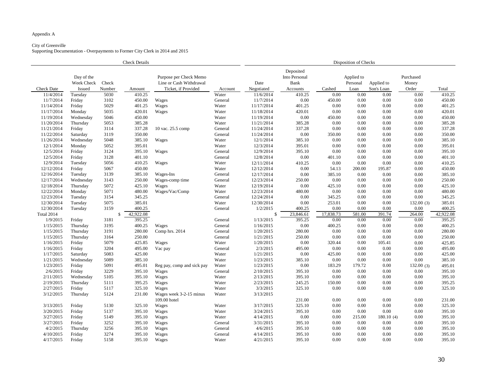# City of Greenville

| <b>Check Details</b> |                          |        |           |                                                   |         | Disposition of Checks |                                           |           |                        |            |                    |           |  |
|----------------------|--------------------------|--------|-----------|---------------------------------------------------|---------|-----------------------|-------------------------------------------|-----------|------------------------|------------|--------------------|-----------|--|
|                      | Day of the<br>Week Check | Check  |           | Purpose per Check Memo<br>Line or Cash Withdrawal |         | Date                  | Deposited<br>Into Personal<br><b>Bank</b> |           | Applied to<br>Personal | Applied to | Purchased<br>Money |           |  |
| <b>Check Date</b>    | <b>Issued</b>            | Number | Amount    | Ticket, if Provided                               | Account | Negotiated            | Accounts                                  | Cashed    | Loan                   | Son's Loan | Order              | Total     |  |
| 11/4/2014            | Tuesday                  | 5030   | 410.25    |                                                   | Water   | 11/6/2014             | 410.25                                    | 0.00      | 0.00                   | 0.00       | 0.00               | 410.25    |  |
| 11/7/2014            | Friday                   | 3102   | 450.00    | Wages                                             | General | 11/7/2014             | 0.00                                      | 450.00    | 0.00                   | 0.00       | 0.00               | 450.00    |  |
| 11/14/2014           | Friday                   | 5029   | 401.25    | Wages                                             | Water   | 11/17/2014            | 401.25                                    | 0.00      | 0.00                   | 0.00       | 0.00               | 401.25    |  |
| 11/17/2014           | Monday                   | 5035   | 420.01    | Wages                                             | Water   | 11/18/2014            | 420.01                                    | 0.00      | 0.00                   | 0.00       | 0.00               | 420.01    |  |
| 11/19/2014           | Wednesday                | 5046   | 450.00    |                                                   | Water   | 11/19/2014            | 0.00                                      | 450.00    | 0.00                   | 0.00       | 0.00               | 450.00    |  |
| 11/20/2014           | Thursday                 | 5053   | 385.28    |                                                   | Water   | 11/21/2014            | 385.28                                    | 0.00      | 0.00                   | 0.00       | 0.00               | 385.28    |  |
| 11/21/2014           | Friday                   | 3114   | 337.28    | 10 vac. 25.5 comp                                 | General | 11/24/2014            | 337.28                                    | 0.00      | 0.00                   | 0.00       | 0.00               | 337.28    |  |
| 11/22/2014           | Saturday                 | 3119   | 350.00    |                                                   | General | 11/24/2014            | 0.00                                      | 350.00    | 0.00                   | 0.00       | 0.00               | 350.00    |  |
| 11/26/2014           | Wednesday                | 5048   | 385.10    | Wages                                             | Water   | 12/1/2014             | 385.10                                    | 0.00      | 0.00                   | 0.00       | 0.00               | 385.10    |  |
| 12/1/2014            | Monday                   | 5052   | 395.01    |                                                   | Water   | 12/3/2014             | 395.01                                    | 0.00      | 0.00                   | 0.00       | 0.00               | 395.01    |  |
| 12/5/2014            | Friday                   | 3124   | 395.10    | Wages                                             | General | 12/9/2014             | 395.10                                    | 0.00      | 0.00                   | 0.00       | 0.00               | 395.10    |  |
| 12/5/2014            | Friday                   | 3128   | 401.10    |                                                   | General | 12/8/2014             | 0.00                                      | 401.10    | 0.00                   | 0.00       | 0.00               | 401.10    |  |
| 12/9/2014            | Tuesday                  | 5056   | 410.25    | Wages                                             | Water   | 12/11/2014            | 410.25                                    | 0.00      | 0.00                   | 0.00       | 0.00               | 410.25    |  |
| 12/12/2014           | Friday                   | 5067   | 450.00    |                                                   | Water   | 12/12/2014            | 0.00                                      | 54.13     | 200.00                 | 195.87     | 0.00               | 450.00    |  |
| 12/16/2014           | Tuesday                  | 3139   | 385.10    | Wages-Ins                                         | General | 12/17/2014            | 0.00                                      | 385.10    | 0.00                   | 0.00       | 0.00               | 385.10    |  |
| 12/17/2014           | Wednesday                | 3143   | 250.00    | Wages-comp time                                   | General | 12/23/2014            | 250.00                                    | 0.00      | 0.00                   | 0.00       | 0.00               | 250.00    |  |
| 12/18/2014           | Thursday                 | 5072   | 425.10    | Wages                                             | Water   | 12/19/2014            | 0.00                                      | 425.10    | 0.00                   | 0.00       | 0.00               | 425.10    |  |
| 12/22/2014           | Monday                   | 5071   | 480.00    | Wages/Vac/Comp                                    | Water   | 12/23/2014            | 480.00                                    | 0.00      | 0.00                   | 0.00       | 0.00               | 480.00    |  |
| 12/23/2014           | Tuesday                  | 3154   | 345.25    |                                                   | General | 12/24/2014            | 0.00                                      | 345.25    | 0.00                   | 0.00       | 0.00               | 345.25    |  |
| 12/30/2014           | Tuesday                  | 5075   | 385.01    |                                                   | Water   | 12/30/2014            | 0.00                                      | 253.01    | 0.00                   | 0.00       | 132.00(3)          | 385.01    |  |
| 12/30/2014           | Tuesday                  | 3159   | 400.25    |                                                   | General | 1/2/2015              | 400.25                                    | 0.00      | 0.00                   | 0.00       | 0.00               | 400.25    |  |
| Total 2014           |                          |        | 42,922.08 |                                                   |         |                       | 23,846.61                                 | 17,838.73 | 581.00                 | 391.74     | 264.00             | 42,922.08 |  |
| 1/9/2015             | Friday                   | 3181   | 395.25    |                                                   | General | 1/13/2015             | 395.25                                    | 0.00      | 0.00                   | 0.00       | 0.00               | 395.25    |  |
| 1/15/2015            | Thursday                 | 3195   | 400.25    | Wages                                             | General | 1/16/2015             | 0.00                                      | 400.25    | 0.00                   | 0.00       | 0.00               | 400.25    |  |
| 1/15/2015            | Thursday                 | 3191   | 280.00    | Comp hrs. 2014                                    | General | 1/20/2015             | 280.00                                    | 0.00      | 0.00                   | 0.00       | 0.00               | 280.00    |  |
| 1/15/2015            | Thursday                 | 3164   | 250.00    |                                                   | General | 1/21/2015             | 250.00                                    | 0.00      | 0.00                   | 0.00       | 0.00               | 250.00    |  |
| 1/16/2015            | Friday                   | 5079   | 425.85    | Wages                                             | Water   | 1/20/2015             | 0.00                                      | 320.44    | 0.00                   | 105.41     | 0.00               | 425.85    |  |
| 1/16/2015            | Friday                   | 3204   | 495.00    | Vac pay                                           | General | 2/3/2015              | 495.00                                    | 0.00      | 0.00                   | 0.00       | 0.00               | 495.00    |  |
| 1/17/2015            | Saturday                 | 5083   | 425.00    |                                                   | Water   | 1/21/2015             | 0.00                                      | 425.00    | 0.00                   | 0.00       | 0.00               | 425.00    |  |
| 1/21/2015            | Wednesday                | 5089   | 385.10    |                                                   | Water   | 1/23/2015             | 385.10                                    | 0.00      | 0.00                   | 0.00       | 0.00               | 385.10    |  |
| 1/23/2015            | Friday                   | 5091   | 495.01    | Reg pay, comp and sick pay                        | Water   | 1/23/2015             | 0.00                                      | 183.29    | 179.72                 | 0.00       | 132.00(3)          | 495.01    |  |
| 2/6/2015             | Friday                   | 3229   | 395.10    | Wages                                             | General | 2/10/2015             | 395.10                                    | 0.00      | 0.00                   | 0.00       | 0.00               | 395.10    |  |
| 2/11/2015            | Wednesday                | 5105   | 395.10    | Wages                                             | Water   | 2/13/2015             | 395.10                                    | 0.00      | 0.00                   | 0.00       | 0.00               | 395.10    |  |
| 2/19/2015            | Thursday                 | 5111   | 395.25    | Wages                                             | Water   | 2/23/2015             | 245.25                                    | 150.00    | 0.00                   | 0.00       | 0.00               | 395.25    |  |
| 2/27/2015            | Friday                   | 5117   | 325.10    | Wages                                             | Water   | 3/3/2015              | 325.10                                    | 0.00      | 0.00                   | 0.00       | 0.00               | 325.10    |  |
| 3/12/2015            | Thursday                 | 5124   | 231.00    | Wages week 3-2-15 minus<br>109.00 hotel           | Water   | 3/13/2015             | 231.00                                    | 0.00      | 0.00                   | 0.00       | 0.00               | 231.00    |  |
| 3/13/2015            | Friday                   | 5130   | 325.10    | Wages                                             | Water   | 3/17/2015             | 325.10                                    | 0.00      | 0.00                   | 0.00       | 0.00               | 325.10    |  |
| 3/20/2015            | Friday                   | 5137   | 395.10    | Wages                                             | Water   | 3/24/2015             | 395.10                                    | 0.00      | 0.00                   | 0.00       | 0.00               | 395.10    |  |
| 3/27/2015            | Friday                   | 5149   | 395.10    | Wages                                             | Water   | 4/14/2015             | 0.00                                      | 0.00      | 215.00                 | 180.10(4)  | 0.00               | 395.10    |  |
| 3/27/2015            | Friday                   | 3252   | 395.10    | Wages                                             | General | 3/31/2015             | 395.10                                    | 0.00      | 0.00                   | 0.00       | 0.00               | 395.10    |  |
| 4/2/2015             | Thursday                 | 3256   | 395.10    | Wages                                             | General | 4/6/2015              | 395.10                                    | 0.00      | 0.00                   | 0.00       | 0.00               | 395.10    |  |
| 4/10/2015            |                          | 3274   | 395.10    |                                                   | General | 4/14/2015             | 395.10                                    | 0.00      | 0.00                   | 0.00       | 0.00               |           |  |
|                      | Friday                   |        |           | Wages                                             |         |                       |                                           |           |                        |            |                    | 395.10    |  |
| 4/17/2015            | Friday                   | 5158   | 395.10    | Wages                                             | Water   | 4/21/2015             | 395.10                                    | 0.00      | 0.00                   | 0.00       | 0.00               | 395.10    |  |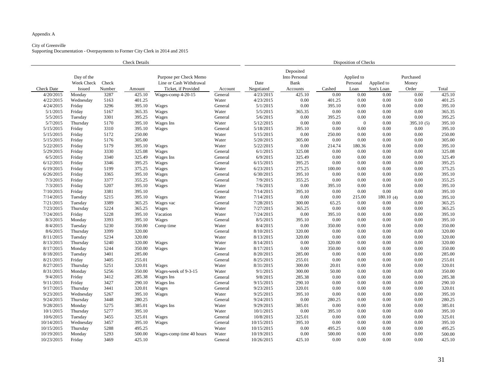# City of Greenville

|                   | <b>Check Details</b>                      |                 |        |                                                                          |         |                    | Disposition of Checks                                 |        |                                |                          |                             |        |  |  |
|-------------------|-------------------------------------------|-----------------|--------|--------------------------------------------------------------------------|---------|--------------------|-------------------------------------------------------|--------|--------------------------------|--------------------------|-----------------------------|--------|--|--|
| <b>Check Date</b> | Day of the<br>Week Check<br><b>Issued</b> | Check<br>Number | Amount | Purpose per Check Memo<br>Line or Cash Withdrawal<br>Ticket, if Provided | Account | Date<br>Negotiated | Deposited<br>Into Personal<br><b>Bank</b><br>Accounts | Cashed | Applied to<br>Personal<br>Loan | Applied to<br>Son's Loan | Purchased<br>Money<br>Order | Total  |  |  |
| 4/20/2015         | Monday                                    | 3287            | 425.10 | Wages-comp 4-20-15                                                       | General | 4/23/2015          | 425.10                                                | 0.00   | 0.00                           | 0.00                     | 0.00                        | 425.10 |  |  |
| 4/22/2015         | Wednesday                                 | 5163            | 401.25 |                                                                          | Water   | 4/23/2015          | 0.00                                                  | 401.25 | 0.00                           | 0.00                     | 0.00                        | 401.25 |  |  |
| 4/24/2015         | Friday                                    | 3296            | 395.10 | Wages                                                                    | General | 5/1/2015           | 0.00                                                  | 395.10 | 0.00                           | 0.00                     | 0.00                        | 395.10 |  |  |
| 5/1/2015          | Friday                                    | 5167            | 365.35 | Wages                                                                    | Water   | 5/5/2015           | 365.35                                                | 0.00   | 0.00                           | 0.00                     | 0.00                        | 365.35 |  |  |
| 5/5/2015          | Tuesday                                   | 3301            | 395.25 | Wages                                                                    | General | 5/6/2015           | 0.00                                                  | 395.25 | 0.00                           | 0.00                     | 0.00                        | 395.25 |  |  |
| 5/7/2015          | Thursday                                  | 5170            | 395.10 | Wages Ins                                                                | Water   | 5/12/2015          | 0.00                                                  | 0.00   | $\overline{0}$                 | 0.00                     | 395.10(5)                   | 395.10 |  |  |
| 5/15/2015         | Friday                                    | 3310            | 395.10 | Wages                                                                    | General | 5/18/2015          | 395.10                                                | 0.00   | 0.00                           | 0.00                     | 0.00                        | 395.10 |  |  |
| 5/15/2015         | Friday                                    | 5172            | 250.00 |                                                                          | Water   | 5/15/2015          | 0.00                                                  | 250.00 | 0.00                           | 0.00                     | 0.00                        | 250.00 |  |  |
| 5/15/2015         | Friday                                    | 5176            | 305.00 |                                                                          | Water   | 5/20/2015          | 305.00                                                | 0.00   | 0.00                           | 0.00                     | 0.00                        | 305.00 |  |  |
| 5/22/2015         | Friday                                    | 5179            | 395.10 | Wages                                                                    | Water   | 5/22/2015          | 0.00                                                  | 214.74 | 180.36                         | 0.00                     | 0.00                        | 395.10 |  |  |
| 5/29/2015         | Friday                                    | 3330            | 325.08 | Wages                                                                    | General | 6/1/2015           | 325.08                                                | 0.00   | 0.00                           | 0.00                     | 0.00                        | 325.08 |  |  |
| 6/5/2015          | Friday                                    | 3340            | 325.49 | Wages Ins                                                                | General | 6/9/2015           | 325.49                                                | 0.00   | 0.00                           | 0.00                     | 0.00                        | 325.49 |  |  |
| 6/12/2015         | Friday                                    | 3346            | 395.25 | Wages                                                                    | General | 6/15/2015          | 395.25                                                | 0.00   | 0.00                           | 0.00                     | 0.00                        | 395.25 |  |  |
| 6/19/2015         | Friday                                    | 5199            | 375.25 | Wages                                                                    | Water   | 6/23/2015          | 275.25                                                | 100.00 | 0.00                           | 0.00                     | 0.00                        | 375.25 |  |  |
| 6/26/2015         | Friday                                    | 3365            | 395.10 | Wages                                                                    | General | 6/30/2015          | 395.10                                                | 0.00   | 0.00                           | 0.00                     | 0.00                        | 395.10 |  |  |
| 7/3/2015          | Friday                                    | 3377            | 355.25 | Wages                                                                    | General | 7/9/2015           | 355.25                                                | 0.00   | 0.00                           | 0.00                     | 0.00                        | 355.25 |  |  |
| 7/3/2015          | Friday                                    | 5207            | 395.10 | Wages                                                                    | Water   | 7/6/2015           | 0.00                                                  | 395.10 | 0.00                           | 0.00                     | 0.00                        | 395.10 |  |  |
| 7/10/2015         | Friday                                    | 3381            | 395.10 |                                                                          | General | 7/14/2015          | 395.10                                                | 0.00   | 0.00                           | 0.00                     | 0.00                        | 395.10 |  |  |
| 7/14/2015         | Tuesday                                   | 5215            | 395.10 | Wages                                                                    | Water   | 7/14/2015          | 0.00                                                  | 0.00   | 215.00                         | 180.10(4)                | 0.00                        | 395.10 |  |  |
| 7/21/2015         | Tuesday                                   | 3389            | 365.25 | Wages vac                                                                | General | 7/28/2015          | 300.00                                                | 65.25  | 0.00                           | 0.00                     | 0.00                        | 365.25 |  |  |
| 7/23/2015         | Thursday                                  | 5224            | 365.25 | Wages                                                                    | Water   | 7/27/2015          | 365.25                                                | 0.00   | 0.00                           | 0.00                     | 0.00                        | 365.25 |  |  |
| 7/24/2015         | Friday                                    | 5228            | 395.10 | Vacation                                                                 | Water   | 7/24/2015          | 0.00                                                  | 395.10 | 0.00                           | 0.00                     | 0.00                        | 395.10 |  |  |
| 8/3/2015          | Monday                                    | 3393            | 395.10 | Wages                                                                    | General | 8/5/2015           | 395.10                                                | 0.00   | 0.00                           | 0.00                     | 0.00                        | 395.10 |  |  |
| 8/4/2015          | Tuesday                                   | 5230            | 350.00 | Comp time                                                                | Water   | 8/4/2015           | 0.00                                                  | 350.00 | 0.00                           | 0.00                     | 0.00                        | 350.00 |  |  |
| 8/6/2015          | Thursday                                  | 3399            | 320.00 |                                                                          | General | 8/10/2015          | 320.00                                                | 0.00   | 0.00                           | 0.00                     | 0.00                        | 320.00 |  |  |
| 8/11/2015         | Tuesday                                   | 5234            | 320.00 |                                                                          | Water   | 8/13/2015          | 320.00                                                | 0.00   | 0.00                           | 0.00                     | 0.00                        | 320.00 |  |  |
| 8/13/2015         | Thursday                                  | 5240            | 320.00 | Wages                                                                    | Water   | 8/14/2015          | 0.00                                                  | 320.00 | 0.00                           | 0.00                     | 0.00                        | 320.00 |  |  |
| 8/17/2015         | Monday                                    | 5244            | 350.00 | Wages                                                                    | Water   | 8/17/2015          | 0.00                                                  | 350.00 | 0.00                           | 0.00                     | 0.00                        | 350.00 |  |  |
| 8/18/2015         | Tuesday                                   | 3401            | 285.00 |                                                                          | General | 8/20/2015          | 285.00                                                | 0.00   | 0.00                           | 0.00                     | 0.00                        | 285.00 |  |  |
| 8/21/2015         | Friday                                    | 3405            | 255.01 |                                                                          | General | 8/25/2015          | 255.01                                                | 0.00   | 0.00                           | 0.00                     | 0.00                        | 255.01 |  |  |
| 8/27/2015         | Thursday                                  | 5251            | 320.01 | Wages                                                                    | Water   | 8/31/2015          | 300.00                                                | 20.01  | 0.00                           | 0.00                     | 0.00                        | 320.01 |  |  |
| 8/31/2015         | Monday                                    | 5256            | 350.00 | Wages-week of 9-3-15                                                     | Water   | 9/1/2015           | 300.00                                                | 50.00  | 0.00                           | 0.00                     | 0.00                        | 350.00 |  |  |
| 9/4/2015          | Friday                                    | 3412            | 285.38 | Wages Ins                                                                | General | 9/8/2015           | 285.38                                                | 0.00   | 0.00                           | 0.00                     | 0.00                        | 285.38 |  |  |
| 9/11/2015         | Friday                                    | 3427            | 290.10 | Wages Ins                                                                | General | 9/15/2015          | 290.10                                                | 0.00   | 0.00                           | 0.00                     | 0.00                        | 290.10 |  |  |
| 9/17/2015         | Thursday                                  | 3441            | 320.01 | Wages                                                                    | General | 9/23/2015          | 320.01                                                | 0.00   | 0.00                           | 0.00                     | 0.00                        | 320.01 |  |  |
| 9/23/2015         | Wednesday                                 | 5267            | 395.10 | Wages                                                                    | Water   | 9/25/2015          | 395.10                                                | 0.00   | 0.00                           | 0.00                     | 0.00                        | 395.10 |  |  |
| 9/24/2015         | Thursday                                  | 3448            | 280.25 |                                                                          | General | 9/24/2015          | 0.00                                                  | 280.25 | 0.00                           | 0.00                     | 0.00                        | 280.25 |  |  |
| 9/28/2015         | Monday                                    | 5275            | 385.01 | Wages Ins                                                                | Water   | 9/29/2015          | 385.01                                                | 0.00   | 0.00                           | 0.00                     | 0.00                        | 385.01 |  |  |
| 10/1/2015         | Thursday                                  | 5277            | 395.10 |                                                                          | Water   | 10/1/2015          | 0.00                                                  | 395.10 | 0.00                           | 0.00                     | 0.00                        | 395.10 |  |  |
| 10/6/2015         | Tuesday                                   | 3455            | 325.01 | Wages                                                                    | General | 10/8/2015          | 325.01                                                | 0.00   | 0.00                           | 0.00                     | 0.00                        | 325.01 |  |  |
| 10/14/2015        | Wednesday                                 | 3457            | 395.10 | Wages                                                                    | General | 10/15/2015         | 395.10                                                | 0.00   | 0.00                           | 0.00                     | 0.00                        | 395.10 |  |  |
| 10/15/2015        | Thursday                                  | 5288            | 495.25 |                                                                          | Water   | 10/15/2015         | 0.00                                                  | 495.25 | 0.00                           | 0.00                     | 0.00                        | 495.25 |  |  |
| 10/19/2015        | Monday                                    | 5293            | 500.00 | Wages-comp time 40 hours                                                 | Water   | 10/19/2015         | 0.00                                                  | 500.00 | 0.00                           | 0.00                     | 0.00                        | 500.00 |  |  |
| 10/23/2015        | Friday                                    | 3469            | 425.10 |                                                                          | General | 10/26/2015         | 425.10                                                | 0.00   | 0.00                           | 0.00                     | 0.00                        | 425.10 |  |  |

| ion of Checks |  |
|---------------|--|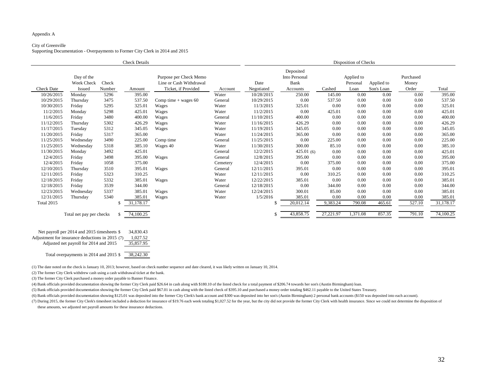### City of Greenville

Supporting Documentation - Overpayments to Former City Clerk in 2014 and 2015

(6) Bank officials provided documentation showing \$125.01 was deposited into the former City Clerk's bank account and \$300 was deposited into her son's (Austin Birmingham) 2 personal bank accounts (\$150 was deposited into (7) During 2015, the former City Clerk's timesheet included a deduction for insurance of \$19.76 each week totaling \$1,027.52 for the year, but the city did not provide the former City Clerk with health insurance. Since we these amounts, we adjusted net payroll amounts for these insurance deductions.

|                                                                                             | <b>Check Details</b>     |              |           |                                                                                     |          |                    | Disposition of Checks                                 |                                                                      |          |        |                             |           |  |  |
|---------------------------------------------------------------------------------------------|--------------------------|--------------|-----------|-------------------------------------------------------------------------------------|----------|--------------------|-------------------------------------------------------|----------------------------------------------------------------------|----------|--------|-----------------------------|-----------|--|--|
| Day of the<br>Week Check<br>Check<br><b>Check Date</b><br>Number<br><b>Issued</b><br>Amount |                          |              |           | Purpose per Check Memo<br>Line or Cash Withdrawal<br>Ticket, if Provided<br>Account |          | Date<br>Negotiated | Deposited<br>Into Personal<br><b>Bank</b><br>Accounts | Applied to<br>Applied to<br>Personal<br>Son's Loan<br>Cashed<br>Loan |          |        | Purchased<br>Money<br>Order | Total     |  |  |
| 10/26/2015                                                                                  | Monday                   | 5296         | 395.00    |                                                                                     | Water    | 10/28/2015         | 250.00                                                | 145.00                                                               | 0.00     | 0.00   | 0.00                        | 395.00    |  |  |
| 10/29/2015                                                                                  | Thursday                 | 3475         | 537.50    | Comp time $+$ wages 60                                                              | General  | 10/29/2015         | 0.00                                                  | 537.50                                                               | 0.00     | 0.00   | 0.00                        | 537.50    |  |  |
| 10/30/2015                                                                                  | Friday                   | 5295         | 325.01    | Wages                                                                               | Water    | 11/3/2015          | 325.01                                                | 0.00                                                                 | 0.00     | 0.00   | 0.00                        | 325.01    |  |  |
| 11/2/2015                                                                                   | Monday                   | 5298         | 425.01    | Wages                                                                               | Water    | 11/2/2015          | 0.00                                                  | 425.01                                                               | 0.00     | 0.00   | 0.00                        | 425.01    |  |  |
| 11/6/2015                                                                                   | Friday                   | 3480         | 400.00    | Wages                                                                               | General  | 11/10/2015         | 400.00                                                | 0.00                                                                 | 0.00     | 0.00   | 0.00                        | 400.00    |  |  |
| 11/12/2015                                                                                  | Thursday                 | 5302         | 426.29    | Wages                                                                               | Water    | 11/16/2015         | 426.29                                                | 0.00                                                                 | 0.00     | 0.00   | 0.00                        | 426.29    |  |  |
| 11/17/2015                                                                                  | Tuesday                  | 5312         | 345.05    | Wages                                                                               | Water    | 11/19/2015         | 345.05                                                | 0.00                                                                 | 0.00     | 0.00   | 0.00                        | 345.05    |  |  |
| 11/20/2015                                                                                  | Friday                   | 5317         | 365.00    |                                                                                     | Water    | 11/24/2015         | 365.00                                                | 0.00                                                                 | 0.00     | 0.00   | 0.00                        | 365.00    |  |  |
| 11/25/2015                                                                                  | Wednesday                | 3490         | 225.00    | Comp time                                                                           | General  | 11/25/2015         | 0.00                                                  | 225.00                                                               | 0.00     | 0.00   | 0.00                        | 225.00    |  |  |
| 11/25/2015                                                                                  | Wednesday                | 5318         | 385.10    | Wages 40                                                                            | Water    | 11/30/2015         | 300.00                                                | 85.10                                                                | 0.00     | 0.00   | 0.00                        | 385.10    |  |  |
| 11/30/2015                                                                                  | Monday                   | 3492         | 425.01    |                                                                                     | General  | 12/2/2015          | 425.01(6)                                             | 0.00                                                                 | 0.00     | 0.00   | 0.00                        | 425.01    |  |  |
| 12/4/2015                                                                                   | Friday                   | 3498         | 395.00    | Wages                                                                               | General  | 12/8/2015          | 395.00                                                | 0.00                                                                 | 0.00     | 0.00   | 0.00                        | 395.00    |  |  |
| 12/4/2015                                                                                   | Friday                   | 1058         | 375.00    |                                                                                     | Cemetery | 12/4/2015          | 0.00                                                  | 375.00                                                               | 0.00     | 0.00   | 0.00                        | 375.00    |  |  |
| 12/10/2015                                                                                  | Thursday                 | 3510         | 395.01    | Wages                                                                               | General  | 12/11/2015         | 395.01                                                | 0.00                                                                 | 0.00     | 0.00   | 0.00                        | 395.01    |  |  |
| 12/11/2015                                                                                  | Friday                   | 5323         | 310.25    |                                                                                     | Water    | 12/11/2015         | 0.00                                                  | 310.25                                                               | 0.00     | 0.00   | 0.00                        | 310.25    |  |  |
| 12/18/2015                                                                                  | Friday                   | 5332         | 385.01    | Wages                                                                               | Water    | 12/22/2015         | 385.01                                                | 0.00                                                                 | 0.00     | 0.00   | 0.00                        | 385.01    |  |  |
| 12/18/2015                                                                                  | Friday                   | 3539         | 344.00    |                                                                                     | General  | 12/18/2015         | 0.00                                                  | 344.00                                                               | 0.00     | 0.00   | 0.00                        | 344.00    |  |  |
| 12/23/2015                                                                                  | Wednesday                | 5337         | 385.01    | Wages                                                                               | Water    | 12/24/2015         | 300.01                                                | 85.00                                                                | 0.00     | 0.00   | 0.00                        | 385.01    |  |  |
| 12/31/2015                                                                                  | Thursday                 | 5340         | 385.01    | Wages                                                                               | Water    | 1/5/2016           | 385.01                                                | 0.00                                                                 | 0.00     | 0.00   | 0.00                        | 385.01    |  |  |
| <b>Total 2015</b>                                                                           |                          | \$           | 31,178.17 |                                                                                     |          | \$.                | 20,012.14                                             | 9,383.24                                                             | 790.08   | 465.61 | 527.10                      | 31,178.17 |  |  |
|                                                                                             | Total net pay per checks | $\mathbb{S}$ | 74,100.25 |                                                                                     |          |                    | 43,858.75                                             | 27,221.97                                                            | 1,371.08 | 857.35 | 791.10                      | 74,100.25 |  |  |

Adjusted net payroll for 2014 and 2015 35,857.95

Total overpayments in 2014 and 2015 \$ 38,242.30

(1) The date noted on the check is January 10, 2013; however, based on check number sequence and date cleared, it was likely written on January 10, 2014.

(2) The former City Clerk withdrew cash using a cash withdrawal ticket at the bank.

(3) The former City Clerk purchased a money order payable to Banner Finance.

(4) Bank officials provided documentation showing the former City Clerk paid \$26.64 in cash along with \$180.10 of the listed check for a total payment of \$206.74 towards her son's (Austin Birmingham) loan.

(5) Bank officials provided documentation showing the former City Clerk paid \$67.01 in cash along with the listed check of \$395.10 and purchased a money order totaling \$462.11 payable to the United States Treasury.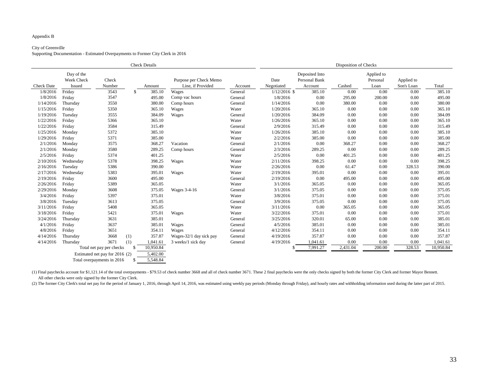#### Appendix B

#### City of Greenville

Supporting Documentation - Estimated Overpayments to Former City Clerk in 2016

(1) Final paychecks account for \$1,121.14 of the total overpayments - \$79.53 of check number 3668 and all of check number 3671. These 2 final paychecks were the only checks signed by both the former City Clerk and former M All other checks were only signed by the former City Clerk.

(2) The former City Clerk's total net pay for the period of January 1, 2016, through April 14, 2016, was estimated using weekly pay periods (Monday through Friday), and hourly rates and withholding information used during

|                   |                                    |                                | <b>Check Details</b>       |                                             |         | Disposition of Checks |                                            |          |                                |                          |           |  |
|-------------------|------------------------------------|--------------------------------|----------------------------|---------------------------------------------|---------|-----------------------|--------------------------------------------|----------|--------------------------------|--------------------------|-----------|--|
| <b>Check Date</b> | Day of the<br>Week Check<br>Issued | Check<br>Number                | Amount                     | Purpose per Check Memo<br>Line, if Provided | Account | Date<br>Negotiated    | Deposited Into<br>Personal Bank<br>Account | Cashed   | Applied to<br>Personal<br>Loan | Applied to<br>Son's Loan | Total     |  |
| 1/8/2016          | Friday                             | 3543                           | $\mathbb{S}$<br>385.10     | Wages                                       | General | $1/12/2016$ \$        | 385.10                                     | 0.00     | 0.00                           | 0.00                     | 385.10    |  |
| 1/8/2016          | Friday                             | 3547                           | 495.00                     | Comp vac hours                              | General | 1/8/2016              | 0.00                                       | 295.00   | 200.00                         | 0.00                     | 495.00    |  |
| 1/14/2016         | Thursday                           | 3550                           | 380.00                     | Comp hours                                  | General | 1/14/2016             | 0.00                                       | 380.00   | 0.00                           | 0.00                     | 380.00    |  |
| 1/15/2016         | Friday                             | 5350                           | 365.10                     | Wages                                       | Water   | 1/20/2016             | 365.10                                     | 0.00     | 0.00                           | 0.00                     | 365.10    |  |
| 1/19/2016         | Tuesday                            | 3555                           | 384.09                     | Wages                                       | General | 1/20/2016             | 384.09                                     | 0.00     | 0.00                           | 0.00                     | 384.09    |  |
| 1/22/2016         | Friday                             | 5366                           | 365.10                     |                                             | Water   | 1/26/2016             | 365.10                                     | 0.00     | 0.00                           | 0.00                     | 365.10    |  |
| 1/22/2016         | Friday                             | 3584                           | 315.49                     |                                             | General | 2/9/2016              | 315.49                                     | 0.00     | 0.00                           | 0.00                     | 315.49    |  |
| 1/25/2016         | Monday                             | 5372                           | 385.10                     |                                             | Water   | 1/26/2016             | 385.10                                     | 0.00     | 0.00                           | 0.00                     | 385.10    |  |
| 1/29/2016         | Friday                             | 5371                           | 385.00                     |                                             | Water   | 2/2/2016              | 385.00                                     | 0.00     | 0.00                           | 0.00                     | 385.00    |  |
| 2/1/2016          | Monday                             | 3575                           | 368.27                     | Vacation                                    | General | 2/1/2016              | 0.00                                       | 368.27   | 0.00                           | 0.00                     | 368.27    |  |
| 2/1/2016          | Monday                             | 3580                           | 289.25                     | Comp hours                                  | General | 2/3/2016              | 289.25                                     | 0.00     | 0.00                           | 0.00                     | 289.25    |  |
| 2/5/2016          | Friday                             | 5374                           | 401.25                     |                                             | Water   | 2/5/2016              | $0.00\,$                                   | 401.25   | 0.00                           | 0.00                     | 401.25    |  |
| 2/10/2016         | Wednesday                          | 5378                           | 398.25                     | Wages                                       | Water   | 2/11/2016             | 398.25                                     | 0.00     | 0.00                           | 0.00                     | 398.25    |  |
| 2/16/2016         | Tuesday                            | 5386                           | 390.00                     |                                             | Water   | 2/26/2016             | 0.00                                       | 61.47    | 0.00                           | 328.53                   | 390.00    |  |
| 2/17/2016         | Wednesday                          | 5383                           | 395.01                     | Wages                                       | Water   | 2/19/2016             | 395.01                                     | 0.00     | 0.00                           | 0.00                     | 395.01    |  |
| 2/19/2016         | Friday                             | 3600                           | 495.00                     |                                             | General | 2/19/2016             | 0.00                                       | 495.00   | 0.00                           | 0.00                     | 495.00    |  |
| 2/26/2016         | Friday                             | 5389                           | 365.05                     |                                             | Water   | 3/1/2016              | 365.05                                     | 0.00     | 0.00                           | 0.00                     | 365.05    |  |
| 2/29/2016         | Monday                             | 3608                           | 375.05                     | Wages 3-4-16                                | General | 3/1/2016              | 375.05                                     | 0.00     | 0.00                           | 0.00                     | 375.05    |  |
| 3/4/2016          | Friday                             | 5397                           | 375.01                     |                                             | Water   | 3/8/2016              | 375.01                                     | 0.00     | 0.00                           | 0.00                     | 375.01    |  |
| 3/8/2016          | Tuesday                            | 3613                           | 375.05                     |                                             | General | 3/9/2016              | 375.05                                     | 0.00     | 0.00                           | 0.00                     | 375.05    |  |
| 3/11/2016         | Friday                             | 5408                           | 365.05                     |                                             | Water   | 3/11/2016             | 0.00                                       | 365.05   | 0.00                           | 0.00                     | 365.05    |  |
| 3/18/2016         | Friday                             | 5421                           | 375.01                     | Wages                                       | Water   | 3/22/2016             | 375.01                                     | 0.00     | 0.00                           | 0.00                     | 375.01    |  |
| 3/24/2016         | Thursday                           | 3631                           | 385.01                     |                                             | General | 3/25/2016             | 320.01                                     | 65.00    | 0.00                           | 0.00                     | 385.01    |  |
| 4/1/2016          | Friday                             | 3637                           | 385.01                     | Wages                                       | General | 4/5/2016              | 385.01                                     | 0.00     | 0.00                           | 0.00                     | 385.01    |  |
| 4/8/2016          | Friday                             | 3651                           | 354.11                     | Wages                                       | General | 4/12/2016             | 354.11                                     | 0.00     | 0.00                           | 0.00                     | 354.11    |  |
| 4/14/2016         | Thursday                           | 3668<br>(1)                    | 357.87                     | Wages-32/1 day sick pay                     | General | 4/19/2016             | 357.87                                     | 0.00     | 0.00                           | 0.00                     | 357.87    |  |
| 4/14/2016         | Thursday                           | 3671<br>(1)                    | 1,041.61                   | 3 weeks/1 sick day                          | General | 4/19/2016             | 1,041.61                                   | 0.00     | 0.00                           | 0.00                     | 1,041.61  |  |
|                   |                                    | Total net pay per checks       | 10,950.84<br>$\mathcal{S}$ |                                             |         |                       | 7,991.27                                   | 2,431.04 | 200.00                         | 328.53                   | 10,950.84 |  |
|                   |                                    | Estimated net pay for 2016 (2) | 5,402.00                   |                                             |         |                       |                                            |          |                                |                          |           |  |
|                   |                                    | Total overpayments in 2016     | 5,548.84<br>-S             |                                             |         |                       |                                            |          |                                |                          |           |  |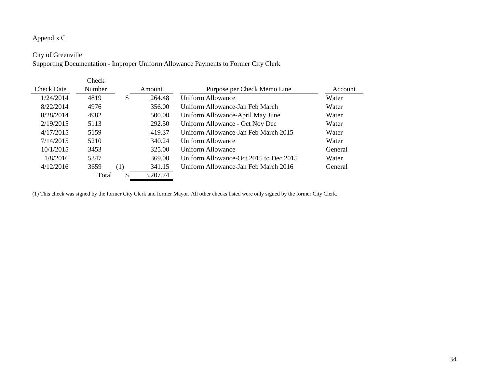#### Appendix C

#### City of Greenville

Supporting Documentation - Improper Uniform Allowance Payments to Former City Clerk

|                   | <b>Check</b>  |     |          |                                        |         |
|-------------------|---------------|-----|----------|----------------------------------------|---------|
| <b>Check Date</b> | <b>Number</b> |     | Amount   | Purpose per Check Memo Line            | Account |
| 1/24/2014         | 4819          | \$  | 264.48   | Uniform Allowance                      | Water   |
| 8/22/2014         | 4976          |     | 356.00   | Uniform Allowance-Jan Feb March        | Water   |
| 8/28/2014         | 4982          |     | 500.00   | Uniform Allowance-April May June       | Water   |
| 2/19/2015         | 5113          |     | 292.50   | Uniform Allowance - Oct Nov Dec        | Water   |
| 4/17/2015         | 5159          |     | 419.37   | Uniform Allowance-Jan Feb March 2015   | Water   |
| 7/14/2015         | 5210          |     | 340.24   | Uniform Allowance                      | Water   |
| 10/1/2015         | 3453          |     | 325.00   | Uniform Allowance                      | General |
| 1/8/2016          | 5347          |     | 369.00   | Uniform Allowance-Oct 2015 to Dec 2015 | Water   |
| 4/12/2016         | 3659          | (1) | 341.15   | Uniform Allowance-Jan Feb March 2016   | General |
|                   | Total         |     | 3,207.74 |                                        |         |

(1) This check was signed by the former City Clerk and former Mayor. All other checks listed were only signed by the former City Clerk.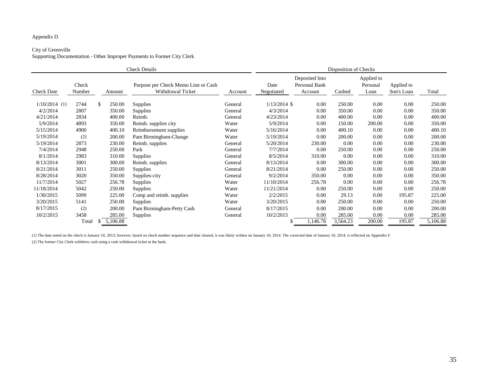### Appendix D

# City of Greenville

Supporting Documentation - Other Improper Payments to Former City Clerk

|                   | <b>Check Details</b> |    |          |                                                          |         |                    | Disposition of Checks                      |          |                                |                          |          |  |  |
|-------------------|----------------------|----|----------|----------------------------------------------------------|---------|--------------------|--------------------------------------------|----------|--------------------------------|--------------------------|----------|--|--|
| <b>Check Date</b> | Check<br>Number      |    | Amount   | Purpose per Check Memo Line or Cash<br>Withdrawal Ticket | Account | Date<br>Negotiated | Deposited Into<br>Personal Bank<br>Account | Cashed   | Applied to<br>Personal<br>Loan | Applied to<br>Son's Loan | Total    |  |  |
| $1/10/2014$ (1)   | 2744                 | \$ | 250.00   | <b>Supplies</b>                                          | General | $1/13/2014$ \$     | 0.00                                       | 250.00   | $0.00\,$                       | 0.00                     | 250.00   |  |  |
| 4/2/2014          | 2807                 |    | 350.00   | <b>Supplies</b>                                          | General | 4/3/2014           | 0.00                                       | 350.00   | 0.00                           | 0.00                     | 350.00   |  |  |
| 4/21/2014         | 2834                 |    | 400.00   | Reimb.                                                   | General | 4/23/2014          | 0.00                                       | 400.00   | 0.00                           | 0.00                     | 400.00   |  |  |
| 5/9/2014          | 4893                 |    | 350.00   | Reimb. supplies city                                     | Water   | 5/9/2014           | 0.00                                       | 150.00   | 200.00                         | 0.00                     | 350.00   |  |  |
| 5/15/2014         | 4900                 |    | 400.10   | Reimbursement supplies                                   | Water   | 5/16/2014          | 0.00                                       | 400.10   | 0.00                           | 0.00                     | 400.10   |  |  |
| 5/19/2014         | (2)                  |    | 200.00   | Pam Birmingham-Change                                    | Water   | 5/19/2014          | 0.00                                       | 200.00   | 0.00                           | 0.00                     | 200.00   |  |  |
| 5/19/2014         | 2873                 |    | 230.00   | Reimb. supplies                                          | General | 5/20/2014          | 230.00                                     | 0.00     | 0.00                           | 0.00                     | 230.00   |  |  |
| 7/4/2014          | 2948                 |    | 250.00   | Park                                                     | General | 7/7/2014           | 0.00                                       | 250.00   | 0.00                           | 0.00                     | 250.00   |  |  |
| 8/1/2014          | 2983                 |    | 310.00   | <b>Supplies</b>                                          | General | 8/5/2014           | 310.00                                     | 0.00     | 0.00                           | 0.00                     | 310.00   |  |  |
| 8/13/2014         | 3001                 |    | 300.00   | Reimb. supplies                                          | General | 8/13/2014          | 0.00                                       | 300.00   | 0.00                           | 0.00                     | 300.00   |  |  |
| 8/21/2014         | 3011                 |    | 250.00   | <b>Supplies</b>                                          | General | 8/21/2014          | 0.00                                       | 250.00   | 0.00                           | 0.00                     | 250.00   |  |  |
| 8/28/2014         | 3020                 |    | 350.00   | Supplies-city                                            | General | 9/2/2014           | 350.00                                     | 0.00     | 0.00                           | 0.00                     | 350.00   |  |  |
| 11/7/2014         | 5027                 |    | 256.78   | <b>Supplies</b>                                          | Water   | 11/10/2014         | 256.78                                     | 0.00     | 0.00                           | 0.00                     | 256.78   |  |  |
| 11/18/2014        | 5042                 |    | 250.00   | <b>Supplies</b>                                          | Water   | 11/21/2014         | 0.00                                       | 250.00   | 0.00                           | 0.00                     | 250.00   |  |  |
| 1/30/2015         | 5099                 |    | 225.00   | Comp and reimb. supplies                                 | Water   | 2/2/2015           | 0.00                                       | 29.13    | 0.00                           | 195.87                   | 225.00   |  |  |
| 3/20/2015         | 5141                 |    | 250.00   | <b>Supplies</b>                                          | Water   | 3/20/2015          | 0.00                                       | 250.00   | 0.00                           | 0.00                     | 250.00   |  |  |
| 8/17/2015         | (2)                  |    | 200.00   | Pam Birmingham-Petty Cash                                | General | 8/17/2015          | 0.00                                       | 200.00   | 0.00                           | 0.00                     | 200.00   |  |  |
| 10/2/2015         | 3458                 |    | 285.00   | <b>Supplies</b>                                          | General | 10/2/2015          | 0.00                                       | 285.00   | 0.00                           | 0.00                     | 285.00   |  |  |
|                   | Total                | S. | 5,106.88 |                                                          |         |                    | 1,146.78                                   | 3,564.23 | 200.00                         | 195.87                   | 5,106.88 |  |  |

(1) The date noted on the check is January 10, 2013; however, based on check number sequence and date cleared, it was likely written on January 10, 2014. The corrected date of January 10, 2014, is reflected on Appendix F.

(2) The former City Clerk withdrew cash using a cash withdrawal ticket at the bank.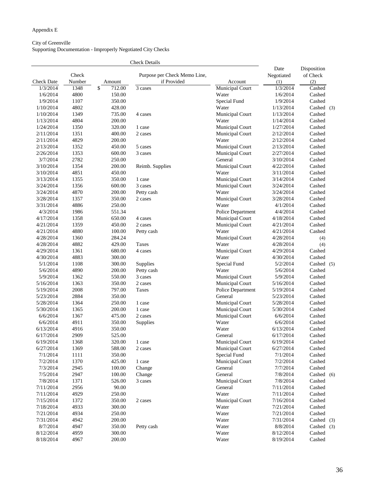# Appendix E

## City of Greenville Supporting Documentation - Improperly Negotiated City Checks

|                       |                 |              | <b>Check Details</b>                        |                          |                           |                                |  |
|-----------------------|-----------------|--------------|---------------------------------------------|--------------------------|---------------------------|--------------------------------|--|
| <b>Check Date</b>     | Check<br>Number | Amount       | Purpose per Check Memo Line,<br>if Provided | Account                  | Date<br>Negotiated<br>(1) | Disposition<br>of Check<br>(2) |  |
| 1/3/2014              | 1348            | \$<br>712.00 | 3 cases                                     | <b>Municipal Court</b>   | 1/3/2014                  | Cashed                         |  |
| 1/6/2014              | 4800            | 150.00       |                                             | Water                    | 1/6/2014                  | Cashed                         |  |
| 1/9/2014              | 1107            | 350.00       |                                             | Special Fund             | 1/9/2014                  | Cashed                         |  |
| 1/10/2014             | 4802            | 428.00       |                                             | Water                    | 1/13/2014                 | Cashed $(3)$                   |  |
| 1/10/2014             | 1349            | 735.00       | 4 cases                                     | <b>Municipal Court</b>   | 1/13/2014                 | Cashed                         |  |
| 1/13/2014             | 4804            | 200.00       |                                             | Water                    | 1/14/2014                 | Cashed                         |  |
| 1/24/2014             | 1350            | 320.00       | 1 case                                      | <b>Municipal Court</b>   | 1/27/2014                 | Cashed                         |  |
| 2/11/2014             | 1351            | 400.00       | 2 cases                                     | <b>Municipal Court</b>   | 2/12/2014                 | Cashed                         |  |
| 2/11/2014             | 4829            | 200.00       |                                             | Water                    | 2/12/2014                 | Cashed                         |  |
| 2/13/2014             | 1352            | 450.00       | 5 cases                                     | <b>Municipal Court</b>   | 2/13/2014                 | Cashed                         |  |
| 2/26/2014             | 1353            | 600.00       | 3 cases                                     | <b>Municipal Court</b>   | 2/27/2014                 | Cashed                         |  |
| 3/7/2014              | 2782            | 250.00       |                                             | General                  | 3/10/2014                 | Cashed                         |  |
| 3/10/2014             | 1354            | 200.00       | Reimb. Supplies                             | Municipal Court          | 4/22/2014                 | Cashed                         |  |
| 3/10/2014             | 4851            | 450.00       |                                             | Water                    | 3/11/2014                 | Cashed                         |  |
| 3/13/2014             | 1355            | 350.00       | 1 case                                      | <b>Municipal Court</b>   | 3/14/2014                 | Cashed                         |  |
| 3/24/2014             | 1356            | 600.00       | 3 cases                                     | <b>Municipal Court</b>   | 3/24/2014                 | Cashed                         |  |
| 3/24/2014             | 4870            | 200.00       | Petty cash                                  | Water                    | 3/24/2014                 | Cashed                         |  |
| 3/28/2014             | 1357            | 350.00       | 2 cases                                     | <b>Municipal Court</b>   | 3/28/2014                 | Cashed                         |  |
|                       | 4886            | 250.00       |                                             | Water                    | 4/1/2014                  | Cashed                         |  |
| 3/31/2014<br>4/3/2014 | 1986            | 551.34       |                                             |                          | 4/4/2014                  | Cashed                         |  |
| 4/17/2014             | 1358            | 650.00       | 4 cases                                     | <b>Police Department</b> |                           | Cashed                         |  |
|                       | 1359            | 450.00       |                                             | <b>Municipal Court</b>   | 4/18/2014                 |                                |  |
| 4/21/2014             | 4880            |              | 2 cases                                     | <b>Municipal Court</b>   | 4/21/2014                 | Cashed                         |  |
| 4/21/2014             |                 | 100.00       | Petty cash                                  | Water                    | 4/21/2014                 | Cashed                         |  |
| 4/28/2014             | 1360            | 284.24       |                                             | <b>Municipal Court</b>   | 4/28/2014                 | (4)                            |  |
| 4/28/2014             | 4882            | 429.00       | Taxes                                       | Water                    | 4/28/2014                 | (4)                            |  |
| 4/29/2014             | 1361            | 680.00       | 4 cases                                     | <b>Municipal Court</b>   | 4/29/2014                 | Cashed                         |  |
| 4/30/2014             | 4883            | 300.00       |                                             | Water                    | 4/30/2014                 | Cashed                         |  |
| 5/1/2014              | 1108            | 300.00       | <b>Supplies</b>                             | Special Fund             | 5/2/2014                  | Cashed (5)                     |  |
| 5/6/2014              | 4890            | 200.00       | Petty cash                                  | Water                    | 5/6/2014                  | Cashed                         |  |
| 5/9/2014              | 1362            | 550.00       | 3 cases                                     | <b>Municipal Court</b>   | 5/9/2014                  | Cashed                         |  |
| 5/16/2014             | 1363            | 350.00       | 2 cases                                     | <b>Municipal Court</b>   | 5/16/2014                 | Cashed                         |  |
| 5/19/2014             | 2008            | 797.00       | Taxes                                       | <b>Police Department</b> | 5/19/2014                 | Cashed                         |  |
| 5/23/2014             | 2884            | 350.00       |                                             | General                  | 5/23/2014                 | Cashed                         |  |
| 5/28/2014             | 1364            | 250.00       | 1 case                                      | <b>Municipal Court</b>   | 5/28/2014                 | Cashed                         |  |
| 5/30/2014             | 1365            | 200.00       | 1 case                                      | <b>Municipal Court</b>   | 5/30/2014                 | Cashed                         |  |
| 6/6/2014              | 1367            | 475.00       | 2 cases                                     | <b>Municipal Court</b>   | 6/6/2014                  | Cashed                         |  |
| 6/6/2014              | 4911            | 350.00       | Supplies                                    | Water                    | 6/6/2014                  | Cashed                         |  |
| 6/13/2014             | 4916            | 350.00       |                                             | Water                    | 6/13/2014                 | Cashed                         |  |
| 6/17/2014             | 2909            | 525.00       |                                             | General                  | 6/17/2014                 | Cashed                         |  |
| 6/19/2014             | 1368            | 320.00       | 1 case                                      | Municipal Court          | 6/19/2014                 | Cashed                         |  |
| 6/27/2014             | 1369            | 588.00       | 2 cases                                     | <b>Municipal Court</b>   | 6/27/2014                 | Cashed                         |  |
| 7/1/2014              | 1111            | 350.00       |                                             | Special Fund             | 7/1/2014                  | Cashed                         |  |
| 7/2/2014              | 1370            | 425.00       | 1 case                                      | <b>Municipal Court</b>   | 7/2/2014                  | Cashed                         |  |
| 7/3/2014              | 2945            | 100.00       | Change                                      | General                  | 7/7/2014                  | Cashed                         |  |
| 7/5/2014              | 2947            | 100.00       | Change                                      | General                  | 7/8/2014                  | Cashed (6)                     |  |
| 7/8/2014              | 1371            | 526.00       | 3 cases                                     | <b>Municipal Court</b>   | 7/8/2014                  | Cashed                         |  |
| 7/11/2014             | 2956            | 90.00        |                                             | General                  | 7/11/2014                 | Cashed                         |  |
| 7/11/2014             | 4929            | 250.00       |                                             | Water                    | 7/11/2014                 | Cashed                         |  |
| 7/15/2014             | 1372            | 350.00       | 2 cases                                     | <b>Municipal Court</b>   | 7/16/2014                 | Cashed                         |  |
| 7/18/2014             | 4933            | 300.00       |                                             | Water                    | 7/21/2014                 | Cashed                         |  |
| 7/21/2014             | 4934            | 250.00       |                                             | Water                    | 7/21/2014                 | Cashed                         |  |
| 7/31/2014             | 4942            | 200.00       |                                             | Water                    | 7/31/2014                 | Cashed $(3)$                   |  |
| 8/7/2014              | 4947            | 350.00       | Petty cash                                  | Water                    | 8/8/2014                  | Cashed (3)                     |  |
| 8/12/2014             | 4959            | 300.00       |                                             | Water                    | 8/12/2014                 | Cashed                         |  |
| 8/18/2014             | 4967            | 200.00       |                                             | Water                    | 8/19/2014                 | Cashed                         |  |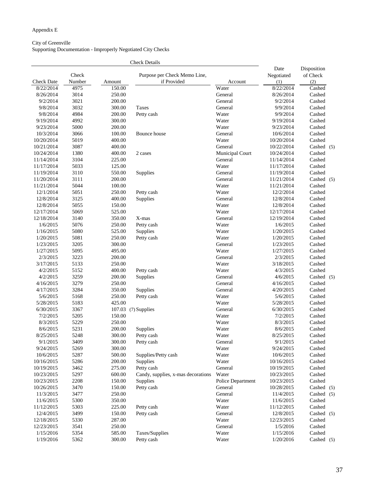# Appendix E

#### City of Greenville Supporting Documentation - Improperly Negotiated City Checks

|                   |                 |        | <b>Check Details</b>                        |                          |                           |                                |  |
|-------------------|-----------------|--------|---------------------------------------------|--------------------------|---------------------------|--------------------------------|--|
| <b>Check Date</b> | Check<br>Number | Amount | Purpose per Check Memo Line,<br>if Provided | Account                  | Date<br>Negotiated<br>(1) | Disposition<br>of Check<br>(2) |  |
| 8/22/2014         | 4975            | 150.00 |                                             | Water                    | 8/22/2014                 | Cashed                         |  |
| 8/26/2014         | 3014            | 250.00 |                                             | General                  | 8/26/2014                 | Cashed                         |  |
| 9/2/2014          | 3021            | 200.00 |                                             | General                  | 9/2/2014                  | Cashed                         |  |
| 9/8/2014          | 3032            | 300.00 | <b>Taxes</b>                                | General                  | 9/9/2014                  | Cashed                         |  |
| 9/8/2014          | 4984            | 200.00 | Petty cash                                  | Water                    | 9/9/2014                  | Cashed                         |  |
| 9/19/2014         | 4992            | 300.00 |                                             | Water                    | 9/19/2014                 | Cashed                         |  |
| 9/23/2014         | 5000            | 200.00 |                                             | Water                    | 9/23/2014                 | Cashed                         |  |
| 10/3/2014         | 3066            | 100.00 | Bounce house                                | General                  | 10/6/2014                 | Cashed                         |  |
| 10/20/2014        | 5019            | 400.00 |                                             | Water                    | 10/20/2014                | Cashed                         |  |
| 10/21/2014        |                 |        |                                             |                          |                           |                                |  |
|                   | 3087            | 400.00 |                                             | General                  | 10/22/2014                | Cashed $(5)$                   |  |
| 10/24/2014        | 1380            | 400.00 | 2 cases                                     | Municipal Court          | 10/24/2014                | Cashed                         |  |
| 11/14/2014        | 3104            | 225.00 |                                             | General                  | 11/14/2014                | Cashed                         |  |
| 11/17/2014        | 5033            | 125.00 |                                             | Water                    | 11/17/2014                | Cashed                         |  |
| 11/19/2014        | 3110            | 550.00 | Supplies                                    | General                  | 11/19/2014                | Cashed                         |  |
| 11/20/2014        | 3111            | 200.00 |                                             | General                  | 11/21/2014                | Cashed (5)                     |  |
| 11/21/2014        | 5044            | 100.00 |                                             | Water                    | 11/21/2014                | Cashed                         |  |
| 12/1/2014         | 5051            | 250.00 | Petty cash                                  | Water                    | 12/2/2014                 | Cashed                         |  |
| 12/8/2014         | 3125            | 400.00 | Supplies                                    | General                  | 12/8/2014                 | Cashed                         |  |
| 12/8/2014         | 5055            | 150.00 |                                             | Water                    | 12/8/2014                 | Cashed                         |  |
| 12/17/2014        | 5069            | 525.00 |                                             | Water                    | 12/17/2014                | Cashed                         |  |
| 12/18/2014        | 3140            | 350.00 | X-mas                                       | General                  | 12/19/2014                | Cashed                         |  |
| 1/6/2015          | 5076            | 250.00 | Petty cash                                  | Water                    | 1/6/2015                  | Cashed                         |  |
| 1/16/2015         | 5080            | 525.00 | Supplies                                    | Water                    | 1/20/2015                 | Cashed                         |  |
| 1/20/2015         | 5081            | 250.00 | Petty cash                                  | Water                    | 1/20/2015                 | Cashed                         |  |
| 1/23/2015         | 3205            | 300.00 |                                             | General                  | 1/23/2015                 | Cashed                         |  |
| 1/27/2015         | 5095            | 495.00 |                                             | Water                    | 1/27/2015                 | Cashed                         |  |
| 2/3/2015          | 3223            | 200.00 |                                             | General                  | 2/3/2015                  | Cashed                         |  |
| 3/17/2015         | 5133            | 250.00 |                                             | Water                    | 3/18/2015                 | Cashed                         |  |
| 4/2/2015          | 5152            | 400.00 | Petty cash                                  | Water                    | 4/3/2015                  | Cashed                         |  |
| 4/2/2015          | 3259            | 200.00 | <b>Supplies</b>                             | General                  | 4/6/2015                  | Cashed $(5)$                   |  |
| 4/16/2015         | 3279            | 250.00 |                                             | General                  | 4/16/2015                 | Cashed                         |  |
| 4/17/2015         | 3284            | 350.00 | Supplies                                    | General                  | 4/20/2015                 | Cashed                         |  |
| 5/6/2015          | 5168            | 250.00 | Petty cash                                  | Water                    | 5/6/2015                  | Cashed                         |  |
| 5/28/2015         | 5183            | 425.00 |                                             | Water                    | 5/28/2015                 | Cashed                         |  |
| 6/30/2015         | 3367            | 107.03 | (7) Supplies                                | General                  | 6/30/2015                 | Cashed                         |  |
| 7/2/2015          | 5205            | 150.00 |                                             | Water                    | 7/2/2015                  | Cashed                         |  |
| 8/3/2015          | 5229            | 250.00 |                                             | Water                    | 8/3/2015                  | Cashed                         |  |
| 8/6/2015          | 5231            | 200.00 | Supplies                                    | Water                    | 8/6/2015                  | Cashed                         |  |
| 8/25/2015         | 5248            | 300.00 | Petty cash                                  | Water                    | 8/25/2015                 | Cashed                         |  |
| 9/1/2015          | 3409            | 300.00 | Petty cash                                  | General                  | 9/1/2015                  | Cashed                         |  |
| 9/24/2015         | 5269            | 300.00 |                                             | Water                    | 9/24/2015                 | Cashed                         |  |
| 10/6/2015         | 5287            | 500.00 | Supplies/Petty cash                         | Water                    | 10/6/2015                 | Cashed                         |  |
| 10/16/2015        | 5286            | 200.00 | Supplies                                    | Water                    | 10/16/2015                | Cashed                         |  |
| 10/19/2015        | 3462            | 275.00 | Petty cash                                  | General                  | 10/19/2015                | Cashed                         |  |
| 10/23/2015        | 5297            | 600.00 | Candy, supplies, x-mas decorations          | Water                    | 10/23/2015                | Cashed                         |  |
| 10/23/2015        | 2208            | 150.00 | Supplies                                    | <b>Police Department</b> | 10/23/2015                | Cashed                         |  |
| 10/26/2015        | 3470            | 150.00 | Petty cash                                  | General                  | 10/28/2015                | Cashed (5)                     |  |
| 11/3/2015         | 3477            | 250.00 |                                             | General                  | 11/4/2015                 | Cashed (5)                     |  |
| 11/6/2015         | 5300            | 350.00 |                                             | Water                    | 11/6/2015                 | Cashed                         |  |
| 11/12/2015        | 5303            | 225.00 | Petty cash                                  | Water                    | 11/12/2015                | Cashed                         |  |
| 12/4/2015         | 3499            | 150.00 | Petty cash                                  | General                  | 12/8/2015                 | Cashed $(5)$                   |  |
| 12/18/2015        | 5330            | 287.00 |                                             | Water                    | 12/23/2015                | Cashed                         |  |
| 12/23/2015        | 3541            | 250.00 |                                             | General                  | 1/5/2016                  | Cashed                         |  |
| 1/15/2016         | 5354            | 585.00 | Taxes/Supplies                              | Water                    | 1/15/2016                 | Cashed                         |  |
|                   |                 |        |                                             |                          |                           |                                |  |
| 1/19/2016         | 5362            | 300.00 | Petty cash                                  | Water                    | 1/20/2016                 | Cashed (5)                     |  |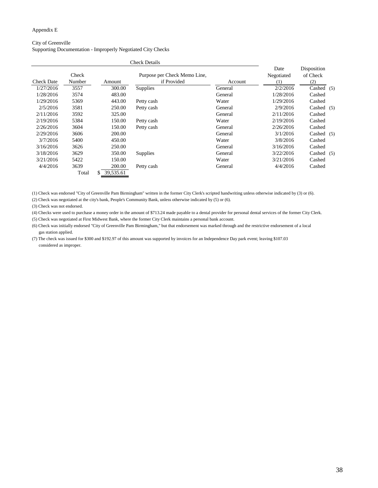#### Appendix E

### City of Greenville Supporting Documentation - Improperly Negotiated City Checks

| <b>Check Date</b> | Check<br>Number | Amount          | Purpose per Check Memo Line,<br>if Provided | Account | Date<br>Negotiated<br>(1) | Disposition<br>of Check<br>(2) |  |
|-------------------|-----------------|-----------------|---------------------------------------------|---------|---------------------------|--------------------------------|--|
| 1/27/2016         | 3557            | 300.00          | <b>Supplies</b>                             | General | 2/2/2016                  | Cashed $(5)$                   |  |
| 1/28/2016         | 3574            | 483.00          |                                             | General | 1/28/2016                 | Cashed                         |  |
| 1/29/2016         | 5369            | 443.00          | Petty cash                                  | Water   | 1/29/2016                 | Cashed                         |  |
| 2/5/2016          | 3581            | 250.00          | Petty cash                                  | General | 2/9/2016                  | Cashed $(5)$                   |  |
| 2/11/2016         | 3592            | 325.00          |                                             | General | 2/11/2016                 | Cashed                         |  |
| 2/19/2016         | 5384            | 150.00          | Petty cash                                  | Water   | 2/19/2016                 | Cashed                         |  |
| 2/26/2016         | 3604            | 150.00          | Petty cash                                  | General | 2/26/2016                 | Cashed                         |  |
| 2/29/2016         | 3606            | 200.00          |                                             | General | 3/1/2016                  | Cashed $(5)$                   |  |
| 3/7/2016          | 5400            | 450.00          |                                             | Water   | 3/8/2016                  | Cashed                         |  |
| 3/16/2016         | 3626            | 250.00          |                                             | General | 3/16/2016                 | Cashed                         |  |
| 3/18/2016         | 3629            | 350.00          | <b>Supplies</b>                             | General | 3/22/2016                 | Cashed $(5)$                   |  |
| 3/21/2016         | 5422            | 150.00          |                                             | Water   | 3/21/2016                 | Cashed                         |  |
| 4/4/2016          | 3639            | 200.00          | Petty cash                                  | General | 4/4/2016                  | Cashed                         |  |
|                   | Total           | 39,535.61<br>\$ |                                             |         |                           |                                |  |

(1) Check was endorsed "City of Greenville Pam Birmingham" written in the former City Clerk's scripted handwriting unless otherwise indicated by (3) or (6).

(2) Check was negotiated at the city's bank, People's Community Bank, unless otherwise indicated by (5) or (6).

(3) Check was not endorsed.

(4) Checks were used to purchase a money order in the amount of \$713.24 made payable to a dental provider for personal dental services of the former City Clerk.

(5) Check was negotiated at First Midwest Bank, where the former City Clerk maintains a personal bank account.

(6) Check was initially endorsed "City of Greenville Pam Birmingham," but that endorsement was marked through and the restrictive endorsement of a local gas station applied.

(7) The check was issued for \$300 and \$192.97 of this amount was supported by invoices for an Independence Day park event; leaving \$107.03 considered as improper.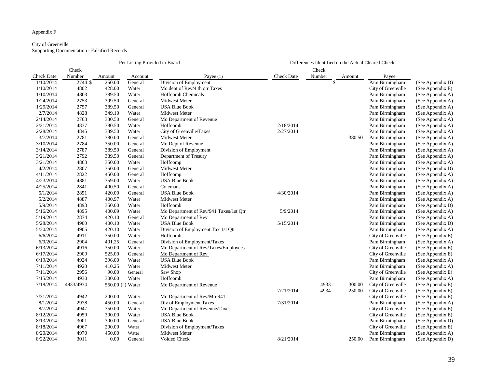### Appendix F

#### City of Greenville Supporting Documentation - Falsified Records

|                   |           |                  | Per Listing Provided to Board |                                        |                   | Differences Identified on the Actual Cleared Check |        |                    |                  |
|-------------------|-----------|------------------|-------------------------------|----------------------------------------|-------------------|----------------------------------------------------|--------|--------------------|------------------|
|                   | Check     |                  |                               |                                        |                   | Check                                              |        |                    |                  |
| <b>Check Date</b> | Number    | Amount           | Account                       | Payee $(1)$                            | <b>Check Date</b> | Number                                             | Amount | Payee              |                  |
| 1/10/2014         | 2744 \$   | 250.00           | General                       | Division of Employment                 |                   | \$                                                 |        | Pam Birmingham     | (See Appendix D) |
| 1/10/2014         | 4802      | 428.00           | Water                         | Mo dept of Rev/4 th qtr Taxes          |                   |                                                    |        | City of Greenville | (See Appendix E) |
| 1/10/2014         | 4803      | 389.50           | Water                         | <b>Hoffcomb Chemicals</b>              |                   |                                                    |        | Pam Birmingham     | (See Appendix A) |
| 1/24/2014         | 2753      | 399.50           | General                       | Midwest Meter                          |                   |                                                    |        | Pam Birmingham     | (See Appendix A) |
| 1/29/2014         | 2757      | 389.50           | General                       | <b>USA Blue Book</b>                   |                   |                                                    |        | Pam Birmingham     | (See Appendix A) |
| 2/7/2014          | 4828      | 349.10           | Water                         | Midwest Meter                          |                   |                                                    |        | Pam Birmingham     | (See Appendix A) |
| 2/14/2014         | 2763      | 380.50           | General                       | Mo Department of Revenue               |                   |                                                    |        | Pam Birmingham     | (See Appendix A) |
| 2/21/2014         | 4837      | 380.50           | Water                         | Hoffcomb                               | 2/18/2014         |                                                    |        | Pam Birmingham     | (See Appendix A) |
| 2/28/2014         | 4845      | 389.50           | Water                         | City of Greenville/Taxes               | 2/27/2014         |                                                    |        | Pam Birmingham     | (See Appendix A) |
| 3/7/2014          | 2781      | 380.00           | General                       | Midwest Meter                          |                   |                                                    | 380.50 | Pam Birmingham     | (See Appendix A) |
| 3/10/2014         | 2784      | 350.00           | General                       | Mo Dept of Revenue                     |                   |                                                    |        | Pam Birmingham     | (See Appendix A) |
| 3/14/2014         | 2787      | 389.50           | General                       | Division of Employment                 |                   |                                                    |        | Pam Birmingham     | (See Appendix A) |
| 3/21/2014         | 2792      | 389.50           | General                       | Department of Tresury                  |                   |                                                    |        | Pam Birmingham     | (See Appendix A) |
| 3/21/2014         | 4863      | 350.00           | Water                         | Hoffcomp                               |                   |                                                    |        | Pam Birmingham     | (See Appendix A) |
| 4/2/2014          | 2807      | 350.00           | General                       | Midwest Meter                          |                   |                                                    |        | Pam Birmingham     | (See Appendix D) |
| 4/11/2014         | 2822      | 450.00           | General                       | Hoffcomp                               |                   |                                                    |        | Pam Birmingham     | (See Appendix A) |
| 4/23/2014         | 4881      | 359.00           | Water                         | <b>USA Blue Book</b>                   |                   |                                                    |        | Pam Birmingham     | (See Appendix A) |
| 4/25/2014         | 2841      | 400.50           | General                       | Colemans                               |                   |                                                    |        | Pam Birmingham     | (See Appendix A) |
| 5/1/2014          | 2851      | 420.00           | General                       | <b>USA Blue Book</b>                   | 4/30/2014         |                                                    |        | Pam Birmingham     | (See Appendix A) |
| 5/2/2014          | 4887      | 400.97           | Water                         | Midwest Meter                          |                   |                                                    |        | Pam Birmingham     | (See Appendix A) |
| 5/9/2014          | 4893      | 350.00           | Water                         | Hoffcomb                               |                   |                                                    |        | Pam Birmingham     | (See Appendix D) |
| 5/16/2014         | 4895      | 400.09           | Water                         | Mo Department of Rev/941 Taxes/1st Qtr | 5/9/2014          |                                                    |        | Pam Birmingham     | (See Appendix A) |
| 5/19/2014         | 2874      | 420.10           | General                       | Mo Department of Rev                   |                   |                                                    |        | Pam Birmingham     | (See Appendix A) |
| 5/28/2014         | 4900      | 400.10           | Water                         | <b>USA Blue Book</b>                   | 5/15/2014         |                                                    |        | Pam Birmingham     | (See Appendix D) |
| 5/30/2014         | 4905      | 420.10           | Water                         | Division of Employment Tax 1st Qtr     |                   |                                                    |        | Pam Birmingham     | (See Appendix A) |
| 6/6/2014          | 4911      | 350.00           | Water                         | Hoffcomb                               |                   |                                                    |        | City of Greenville | (See Appendix E) |
| 6/9/2014          | 2904      | 401.25           | General                       | Division of Employment/Taxes           |                   |                                                    |        | Pam Birmingham     | (See Appendix A) |
| 6/13/2014         | 4916      | 350.00           | Water                         | Mo Department of Rev/Taxes/Employees   |                   |                                                    |        | City of Greenville | (See Appendix E) |
| 6/17/2014         | 2909      | 525.00           | General                       | Mo Department of Rev                   |                   |                                                    |        | City of Greenville | (See Appendix E) |
| 6/19/2014         | 4924      | 396.00           | Water                         | <b>USA Blue Book</b>                   |                   |                                                    |        | Pam Birmingham     | (See Appendix A) |
| 7/11/2014         | 4928      | 410.25           | Water                         | Midwest Meter                          |                   |                                                    |        | Pam Birmingham     | (See Appendix A) |
| 7/11/2014         | 2956      | 90.00            | General                       | Saw Shop                               |                   |                                                    |        | City of Greenville | (See Appendix E) |
| 7/15/2014         | 4930      | 300.00           | Water                         | Hoffcomb                               |                   |                                                    |        | Pam Birmingham     | (See Appendix A) |
| 7/18/2014         | 4933/4934 | 550.00 (2) Water |                               | Mo Department of Revenue               |                   | 4933                                               | 300.00 | City of Greenville | (See Appendix E) |
|                   |           |                  |                               |                                        | 7/21/2014         | 4934                                               | 250.00 | City of Greenville | (See Appendix E) |
| 7/31/2014         | 4942      | 200.00           | Water                         | Mo Department of Rev/Mo-941            |                   |                                                    |        | City of Greenville | (See Appendix E) |
| 8/1/2014          | 2978      | 450.00           | General                       | Div of Employment Taxes                | 7/31/2014         |                                                    |        | Pam Birmingham     | (See Appendix A) |
| 8/7/2014          | 4947      | 350.00           | Water                         | Mo Department of Revenue/Taxes         |                   |                                                    |        | City of Greenville | (See Appendix E) |
| 8/12/2014         | 4959      | 300.00           | Water                         | <b>USA Blue Book</b>                   |                   |                                                    |        | City of Greenville | (See Appendix E) |
| 8/13/2014         | 3001      | 300.00           | General                       | <b>USA Blue Book</b>                   |                   |                                                    |        | Pam Birmingham     | (See Appendix D) |
| 8/18/2014         | 4967      | 200.00           | Water                         | Division of Employment/Taxes           |                   |                                                    |        | City of Greenville | (See Appendix E) |
| 8/20/2014         | 4970      | 450.00           | Water                         | Midwest Meter                          |                   |                                                    |        | Pam Birmingham     | (See Appendix A) |
| 8/22/2014         | 3011      | 0.00             | General                       | Voided Check                           | 8/21/2014         |                                                    | 250.00 | Pam Birmingham     | (See Appendix D) |

| (See Appendix D) |  |
|------------------|--|
| (See Appendix E) |  |
| (See Appendix A) |  |
| (See Appendix A) |  |
| (See Appendix A) |  |
| (See Appendix A) |  |
| (See Appendix A) |  |
| (See Appendix A) |  |
| (See Appendix A) |  |
| (See Appendix A) |  |
| (See Appendix A) |  |
| (See Appendix A) |  |
| (See Appendix A) |  |
| (See Appendix A) |  |
| (See Appendix D) |  |
| (See Appendix A) |  |
| (See Appendix A) |  |
| (See Appendix A) |  |
| (See Appendix A) |  |
| (See Appendix A) |  |
| (See Appendix D) |  |
| (See Appendix A) |  |
| (See Appendix A) |  |
| (See Appendix D) |  |
| (See Appendix A) |  |
| (See Appendix E) |  |
| (See Appendix A) |  |
| (See Appendix E) |  |
| (See Appendix E) |  |
| (See Appendix A) |  |
| (See Appendix A) |  |
| (See Appendix E) |  |
| (See Appendix A) |  |
| (See Appendix E) |  |
| (See Appendix E) |  |
| (See Appendix E) |  |
| (See Appendix A) |  |
| (See Appendix E) |  |
| (See Appendix E) |  |
| (See Appendix D) |  |
| (See Appendix E) |  |
| (See Appendix A) |  |
| (See Appendix D) |  |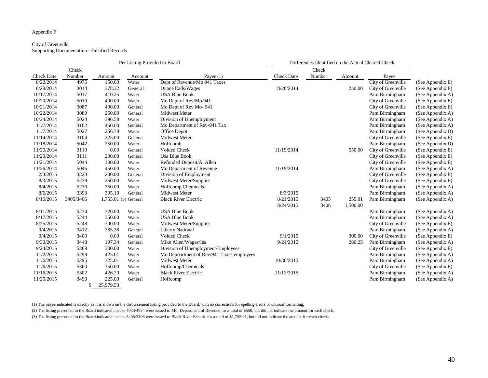#### Appendix F

#### City of Greenville Supporting Documentation - Falsified Records

|                   |           |                      | Per Listing Provided to Board |                                           |                   | Differences Identified on the Actual Cleared Check |          |                    |                  |
|-------------------|-----------|----------------------|-------------------------------|-------------------------------------------|-------------------|----------------------------------------------------|----------|--------------------|------------------|
|                   | Check     |                      |                               |                                           |                   | Check                                              |          |                    |                  |
| <b>Check Date</b> | Number    | Amount               | Account                       | Payee $(1)$                               | <b>Check Date</b> | Number                                             | Amount   | Payee              |                  |
| 8/22/2014         | 4975      | 150.00               | Water                         | Dept of Revenue/Mo 941 Taxes              |                   |                                                    |          | City of Greenville | (See Appendix E) |
| 8/28/2014         | 3014      | 378.32               | General                       | Duane Eads/Wages                          | 8/26/2014         |                                                    | 250.00   | City of Greenville | (See Appendix E) |
| 10/17/2014        | 5017      | 410.25               | Water                         | <b>USA Blue Book</b>                      |                   |                                                    |          | Pam Birmingham     | (See Appendix A) |
| 10/20/2014        | 5019      | 400.00               | Water                         | Mo Dept of Rev/Mo 941                     |                   |                                                    |          | City of Greenville | (See Appendix E) |
| 10/21/2014        | 3087      | 400.00               | General                       | Mo Dept of Rev Mo-941                     |                   |                                                    |          | City of Greenville | (See Appendix E) |
| 10/22/2014        | 3089      | 250.00               | General                       | Midwest Meter                             |                   |                                                    |          | Pam Birmingham     | (See Appendix A) |
| 10/24/2014        | 5024      | 396.58               | Water                         | Division of Unemployment                  |                   |                                                    |          | Pam Birmingham     | (See Appendix A) |
| 11/7/2014         | 3102      | 450.00               | General                       | Mo Department of Rev-941 Tax              |                   |                                                    |          | Pam Birmingham     | (See Appendix A) |
| 11/7/2014         | 5027      | 256.78               | Water                         | Office Depot                              |                   |                                                    |          | Pam Birmingham     | (See Appendix D) |
| 11/14/2014        | 3104      | 225.00               | General                       | Midwest Meter                             |                   |                                                    |          | City of Greenville | (See Appendix E) |
| 11/18/2014        | 5042      | 250.00               | Water                         | Hoffcomb                                  |                   |                                                    |          | Pam Birmingham     | (See Appendix D) |
| 11/20/2014        | 3110      | 0.00                 | General                       | Voided Check                              | 11/19/2014        |                                                    | 550.00   | City of Greenville | (See Appendix E) |
| 11/20/2014        | 3111      | 200.00               | General                       | <b>Usa Blue Book</b>                      |                   |                                                    |          | City of Greenville | (See Appendix E) |
| 11/21/2014        | 5044      | 100.00               | Water                         | Refunded Deposit/A. Allen                 |                   |                                                    |          | City of Greenville | (See Appendix E) |
| 11/26/2014        | 5046      | 450.00               | Water                         | Mo Department of Revenue                  | 11/19/2014        |                                                    |          | Pam Birmingham     | (See Appendix A) |
| 2/3/2015          | 3223      | 200.00               | General                       | Division of Employment                    |                   |                                                    |          | City of Greenville | (See Appendix E) |
| 8/3/2015          | 5229      | 250.00               | Water                         | Midwest Meter/Supplies                    |                   |                                                    |          | City of Greenville | (See Appendix E) |
| 8/4/2015          | 5230      | 350.00               | Water                         | <b>Hoffcomp Chemicals</b>                 |                   |                                                    |          | Pam Birmingham     | (See Appendix A) |
| 8/6/2015          | 3393      | 395.10               | General                       | Midwest Meter                             | 8/3/2015          |                                                    |          | Pam Birmingham     | (See Appendix A) |
| 8/10/2015         | 3405/3406 | 1,755.01 (3) General |                               | <b>Black River Electric</b>               | 8/21/2015         | 3405                                               | 255.01   | Pam Birmingham     | (See Appendix A) |
|                   |           |                      |                               |                                           | 8/24/2015         | 3406                                               | 1,500.00 |                    |                  |
| 8/11/2015         | 5234      | 320.00               | Water                         | <b>USA Blue Book</b>                      |                   |                                                    |          | Pam Birmingham     | (See Appendix A) |
| 8/17/2015         | 5244      | 350.00               | Water                         | <b>USA Blue Book</b>                      |                   |                                                    |          | Pam Birmingham     | (See Appendix A) |
| 8/25/2015         | 5248      | 300.00               | Water                         | Midwest Meter/Supplies                    |                   |                                                    |          | City of Greenville | (See Appendix E) |
| 9/4/2015          | 3412      | 285.38               | General                       | <b>Liberty National</b>                   |                   |                                                    |          | Pam Birmingham     | (See Appendix A) |
| 9/4/2015          | 3409      | 0.00                 | General                       | Voided Check                              | 9/1/2015          |                                                    | 300.00   | City of Greenville | (See Appendix E) |
| 9/30/2015         | 3448      | 197.34               | General                       | Mike Allen/Wages/Ins                      | 9/24/2015         |                                                    | 280.25   | Pam Birmingham     | (See Appendix A) |
| 9/24/2015         | 5269      | 300.00               | Water                         | Division of Unemployment/Employees        |                   |                                                    |          | City of Greenville | (See Appendix E) |
| 11/2/2015         | 5298      | 425.01               | Water                         | Mo Depoartment of Rev/941 Taxes employees |                   |                                                    |          | Pam Birmingham     | (See Appendix A) |
| 11/6/2015         | 5295      | 325.01               | Water                         | Midwest Meter                             | 10/30/2015        |                                                    |          | Pam Birmingham     | (See Appendix A) |
| 11/6/2015         | 5300      | 350.00               | Water                         | Hoffcomp/Chemicals                        |                   |                                                    |          | City of Greenville | (See Appendix E) |
| 11/16/2015        | 5302      | 426.29               | Water                         | <b>Black River Electric</b>               | 11/12/2015        |                                                    |          | Pam Birmingham     | (See Appendix A) |
| 11/25/2015        | 3490      | 225.00               | General                       | Hoffcomp                                  |                   |                                                    |          | Pam Birmingham     | (See Appendix A) |
|                   |           | 25,979.53            |                               |                                           |                   |                                                    |          |                    |                  |

(1) The payee indicated is exactly as it is shown on the disbursement listing provided to the Board, with no corrections for spelling errors or unusual formatting.

(2) The listing presented to the Board indicated checks 4933/4934 were issued to Mo. Department of Revenue for a total of \$550, but did not indicate the amount for each check.

(3) The listing presented to the Board indicated checks 3405/3406 were issued to Black River Electric for a total of \$1,755.01, but did not indicate the amount for each check.

| (See Appendix E) |  |
|------------------|--|
| (See Appendix E) |  |
| (See Appendix A) |  |
| (See Appendix E) |  |
| (See Appendix E) |  |
| (See Appendix A) |  |
| (See Appendix A) |  |
| (See Appendix A) |  |
| (See Appendix D) |  |
| (See Appendix E) |  |
| (See Appendix D) |  |
| (See Appendix E) |  |
| (See Appendix E) |  |
| (See Appendix E) |  |
| (See Appendix A) |  |
| (See Appendix E) |  |
| (See Appendix E) |  |
| (See Appendix A) |  |
| (See Appendix A) |  |
| (See Appendix A) |  |
|                  |  |
| (See Appendix A) |  |
| (See Appendix A) |  |
| (See Appendix E) |  |
| (See Appendix A) |  |
| (See Appendix E) |  |
| (See Appendix A) |  |
| (See Appendix E) |  |
| (See Appendix A) |  |
| (See Appendix A) |  |
| (See Appendix E) |  |
|                  |  |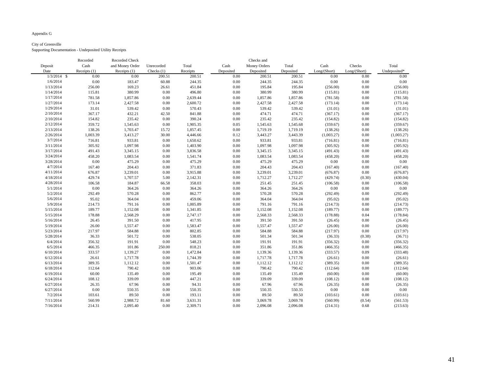# Appendix G

# City of Greenville

Supporting Documentation - Undeposited Utility Receipts

|               | Recorded       | Recorded Check  |              |          |           | Checks and          |           |              |              |              |
|---------------|----------------|-----------------|--------------|----------|-----------|---------------------|-----------|--------------|--------------|--------------|
| Deposit       | Cash           | and Money Order | Unrecorded   | Total    | Cash      | <b>Money Orders</b> | Total     | Cash         | Checks       | Total        |
| Date          | Receipts $(1)$ | Receipts $(1)$  | Checks $(1)$ | Receipts | Deposited | Deposited           | Deposited | Long/(Short) | Long/(Short) | Undeposited* |
| $1/3/2014$ \$ | 0.00           | 0.00            | 200.51       | 200.51   | 0.00      | 200.51              | 200.51    | 0.00         | 0.00         | 0.00         |
| 1/6/2014      | 0.00           | 183.47          | 60.88        | 244.35   | 0.00      | 244.35              | 244.35    | 0.00         | 0.00         | 0.00         |
| 1/13/2014     | 256.00         | 169.23          | 26.61        | 451.84   | 0.00      | 195.84              | 195.84    | (256.00)     | 0.00         | (256.00)     |
| 1/14/2014     | 115.81         | 380.99          | 0.00         | 496.80   | 0.00      | 380.99              | 380.99    | (115.81)     | 0.00         | (115.81)     |
| 1/17/2014     | 781.58         | 1,857.86        | 0.00         | 2,639.44 | 0.00      | 1,857.86            | 1,857.86  | (781.58)     | 0.00         | (781.58)     |
| 1/27/2014     | 173.14         | 2,427.58        | 0.00         | 2,600.72 | 0.00      | 2,427.58            | 2,427.58  | (173.14)     | 0.00         | (173.14)     |
| 1/29/2014     | 31.01          | 539.42          | 0.00         | 570.43   | 0.00      | 539.42              | 539.42    | (31.01)      | 0.00         | (31.01)      |
| 2/10/2014     | 367.17         | 432.21          | 42.50        | 841.88   | 0.00      | 474.71              | 474.71    | (367.17)     | 0.00         | (367.17)     |
| 2/10/2014     | 154.82         | 235.42          | 0.00         | 390.24   | 0.00      | 235.42              | 235.42    | (154.82)     | 0.00         | (154.82)     |
| 2/12/2014     | 359.72         | 1,545.63        | 0.00         | 1,905.35 | 0.05      | 1,545.63            | 1,545.68  | (359.67)     | 0.00         | (359.67)     |
| 2/13/2014     | 138.26         | 1,703.47        | 15.72        | 1,857.45 | 0.00      | 1,719.19            | 1,719.19  | (138.26)     | 0.00         | (138.26)     |
| 2/26/2014     | 1,003.39       | 3,413.27        | 30.00        | 4,446.66 | 0.12      | 3,443.27            | 3,443.39  | (1,003.27)   | 0.00         | (1,003.27)   |
| 3/7/2014      | 716.81         | 933.81          | $0.00\,$     | 1,650.62 | 0.00      | 933.81              | 933.81    | (716.81)     | 0.00         | (716.81)     |
| 3/11/2014     | 305.92         | 1,097.98        | 0.00         | 1,403.90 | 0.00      | 1,097.98            | 1,097.98  | (305.92)     | 0.00         | (305.92)     |
| 3/17/2014     | 491.43         | 3,345.15        | 0.00         | 3,836.58 | 0.00      | 3,345.15            | 3,345.15  | (491.43)     | 0.00         | (491.43)     |
| 3/24/2014     | 458.20         | 1,083.54        | 0.00         | 1,541.74 | 0.00      | 1,083.54            | 1,083.54  | (458.20)     | 0.00         | (458.20)     |
| 3/28/2014     | 0.00           | 475.29          | 0.00         | 475.29   | 0.00      | 475.29              | 475.29    | 0.00         | 0.00         | 0.00         |
| 4/7/2014      | 167.40         | 204.43          | 0.00         | 371.83   | 0.00      | 204.43              | 204.43    | (167.40)     | 0.00         | (167.40)     |
| 4/11/2014     | 676.87         | 3,239.01        | 0.00         | 3,915.88 | 0.00      | 3,239.01            | 3,239.01  | (676.87)     | 0.00         | (676.87)     |
| 4/18/2014     | 429.74         | 1,707.57        | 5.00         | 2,142.31 | 0.00      | 1,712.27            | 1,712.27  | (429.74)     | (0.30)       | (430.04)     |
| 4/28/2014     | 106.58         | 184.87          | 66.58        | 358.03   | 0.00      | 251.45              | 251.45    | (106.58)     | 0.00         | (106.58)     |
| 5/1/2014      | 0.00           | 364.26          | $0.00\,$     | 364.26   | 0.00      | 364.26              | 364.26    | 0.00         | 0.00         | 0.00         |
| 5/2/2014      | 292.49         | 570.28          | 0.00         | 862.77   | 0.00      | 570.28              | 570.28    | (292.49)     | 0.00         | (292.49)     |
| 5/6/2014      | 95.02          | 364.04          | 0.00         | 459.06   | 0.00      | 364.04              | 364.04    | (95.02)      | 0.00         | (95.02)      |
| 5/9/2014      | 214.73         | 791.16          | 0.00         | 1,005.89 | 0.00      | 791.16              | 791.16    | (214.73)     | 0.00         | (214.73)     |
| 5/15/2014     | 189.77         | 1,152.08        | 0.00         | 1,341.85 | 0.00      | 1,152.08            | 1,152.08  | (189.77)     | 0.00         | (189.77)     |
| 5/15/2014     | 178.88         | 2,568.29        | 0.00         | 2,747.17 | 0.00      | 2,568.33            | 2,568.33  | (178.88)     | 0.04         | (178.84)     |
| 5/16/2014     | 26.45          | 391.50          | 0.00         | 417.95   | 0.00      | 391.50              | 391.50    | (26.45)      | 0.00         | (26.45)      |
| 5/19/2014     | 26.00          | 1,557.47        | 0.00         | 1,583.47 | 0.00      | 1,557.47            | 1,557.47  | (26.00)      | 0.00         | (26.00)      |
| 5/23/2014     | 217.97         | 584.88          | 0.00         | 802.85   | 0.00      | 584.88              | 584.88    | (217.97)     | 0.00         | (217.97)     |
| 5/28/2014     | 36.33          | 501.72          | 0.00         | 538.05   | 0.00      | 501.34              | 501.34    | (36.33)      | (0.38)       | (36.71)      |
| 6/4/2014      | 356.32         | 191.91          | 0.00         | 548.23   | 0.00      | 191.91              | 191.91    | (356.32)     | 0.00         | (356.32)     |
| 6/5/2014      | 466.35         | 101.86          | 250.00       | 818.21   | 0.00      | 351.86              | 351.86    | (466.35)     | 0.00         | (466.35)     |
| 6/10/2014     | 333.57         | 1,139.27        | 0.00         | 1,472.84 | 0.00      | 1,139.36            | 1,139.36  | (333.57)     | 0.09         | (333.48)     |
| 6/12/2014     | 26.61          | 1,717.78        | 0.00         | 1,744.39 | 0.00      | 1,717.78            | 1,717.78  | (26.61)      | $0.00\,$     | (26.61)      |
| 6/13/2014     | 389.35         | 1,112.12        | 0.00         | 1,501.47 | 0.00      | 1,112.12            | 1,112.12  | (389.35)     | 0.00         | (389.35)     |
| 6/18/2014     | 112.64         | 790.42          | 0.00         | 903.06   | 0.00      | 790.42              | 790.42    | (112.64)     | 0.00         | (112.64)     |
| 6/19/2014     | 60.00          | 135.49          | 0.00         | 195.49   | 0.00      | 135.49              | 135.49    | (60.00)      | 0.00         | (60.00)      |
| 6/24/2014     | 108.12         | 339.09          | 0.00         | 447.21   | 0.00      | 339.09              | 339.09    | (108.12)     | 0.00         | (108.12)     |
| 6/27/2014     | 26.35          | 67.96           | 0.00         | 94.31    | 0.00      | 67.96               | 67.96     | (26.35)      | 0.00         | (26.35)      |
| 6/27/2014     | 0.00           | 550.35          | 0.00         | 550.35   | 0.00      | 550.35              | 550.35    | 0.00         | 0.00         | 0.00         |
| 7/2/2014      | 103.61         | 89.50           | $0.00\,$     | 193.11   | 0.00      | 89.50               | 89.50     | (103.61)     | 0.00         | (103.61)     |
| 7/11/2014     | 560.99         | 2,988.72        | 81.60        | 3,631.31 | 0.00      | 3,069.78            | 3,069.78  | (560.99)     | (0.54)       | (561.53)     |
| 7/16/2014     | 214.31         | 2,095.40        | 0.00         | 2,309.71 | 0.00      | 2,096.08            | 2,096.08  | (214.31)     | 0.68         | (213.63)     |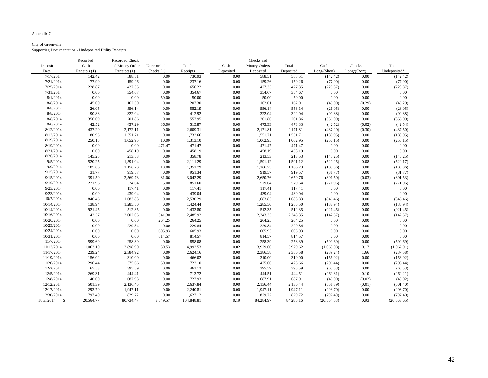# Appendix G

# City of Greenville

Supporting Documentation - Undeposited Utility Receipts

| Cash<br>and Money Order<br>Total<br>Cash<br><b>Money Orders</b><br>Total<br>Cash<br>Deposit<br>Unrecorded                         | Checks       | Total        |
|-----------------------------------------------------------------------------------------------------------------------------------|--------------|--------------|
| Checks $(1)$<br>Deposited<br>Long/(Short)<br>Date<br>Receipts $(1)$<br>Receipts $(1)$<br>Receipts<br>Deposited<br>Deposited       | Long/(Short) | Undeposited* |
| 142.42<br>730.93<br>588.51<br>7/17/2014<br>588.51<br>0.00<br>0.00<br>588.51<br>(142.42)                                           | 0.00         | (142.42)     |
| 77.90<br>159.26<br>7/21/2014<br>159.26<br>0.00<br>237.16<br>0.00<br>159.26<br>(77.90)                                             | $0.00\,$     | (77.90)      |
| 7/25/2014<br>228.87<br>427.35<br>0.00<br>656.22<br>0.00<br>427.35<br>427.35<br>(228.87)                                           | $0.00\,$     | (228.87)     |
| 0.00<br>7/31/2014<br>354.67<br>0.00<br>354.67<br>0.00<br>354.67<br>354.67<br>0.00                                                 | 0.00         | 0.00         |
| $0.00\,$<br>0.00<br>$0.00\,$<br>8/1/2014<br>50.00<br>0.00<br>50.00<br>50.00<br>50.00                                              | 0.00         | 0.00         |
| 8/8/2014<br>162.30<br>45.00<br>0.00<br>207.30<br>0.00<br>162.01<br>162.01<br>(45.00)                                              | (0.29)       | (45.29)      |
| 8/8/2014<br>556.14<br>556.14<br>26.05<br>0.00<br>582.19<br>0.00<br>556.14<br>(26.05)                                              | $0.00\,$     | (26.05)      |
| 8/8/2014<br>322.04<br>412.92<br>322.04<br>322.04<br>90.88<br>0.00<br>0.00<br>(90.88)                                              | $0.00\,$     | (90.88)      |
| 8/8/2014<br>356.09<br>201.86<br>0.00<br>557.95<br>0.00<br>201.86<br>201.86<br>(356.09)                                            | 0.00         | (356.09)     |
| 8/8/2014<br>42.52<br>437.29<br>473.33<br>515.87<br>0.00<br>473.33<br>(42.52)<br>36.06                                             | (0.02)       | (42.54)      |
| 8/12/2014<br>437.20<br>2,172.11<br>0.00<br>2,609.31<br>0.00<br>2,171.81<br>2,171.81<br>(437.20)                                   | (0.30)       | (437.50)     |
| 8/13/2014<br>180.95<br>1,732.66<br>1,551.71<br>1,551.71<br>1,551.71<br>0.00<br>0.00<br>(180.95)                                   | $0.00\,$     | (180.95)     |
| 8/19/2014<br>250.15<br>1,052.95<br>1,313.10<br>0.00<br>1,062.95<br>1,062.95<br>10.00<br>(250.15)                                  | $0.00\,$     | (250.15)     |
| 8/19/2014<br>0.00<br>0.00<br>471.47<br>471.47<br>471.47<br>0.00<br>471.47<br>0.00                                                 | 0.00         | 0.00         |
| $0.00\,$<br>8/21/2014<br>$0.00\,$<br>458.19<br>458.19<br>0.00<br>458.19<br>0.00<br>458.19                                         | $0.00\,$     | $0.00\,$     |
| 8/26/2014<br>358.78<br>213.53<br>145.25<br>213.53<br>0.00<br>0.00<br>213.53<br>(145.25)                                           | $0.00\,$     | (145.25)     |
| 9/5/2014<br>520.25<br>2,111.29<br>1,591.12<br>1,591.12<br>1,591.04<br>0.00<br>0.00<br>(520.25)                                    | $0.08\,$     | (520.17)     |
| 9/9/2014<br>185.06<br>1,156.73<br>1,351.79<br>0.00<br>1,166.73<br>1,166.73<br>10.00<br>(185.06)                                   | 0.00         | (185.06)     |
| 9/15/2014<br>31.77<br>919.57<br>919.57<br>919.57<br>0.00<br>951.34<br>0.00<br>(31.77)                                             | 0.00         | (31.77)      |
| 9/15/2014<br>391.50<br>2,569.73<br>3,042.29<br>0.00<br>2,650.76<br>2,650.76<br>(391.50)<br>81.06                                  | (0.03)       | (391.53)     |
| 9/19/2014<br>271.96<br>574.64<br>5.00<br>851.60<br>0.00<br>579.64<br>579.64<br>(271.96)                                           | 0.00         | (271.96)     |
| 9/23/2014<br>0.00<br>117.41<br>117.41<br>117.41<br>117.41<br>0.00<br>0.00<br>0.00                                                 | $0.00\,$     | 0.00         |
| 9/23/2014<br>0.00<br>439.04<br>439.04<br>439.04<br>$0.00\,$<br>439.04<br>0.00<br>0.00                                             | $0.00\,$     | 0.00         |
| 10/7/2014<br>846.46<br>1,683.83<br>0.00<br>2,530.29<br>0.00<br>1,683.83<br>1,683.83<br>(846.46)                                   | $0.00\,$     | (846.46)     |
| 10/14/2014<br>138.94<br>1,285.50<br>0.00<br>1,424.44<br>0.00<br>1,285.50<br>1,285.50<br>(138.94)                                  | $0.00\,$     | (138.94)     |
| 10/14/2014<br>512.35<br>921.45<br>0.00<br>1,433.80<br>0.00<br>512.35<br>512.35<br>(921.45)                                        | 0.00         | (921.45)     |
| 10/16/2014<br>2,002.05<br>142.57<br>341.30<br>2,485.92<br>0.00<br>2,343.35<br>2,343.35<br>(142.57)                                | 0.00         | (142.57)     |
| 10/20/2014<br>0.00<br>0.00<br>264.25<br>264.25<br>264.25<br>$0.00\,$<br>264.25<br>0.00                                            | $0.00\,$     | 0.00         |
| 10/23/2014<br>0.00<br>229.84<br>0.00<br>229.84<br>0.00<br>229.84<br>229.84<br>0.00                                                | 0.00         | 0.00         |
| 10/24/2014<br>$0.00\,$<br>0.00<br>605.93<br>605.93<br>0.00<br>605.93<br>605.93<br>0.00                                            | $0.00\,$     | 0.00         |
| 10/31/2014<br>0.00<br>814.57<br>814.57<br>814.57<br>814.57<br>0.00<br>0.00<br>0.00                                                | 0.00         | 0.00         |
| 11/7/2014<br>858.08<br>258.39<br>258.39<br>599.69<br>258.39<br>0.00<br>0.00<br>(599.69)                                           | 0.00         | (599.69)     |
| 11/13/2014<br>1,063.10<br>3,898.90<br>4,992.53<br>0.02<br>3,929.60<br>3,929.62<br>(1,063.08)<br>30.53                             | 0.17         | (1,062.91)   |
| 11/17/2014<br>239.24<br>2,384.92<br>2,624.16<br>0.00<br>0.00<br>2,386.58<br>2,386.58<br>(239.24)                                  | 1.66         | (237.58)     |
| 156.02<br>310.00<br>466.02<br>310.00<br>310.00<br>11/19/2014<br>0.00<br>0.00<br>(156.02)                                          | $0.00\,$     | (156.02)     |
| 11/26/2014<br>296.44<br>722.10<br>425.66<br>375.66<br>50.00<br>0.00<br>425.66<br>(296.44)                                         | 0.00         | (296.44)     |
| 395.59<br>395.59<br>12/2/2014<br>65.53<br>0.00<br>461.12<br>395.59<br>(65.53)<br>0.00                                             | 0.00         | (65.53)      |
| 713.72<br>12/5/2014<br>269.31<br>444.41<br>0.00<br>0.00<br>444.51<br>444.51<br>(269.31)                                           | 0.10         | (269.21)     |
| 727.93<br>12/8/2014<br>40.00<br>687.93<br>687.91<br>687.91<br>(40.00)<br>0.00<br>0.00                                             | (0.02)       | (40.02)      |
| 12/12/2014<br>501.39<br>2,637.84<br>2,136.45<br>0.00<br>0.00<br>2,136.44<br>2,136.44<br>(501.39)                                  | (0.01)       | (501.40)     |
| 12/17/2014<br>293.70<br>1,947.11<br>1,947.11<br>1,947.11<br>0.00<br>2,240.81<br>0.00<br>(293.70)                                  | 0.00         | (293.70)     |
| 829.72<br>797.40<br>829.72<br>1,627.12<br>829.72<br>12/30/2014<br>0.00<br>(797.40)<br>0.00                                        | 0.00         | (797.40)     |
| Total 2014<br>$\mathcal{S}$<br>20,564.77<br>80,734.47<br>0.19<br>84,284.97<br>84,285.16<br>3,549.57<br>104,848.81<br>(20, 564.58) | 0.93         | (20, 563.65) |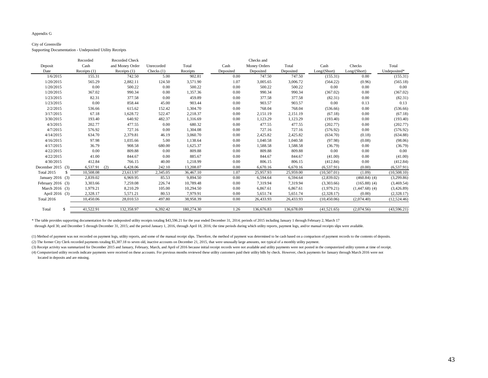Appendix G

#### City of Greenville

Supporting Documentation - Undeposited Utility Receipts

|                         | Recorded        | Recorded Check  |              |            |           | Checks and          |            |              |                  |              |
|-------------------------|-----------------|-----------------|--------------|------------|-----------|---------------------|------------|--------------|------------------|--------------|
| Deposit                 | Cash            | and Money Order | Unrecorded   | Total      | Cash      | <b>Money Orders</b> | Total      | Cash         | Checks           | Total        |
| Date                    | Receipts $(1)$  | Receipts $(1)$  | Checks $(1)$ | Receipts   | Deposited | Deposited           | Deposited  | Long/(Short) | Long/(Short)     | Undeposited* |
| 1/6/2015                | 155.31          | 742.50          | 5.00         | 902.81     | 0.00      | 747.50              | 747.50     | (155.31)     | 0.00             | (155.31)     |
| 1/20/2015               | 565.29          | 2,882.11        | 124.50       | 3,571.90   | 1.07      | 3,005.65            | 3,006.72   | (564.22)     | (0.96)           | (565.18)     |
| 1/20/2015               | 0.00            | 500.22          | 0.00         | 500.22     | 0.00      | 500.22              | 500.22     | 0.00         | 0.00             | 0.00         |
| 1/20/2015               | 367.02          | 990.34          | 0.00         | 1,357.36   | 0.00      | 990.34              | 990.34     | (367.02)     | 0.00             | (367.02)     |
| 1/23/2015               | 82.31           | 377.58          | 0.00         | 459.89     | 0.00      | 377.58              | 377.58     | (82.31)      | 0.00             | (82.31)      |
| 1/23/2015               | 0.00            | 858.44          | 45.00        | 903.44     | 0.00      | 903.57              | 903.57     | 0.00         | 0.13             | 0.13         |
| 2/2/2015                | 536.66          | 615.62          | 152.42       | 1,304.70   | 0.00      | 768.04              | 768.04     | (536.66)     | 0.00             | (536.66)     |
| 3/17/2015               | 67.18           | 1,628.72        | 522.47       | 2,218.37   | 0.00      | 2,151.19            | 2,151.19   | (67.18)      | $0.00\,$         | (67.18)      |
| 3/30/2015               | 193.40          | 640.92          | 482.37       | 1,316.69   | 0.00      | 1,123.29            | 1,123.29   | (193.40)     | 0.00             | (193.40)     |
| 4/3/2015                | 202.77          | 477.55          | 0.00         | 680.32     | 0.00      | 477.55              | 477.55     | (202.77)     | 0.00             | (202.77)     |
| 4/7/2015                | 576.92          | 727.16          | 0.00         | 1,304.08   | 0.00      | 727.16              | 727.16     | (576.92)     | 0.00             | (576.92)     |
| 4/14/2015               | 634.70          | 2,379.81        | 46.19        | 3,060.70   | 0.00      | 2,425.82            | 2,425.82   | (634.70)     | (0.18)           | (634.88)     |
| 4/16/2015               | 97.98           | 1,035.66        | 5.00         | 1,138.64   | 0.00      | 1,040.58            | 1,040.58   | (97.98)      | (0.08)           | (98.06)      |
| 4/17/2015               | 36.79           | 908.58          | 680.00       | 1,625.37   | 0.00      | 1,588.58            | 1,588.58   | (36.79)      | 0.00             | (36.79)      |
| 4/22/2015               | 0.00            | 809.88          | 0.00         | 809.88     | 0.00      | 809.88              | 809.88     | 0.00         | $0.00\,$         | 0.00         |
| 4/22/2015               | 41.00           | 844.67          | 0.00         | 885.67     | 0.00      | 844.67              | 844.67     | (41.00)      | 0.00             | (41.00)      |
| 4/30/2015               | 412.84          | 766.15          | 40.00        | 1,218.99   | 0.00      | 806.15              | 806.15     | (412.84)     | 0.00             | (412.84)     |
| December 2015 $(3)$     | 6,537.91<br>(2) | 6,428.06        | 242.10       | 13,208.07  | 0.00      | 6,670.16            | 6,670.16   | (6, 537.91)  | (0.00)           | (6,537.91)   |
| <b>Total 2015</b><br>-S | 10,508.08       | 23,613.97       | 2,345.05     | 36,467.10  | 1.07      | 25,957.93           | 25,959.00  | (10,507.01)  | (1.09)           | (10,508.10)  |
| January 2016 (3)        | 2,839.02        | 6,969.95        | 85.53        | 9,894.50   | 0.00      | 6,594.64            | 6,594.64   | (2,839.02)   | $(460.84)$ (4)   | (3,299.86)   |
| February 2016 $(3)$     | 3,303.66        | 7,259.08        | 226.74       | 10,789.48  | 0.00      | 7,319.94            | 7,319.94   | (3,303.66)   | $(165.88)$ (4)   | (3,469.54)   |
| March 2016 (3)          | 1,979.21        | 8,210.29        | 105.00       | 10,294.50  | 0.00      | 6,867.61            | 6,867.61   | (1,979.21)   | $(1,447.68)$ (4) | (3,426.89)   |
| April 2016 (3)          | 2,328.17        | 5,571.21        | 80.53        | 7,979.91   | 0.00      | 5,651.74            | 5,651.74   | (2,328.17)   | (0.00)           | (2,328.17)   |
| <b>Total 2016</b>       | 10,450.06       | 28,010.53       | 497.80       | 38,958.39  | 0.00      | 26,433.93           | 26,433.93  | (10, 450.06) | (2,074.40)       | (12, 524.46) |
|                         |                 |                 |              |            |           |                     |            |              |                  |              |
| Total<br><sup>S</sup>   | 41,522.91       | 132,358.97      | 6,392.42     | 180,274.30 | 1.26      | 136,676.83          | 136,678.09 | (41,521.65)  | (2,074.56)       | (43,596.21)  |

\* The table provides supporting documentation for the undeposited utility receipts totaling \$43,596.21 for the year ended December 31, 2014; periods of 2015 including January 1 through February 2, March 17 through April 30, and December 5 through December 31, 2015; and the period January 1, 2016, through April 18, 2016; the time periods during which utility reports, payment logs, and/or manual receipts slips were available.

(1) Method of payment was not recorded on payment logs, utility reports, and some of the manual receipt slips. Therefore, the method of payment was determined to be cash based on a comparison of payment records to the cont

(2) The former City Clerk recorded payments totaling \$5,387.18 to seven old, inactive accounts on December 21, 2015, that were unusually large amounts, not typical of a monthly utility payment.

(3) Receipt activity was summarized for December 2015 and January, February, March, and April of 2016 because initial receipt records were not available and utility payments were not posted in the computerized utility syst (4) Computerized utility records indicate payments were received on these accounts. For previous months reviewed these utility customers paid their utility bills by check. However, check payments for January through March

located in deposits and are missing.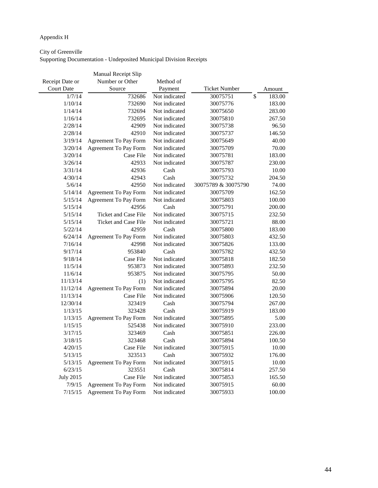# Appendix H

# City of Greenville

Supporting Documentation - Undeposited Municipal Division Receipts

|                   | Manual Receipt Slip          |               |                      |              |
|-------------------|------------------------------|---------------|----------------------|--------------|
| Receipt Date or   | Number or Other              | Method of     |                      |              |
| <b>Court Date</b> | Source                       | Payment       | <b>Ticket Number</b> | Amount       |
| 1/7/14            | 732686                       | Not indicated | 30075751             | \$<br>183.00 |
| 1/10/14           | 732690                       | Not indicated | 30075776             | 183.00       |
| 1/14/14           | 732694                       | Not indicated | 30075650             | 283.00       |
| 1/16/14           | 732695                       | Not indicated | 30075810             | 267.50       |
| 2/28/14           | 42909                        | Not indicated | 30075738             | 96.50        |
| 2/28/14           | 42910                        | Not indicated | 30075737             | 146.50       |
| 3/19/14           | Agreement To Pay Form        | Not indicated | 30075649             | 40.00        |
| 3/20/14           | <b>Agreement To Pay Form</b> | Not indicated | 30075709             | 70.00        |
| 3/20/14           | Case File                    | Not indicated | 30075781             | 183.00       |
| 3/26/14           | 42933                        | Not indicated | 30075787             | 230.00       |
| 3/31/14           | 42936                        | Cash          | 30075793             | 10.00        |
| 4/30/14           | 42943                        | Cash          | 30075732             | 204.50       |
| 5/6/14            | 42950                        | Not indicated | 30075789 & 30075790  | 74.00        |
| 5/14/14           | <b>Agreement To Pay Form</b> | Not indicated | 30075709             | 162.50       |
| 5/15/14           | <b>Agreement To Pay Form</b> | Not indicated | 30075803             | 100.00       |
| 5/15/14           | 42956                        | Cash          | 30075791             | 200.00       |
| 5/15/14           | Ticket and Case File         | Not indicated | 30075715             | 232.50       |
| 5/15/14           | Ticket and Case File         | Not indicated | 30075721             | 88.00        |
| 5/22/14           | 42959                        | Cash          | 30075800             | 183.00       |
| 6/24/14           | Agreement To Pay Form        | Not indicated | 30075803             | 432.50       |
| 7/16/14           | 42998                        | Not indicated | 30075826             | 133.00       |
| 9/17/14           | 953840                       | Cash          | 30075782             | 432.50       |
| 9/18/14           | Case File                    | Not indicated | 30075818             | 182.50       |
| 11/5/14           | 953873                       | Not indicated | 30075893             | 232.50       |
| 11/6/14           | 953875                       | Not indicated | 30075795             | 50.00        |
| 11/13/14          | (1)                          | Not indicated | 30075795             | 82.50        |
| 11/12/14          | <b>Agreement To Pay Form</b> | Not indicated | 30075894             | 20.00        |
| 11/13/14          | Case File                    | Not indicated | 30075906             | 120.50       |
| 12/30/14          | 323419                       | Cash          | 30075794             | 267.00       |
| 1/13/15           | 323428                       | Cash          | 30075919             | 183.00       |
| 1/13/15           | <b>Agreement To Pay Form</b> | Not indicated | 30075895             | 5.00         |
| 1/15/15           | 525438                       | Not indicated | 30075910             | 233.00       |
| 3/17/15           | 323469                       | Cash          | 30075851             | 226.00       |
| 3/18/15           | 323468                       | Cash          | 30075894             | 100.50       |
| 4/20/15           | Case File                    | Not indicated | 30075915             | 10.00        |
| 5/13/15           | 323513                       | Cash          | 30075932             | 176.00       |
| 5/13/15           | Agreement To Pay Form        | Not indicated | 30075915             | 10.00        |
| 6/23/15           | 323551                       | Cash          | 30075814             | 257.50       |
| <b>July 2015</b>  | Case File                    | Not indicated | 30075853             | 165.50       |
| 7/9/15            | <b>Agreement To Pay Form</b> | Not indicated | 30075915             | 60.00        |
| 7/15/15           | Agreement To Pay Form        | Not indicated | 30075933             | 100.00       |
|                   |                              |               |                      |              |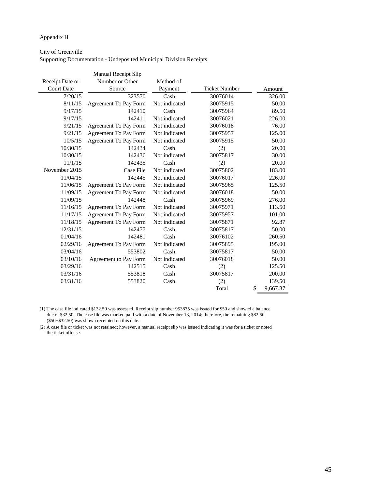#### Appendix H

#### City of Greenville

Supporting Documentation - Undeposited Municipal Division Receipts

|                   | Manual Receipt Slip          |               |                      |                |
|-------------------|------------------------------|---------------|----------------------|----------------|
| Receipt Date or   | Number or Other              | Method of     |                      |                |
| <b>Court Date</b> | Source                       |               | <b>Ticket Number</b> | Amount         |
| 7/20/15           | 323570                       | Cash          | 30076014             | 326.00         |
| 8/11/15           | Agreement To Pay Form        | Not indicated | 30075915             | 50.00          |
| 9/17/15           | 142410                       | Cash          | 30075964             | 89.50          |
| 9/17/15           | 142411                       | Not indicated | 30076021             | 226.00         |
| 9/21/15           | <b>Agreement To Pay Form</b> | Not indicated | 30076018             | 76.00          |
| 9/21/15           | Agreement To Pay Form        | Not indicated | 30075957             | 125.00         |
| 10/5/15           | Agreement To Pay Form        | Not indicated | 30075915             | 50.00          |
| 10/30/15          | 142434                       | Cash          | (2)                  | 20.00          |
| 10/30/15          | 142436                       | Not indicated | 30075817             | 30.00          |
| 11/1/15           | 142435                       | Cash          | (2)                  | 20.00          |
| November 2015     | Case File                    | Not indicated | 30075802             | 183.00         |
| 11/04/15          | 142445                       | Not indicated | 30076017             | 226.00         |
| 11/06/15          | Agreement To Pay Form        | Not indicated | 30075965             | 125.50         |
| 11/09/15          | Agreement To Pay Form        | Not indicated | 30076018             | 50.00          |
| 11/09/15          | 142448                       | Cash          | 30075969             | 276.00         |
| 11/16/15          | Agreement To Pay Form        | Not indicated | 30075971             | 113.50         |
| 11/17/15          | <b>Agreement To Pay Form</b> | Not indicated | 30075957             | 101.00         |
| 11/18/15          | Agreement To Pay Form        | Not indicated | 30075871             | 92.87          |
| 12/31/15          | 142477                       | Cash          | 30075817             | 50.00          |
| 01/04/16          | 142481                       | Cash          | 30076102             | 260.50         |
| 02/29/16          | Agreement To Pay Form        | Not indicated | 30075895             | 195.00         |
| 03/04/16          | 553802                       | Cash          | 30075817             | 50.00          |
| 03/10/16          | Agreement to Pay Form        | Not indicated | 30076018             | 50.00          |
| 03/29/16          | 142515                       | Cash          | (2)                  | 125.50         |
| 03/31/16          | 553818                       | Cash          | 30075817             | 200.00         |
| 03/31/16          | 553820                       | Cash          | (2)                  | 139.50         |
|                   |                              |               | Total                | \$<br>9,667.37 |

 due of \$32.50. The case file was marked paid with a date of November 13, 2014; therefore, the remaining \$82.50 (\$50+\$32.50) was shown receipted on this date. (1) The case file indicated \$132.50 was assessed. Receipt slip number 953875 was issued for \$50 and showed a balance

 the ticket offense. (2) A case file or ticket was not retained; however, a manual receipt slip was issued indicating it was for a ticket or noted